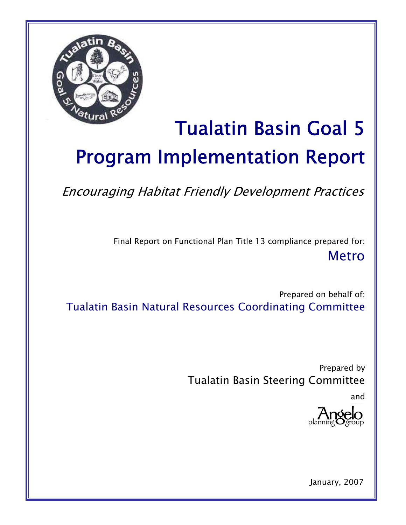

# Tualatin Basin Goal 5 Program Implementation Report

Encouraging Habitat Friendly Development Practices

Final Report on Functional Plan Title 13 compliance prepared for: Metro

Prepared on behalf of: Tualatin Basin Natural Resources Coordinating Committee

> Prepared by Tualatin Basin Steering Committee

> > and



January, 2007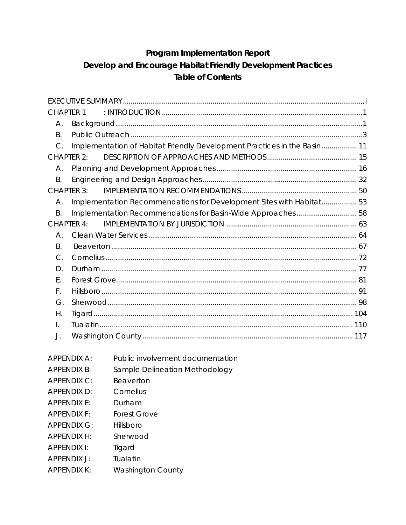# Program Implementation Report

# Develop and Encourage Habitat Friendly Development Practices **Table of Contents**

| <b>CHAPTER 1</b>   |                    |                                                                           |  |  |
|--------------------|--------------------|---------------------------------------------------------------------------|--|--|
| Α.                 |                    |                                                                           |  |  |
| $B_{\cdot}$        |                    |                                                                           |  |  |
| $C_{\cdot}$        |                    | Implementation of Habitat Friendly Development Practices in the Basin  11 |  |  |
| CHAPTER 2:         |                    |                                                                           |  |  |
| Α.                 |                    |                                                                           |  |  |
| В.                 |                    |                                                                           |  |  |
| <b>CHAPTER 3:</b>  |                    |                                                                           |  |  |
| А.                 |                    | Implementation Recommendations for Development Sites with Habitat 53      |  |  |
| <b>B.</b>          |                    | Implementation Recommendations for Basin-Wide Approaches 58               |  |  |
| <b>CHAPTER 4:</b>  |                    |                                                                           |  |  |
| $A_{1}$            |                    |                                                                           |  |  |
| <b>B.</b>          |                    |                                                                           |  |  |
| C.                 |                    |                                                                           |  |  |
| D.                 |                    |                                                                           |  |  |
| E.                 |                    |                                                                           |  |  |
| F.                 |                    |                                                                           |  |  |
| G.                 |                    |                                                                           |  |  |
| Η.                 |                    |                                                                           |  |  |
| $\mathsf{L}$       |                    |                                                                           |  |  |
| J.                 |                    |                                                                           |  |  |
|                    | <b>APPENDIX A:</b> | Public involvement documentation                                          |  |  |
|                    | <b>APPENDIX B:</b> | Sample Delineation Methodology                                            |  |  |
|                    | <b>APPENDIX C:</b> | Beaverton                                                                 |  |  |
| <b>APPENDIX D:</b> |                    | Cornelius                                                                 |  |  |
| <b>APPENDIX E:</b> |                    | Durham                                                                    |  |  |
| <b>APPENDIX F:</b> |                    | <b>Forest Grove</b>                                                       |  |  |
| <b>APPENDIX G:</b> |                    | Hillsboro                                                                 |  |  |
| <b>APPENDIX H:</b> |                    | Sherwood                                                                  |  |  |
| <b>APPENDIX I:</b> |                    | Tigard                                                                    |  |  |
| ADDENINIV I.       |                    | $T_{11}$ olotin                                                           |  |  |

APPENDIX J: Tualatin

# APPENDIX K: Washington County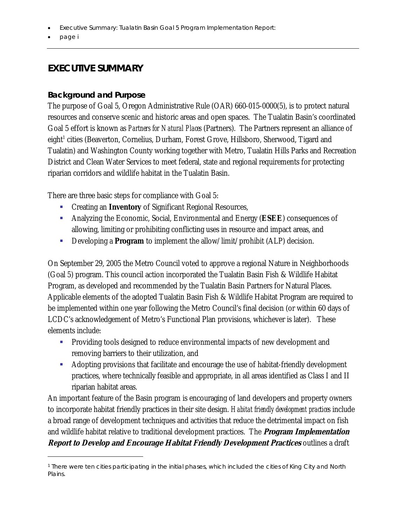- Executive Summary: Tualatin Basin Goal 5 Program Implementation Report:
- page i

 $\overline{a}$ 

# **EXECUTIVE SUMMARY**

### **Background and Purpose**

The purpose of Goal 5, Oregon Administrative Rule (OAR) 660-015-0000(5), is to protect natural resources and conserve scenic and historic areas and open spaces. The Tualatin Basin's coordinated Goal 5 effort is known as *Partners for Natural Places* (Partners). The Partners represent an alliance of eight<sup>1</sup> cities (Beaverton, Cornelius, Durham, Forest Grove, Hillsboro, Sherwood, Tigard and Tualatin) and Washington County working together with Metro, Tualatin Hills Parks and Recreation District and Clean Water Services to meet federal, state and regional requirements for protecting riparian corridors and wildlife habitat in the Tualatin Basin.

There are three basic steps for compliance with Goal 5:

- Creating an **Inventory** of Significant Regional Resources,
- Analyzing the Economic, Social, Environmental and Energy (**ESEE**) consequences of allowing, limiting or prohibiting conflicting uses in resource and impact areas, and
- **Developing a Program** to implement the allow/limit/prohibit (ALP) decision.

On September 29, 2005 the Metro Council voted to approve a regional Nature in Neighborhoods (Goal 5) program. This council action incorporated the Tualatin Basin Fish & Wildlife Habitat Program, as developed and recommended by the Tualatin Basin Partners for Natural Places. Applicable elements of the adopted Tualatin Basin Fish & Wildlife Habitat Program are required to be implemented within one year following the Metro Council's final decision (or within 60 days of LCDC's acknowledgement of Metro's Functional Plan provisions, whichever is later). These elements include:

- **Providing tools designed to reduce environmental impacts of new development and** removing barriers to their utilization, and
- Adopting provisions that facilitate and encourage the use of habitat-friendly development practices, where technically feasible and appropriate, in all areas identified as Class I and II riparian habitat areas.

An important feature of the Basin program is encouraging of land developers and property owners to incorporate habitat friendly practices in their site design. *Habitat friendly development practices* include a broad range of development techniques and activities that reduce the detrimental impact on fish and wildlife habitat relative to traditional development practices. The **Program Implementation Report to Develop and Encourage Habitat Friendly Development Practices** outlines a draft

*<sup>1</sup> There were ten cities participating in the initial phases, which included the cities of King City and North Plains.*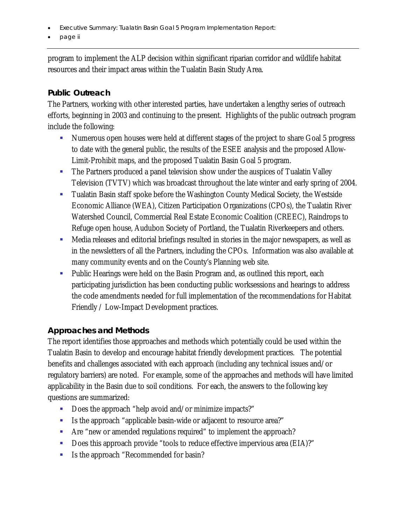- Executive Summary: Tualatin Basin Goal 5 Program Implementation Report:
- page ii

program to implement the ALP decision within significant riparian corridor and wildlife habitat resources and their impact areas within the Tualatin Basin Study Area.

### **Public Outreach**

The Partners, working with other interested parties, have undertaken a lengthy series of outreach efforts, beginning in 2003 and continuing to the present. Highlights of the public outreach program include the following:

- Numerous open houses were held at different stages of the project to share Goal 5 progress to date with the general public, the results of the ESEE analysis and the proposed Allow-Limit-Prohibit maps, and the proposed Tualatin Basin Goal 5 program.
- The Partners produced a panel television show under the auspices of Tualatin Valley Television (TVTV) which was broadcast throughout the late winter and early spring of 2004.
- Tualatin Basin staff spoke before the Washington County Medical Society, the Westside Economic Alliance (WEA), Citizen Participation Organizations (CPOs), the Tualatin River Watershed Council, Commercial Real Estate Economic Coalition (CREEC), Raindrops to Refuge open house, Audubon Society of Portland, the Tualatin Riverkeepers and others.
- Media releases and editorial briefings resulted in stories in the major newspapers, as well as in the newsletters of all the Partners, including the CPOs. Information was also available at many community events and on the County's Planning web site.
- **Public Hearings were held on the Basin Program and, as outlined this report, each** participating jurisdiction has been conducting public worksessions and hearings to address the code amendments needed for full implementation of the recommendations for Habitat Friendly / Low-Impact Development practices.

### **Approaches and Methods**

The report identifies those approaches and methods which potentially could be used within the Tualatin Basin to develop and encourage habitat friendly development practices. The potential benefits and challenges associated with each approach (including any technical issues and/or regulatory barriers) are noted. For example, some of the approaches and methods will have limited applicability in the Basin due to soil conditions. For each, the answers to the following key questions are summarized:

- Does the approach "help avoid and/or minimize impacts?"
- Is the approach "applicable basin-wide or adjacent to resource area?"
- Are "new or amended regulations required" to implement the approach?
- Does this approach provide "tools to reduce effective impervious area (EIA)?"
- Is the approach "Recommended for basin?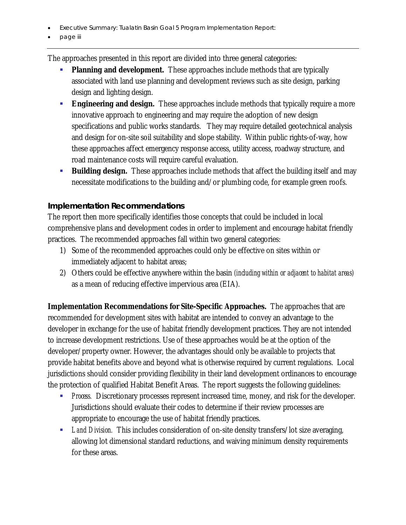- Executive Summary: Tualatin Basin Goal 5 Program Implementation Report:
- page iii

The approaches presented in this report are divided into three general categories:

- **Planning and development.** These approaches include methods that are typically associated with land use planning and development reviews such as site design, parking design and lighting design.
- **Engineering and design.** These approaches include methods that typically require a more innovative approach to engineering and may require the adoption of new design specifications and public works standards. They may require detailed geotechnical analysis and design for on-site soil suitability and slope stability. Within public rights-of-way, how these approaches affect emergency response access, utility access, roadway structure, and road maintenance costs will require careful evaluation.
- **Building design.** These approaches include methods that affect the building itself and may necessitate modifications to the building and/or plumbing code, for example green roofs.

### **Implementation Recommendations**

The report then more specifically identifies those concepts that could be included in local comprehensive plans and development codes in order to implement and encourage habitat friendly practices. The recommended approaches fall within two general categories:

- 1) Some of the recommended approaches could only be effective on sites within or immediately adjacent to habitat areas;
- 2) Others could be effective anywhere within the basin *(including within or adjacent to habitat areas)* as a mean of reducing effective impervious area (EIA).

**Implementation Recommendations for Site-Specific Approaches.** The approaches that are recommended for development sites with habitat are intended to convey an advantage to the developer in exchange for the use of habitat friendly development practices. They are not intended to increase development restrictions. Use of these approaches would be at the option of the developer/property owner. However, the advantages should only be available to projects that provide habitat benefits above and beyond what is otherwise required by current regulations. Local jurisdictions should consider providing flexibility in their land development ordinances to encourage the protection of qualified Habitat Benefit Areas. The report suggests the following guidelines:

- *Process.* Discretionary processes represent increased time, money, and risk for the developer. Jurisdictions should evaluate their codes to determine if their review processes are appropriate to encourage the use of habitat friendly practices.
- *Land Division.* This includes consideration of on-site density transfers/lot size averaging, allowing lot dimensional standard reductions, and waiving minimum density requirements for these areas.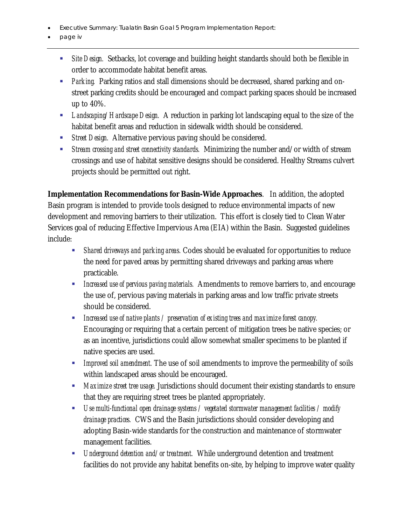- Executive Summary: Tualatin Basin Goal 5 Program Implementation Report:
- page iv
	- **Site Design.** Setbacks, lot coverage and building height standards should both be flexible in order to accommodate habitat benefit areas.
	- *Parking.* Parking ratios and stall dimensions should be decreased, shared parking and onstreet parking credits should be encouraged and compact parking spaces should be increased up to 40%.
	- *Landscaping/Hardscape Design.* A reduction in parking lot landscaping equal to the size of the habitat benefit areas and reduction in sidewalk width should be considered.
	- *Street Design.* Alternative pervious paving should be considered.
	- *Stream crossing and street connectivity standards.* Minimizing the number and/or width of stream crossings and use of habitat sensitive designs should be considered. Healthy Streams culvert projects should be permitted out right.

**Implementation Recommendations for Basin-Wide Approaches**. In addition, the adopted Basin program is intended to provide tools designed to reduce environmental impacts of new development and removing barriers to their utilization. This effort is closely tied to Clean Water Services goal of reducing Effective Impervious Area (EIA) within the Basin. Suggested guidelines include:

- *Shared driveways and parking areas.* Codes should be evaluated for opportunities to reduce the need for paved areas by permitting shared driveways and parking areas where practicable.
- *Increased use of pervious paving materials.* Amendments to remove barriers to, and encourage the use of, pervious paving materials in parking areas and low traffic private streets should be considered.
- *Increased use of native plants / preservation of existing trees and maximize forest canopy.* Encouraging or requiring that a certain percent of mitigation trees be native species; or as an incentive, jurisdictions could allow somewhat smaller specimens to be planted if native species are used.
- *Improved soil amendment.* The use of soil amendments to improve the permeability of soils within landscaped areas should be encouraged.
- *Maximize street tree usage.* Jurisdictions should document their existing standards to ensure that they are requiring street trees be planted appropriately.
- *Use multi-functional open drainage systems / vegetated stormwater management facilities / modify drainage practices.* CWS and the Basin jurisdictions should consider developing and adopting Basin-wide standards for the construction and maintenance of stormwater management facilities.
- *Underground detention and/or treatment.* While underground detention and treatment facilities do not provide any habitat benefits on-site, by helping to improve water quality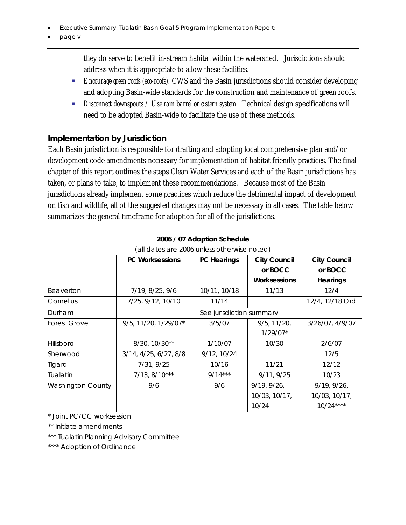- Executive Summary: Tualatin Basin Goal 5 Program Implementation Report:
- page v

they do serve to benefit in-stream habitat within the watershed. Jurisdictions should address when it is appropriate to allow these facilities.

- *Encourage green roofs (eco-roofs).* CWS and the Basin jurisdictions should consider developing and adopting Basin-wide standards for the construction and maintenance of green roofs.
- **Disconnect downspouts** / Use rain barrel or cistern system. Technical design specifications will need to be adopted Basin-wide to facilitate the use of these methods.

### **Implementation by Jurisdiction**

Each Basin jurisdiction is responsible for drafting and adopting local comprehensive plan and/or development code amendments necessary for implementation of habitat friendly practices. The final chapter of this report outlines the steps Clean Water Services and each of the Basin jurisdictions has taken, or plans to take, to implement these recommendations. Because most of the Basin jurisdictions already implement some practices which reduce the detrimental impact of development on fish and wildlife, all of the suggested changes may not be necessary in all cases. The table below summarizes the general timeframe for adoption for all of the jurisdictions.

|                                          | <b>PC Worksessions</b>   | <b>PC Hearings</b> | <b>City Council</b> | <b>City Council</b> |
|------------------------------------------|--------------------------|--------------------|---------------------|---------------------|
|                                          |                          |                    | or BOCC             | or BOCC             |
|                                          |                          |                    | <b>Worksessions</b> | <b>Hearings</b>     |
| Beaverton                                | 7/19, 8/25, 9/6          | 10/11, 10/18       | 11/13               | 12/4                |
| Cornelius                                | 7/25, 9/12, 10/10        | 11/14              |                     | 12/4, 12/18 Ord     |
| Durham                                   | See jurisdiction summary |                    |                     |                     |
| <b>Forest Grove</b>                      | 9/5, 11/20, 1/29/07*     | 3/5/07             | 9/5, 11/20,         | 3/26/07, 4/9/07     |
|                                          |                          |                    | $1/29/07*$          |                     |
| Hillsboro                                | 8/30, 10/30**            | 1/10/07            | 10/30               | 2/6/07              |
| Sherwood                                 | 3/14, 4/25, 6/27, 8/8    | 9/12, 10/24        |                     | 12/5                |
| Tigard                                   | 7/31, 9/25               | 10/16              | 11/21               | 12/12               |
| Tualatin                                 | $7/13, 8/10***$          | $9/14***$          | 9/11, 9/25          | 10/23               |
| <b>Washington County</b>                 | 9/6                      | 9/6                | 9/19, 9/26,         | 9/19, 9/26,         |
|                                          |                          |                    | 10/03, 10/17,       | 10/03, 10/17,       |
|                                          |                          |                    | 10/24               | $10/24***$          |
| * Joint PC/CC worksession                |                          |                    |                     |                     |
| ** Initiate amendments                   |                          |                    |                     |                     |
| *** Tualatin Planning Advisory Committee |                          |                    |                     |                     |
| **** Adoption of Ordinance               |                          |                    |                     |                     |

#### **2006 / 07 Adoption Schedule**  *(all dates are 2006 unless otherwise noted)*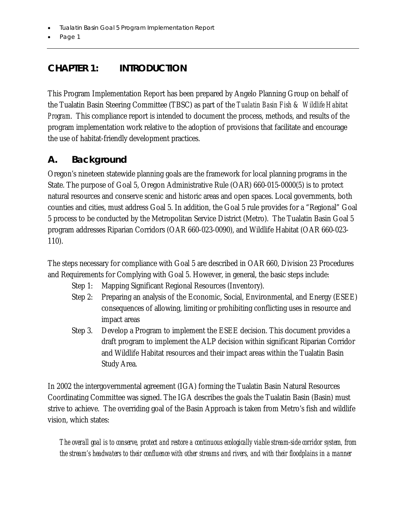- Tualatin Basin Goal 5 Program Implementation Report
- Page 1

# **CHAPTER 1: INTRODUCTION**

This Program Implementation Report has been prepared by Angelo Planning Group on behalf of the Tualatin Basin Steering Committee (TBSC) as part of the *Tualatin Basin Fish & Wildlife Habitat Program*. This compliance report is intended to document the process, methods, and results of the program implementation work relative to the adoption of provisions that facilitate and encourage the use of habitat-friendly development practices.

# *A. Background*

Oregon's nineteen statewide planning goals are the framework for local planning programs in the State. The purpose of Goal 5, Oregon Administrative Rule (OAR) 660-015-0000(5) is to protect natural resources and conserve scenic and historic areas and open spaces. Local governments, both counties and cities, must address Goal 5. In addition, the Goal 5 rule provides for a "Regional" Goal 5 process to be conducted by the Metropolitan Service District (Metro). The Tualatin Basin Goal 5 program addresses Riparian Corridors (OAR 660-023-0090), and Wildlife Habitat (OAR 660-023- 110).

The steps necessary for compliance with Goal 5 are described in OAR 660, Division 23 Procedures and Requirements for Complying with Goal 5. However, in general, the basic steps include:

- Step 1: Mapping Significant Regional Resources (Inventory).
- Step 2: Preparing an analysis of the Economic, Social, Environmental, and Energy (ESEE) consequences of allowing, limiting or prohibiting conflicting uses in resource and impact areas
- Step 3. Develop a Program to implement the ESEE decision. This document provides a draft program to implement the ALP decision within significant Riparian Corridor and Wildlife Habitat resources and their impact areas within the Tualatin Basin Study Area.

In 2002 the intergovernmental agreement (IGA) forming the Tualatin Basin Natural Resources Coordinating Committee was signed. The IGA describes the goals the Tualatin Basin (Basin) must strive to achieve. The overriding goal of the Basin Approach is taken from Metro's fish and wildlife vision, which states:

*The overall goal is to conserve, protect and restore a continuous ecologically viable stream-side corridor system, from the stream's headwaters to their confluence with other streams and rivers, and with their floodplains in a manner*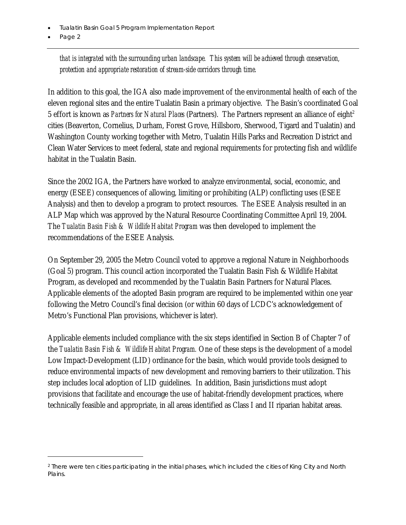- Tualatin Basin Goal 5 Program Implementation Report
- Page 2

 $\overline{a}$ 

*that is integrated with the surrounding urban landscape. This system will be achieved through conservation, protection and appropriate restoration of stream-side corridors through time.* 

In addition to this goal, the IGA also made improvement of the environmental health of each of the eleven regional sites and the entire Tualatin Basin a primary objective. The Basin's coordinated Goal 5 effort is known as *Partners for Natural Places* (Partners). The Partners represent an alliance of eight2 cities (Beaverton, Cornelius, Durham, Forest Grove, Hillsboro, Sherwood, Tigard and Tualatin) and Washington County working together with Metro, Tualatin Hills Parks and Recreation District and Clean Water Services to meet federal, state and regional requirements for protecting fish and wildlife habitat in the Tualatin Basin.

Since the 2002 IGA, the Partners have worked to analyze environmental, social, economic, and energy (ESEE) consequences of allowing, limiting or prohibiting (ALP) conflicting uses (ESEE Analysis) and then to develop a program to protect resources. The ESEE Analysis resulted in an ALP Map which was approved by the Natural Resource Coordinating Committee April 19, 2004. The *Tualatin Basin Fish & Wildlife Habitat Program* was then developed to implement the recommendations of the ESEE Analysis.

On September 29, 2005 the Metro Council voted to approve a regional Nature in Neighborhoods (Goal 5) program. This council action incorporated the Tualatin Basin Fish & Wildlife Habitat Program, as developed and recommended by the Tualatin Basin Partners for Natural Places. Applicable elements of the adopted Basin program are required to be implemented within one year following the Metro Council's final decision (or within 60 days of LCDC's acknowledgement of Metro's Functional Plan provisions, whichever is later).

Applicable elements included compliance with the six steps identified in Section B of Chapter 7 of the *Tualatin Basin Fish & Wildlife Habitat Program.* One of these steps is the development of a model Low Impact-Development (LID) ordinance for the basin, which would provide tools designed to reduce environmental impacts of new development and removing barriers to their utilization. This step includes local adoption of LID guidelines. In addition, Basin jurisdictions must adopt provisions that facilitate and encourage the use of habitat-friendly development practices, where technically feasible and appropriate, in all areas identified as Class I and II riparian habitat areas.

*<sup>2</sup> There were ten cities participating in the initial phases, which included the cities of King City and North Plains.*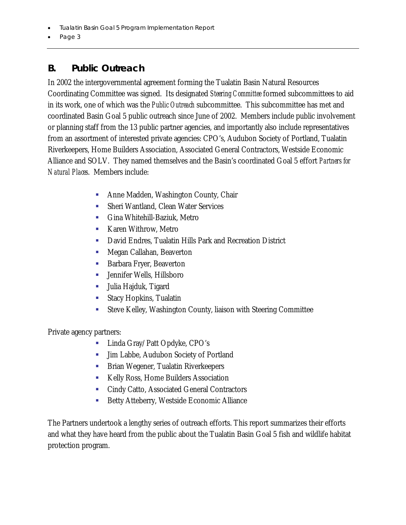- Tualatin Basin Goal 5 Program Implementation Report
- Page 3

# *B. Public Outreach*

In 2002 the intergovernmental agreement forming the Tualatin Basin Natural Resources Coordinating Committee was signed. Its designated *Steering Committee* formed subcommittees to aid in its work, one of which was the *Public Outreach* subcommittee. This subcommittee has met and coordinated Basin Goal 5 public outreach since June of 2002. Members include public involvement or planning staff from the 13 public partner agencies, and importantly also include representatives from an assortment of interested private agencies: CPO's, Audubon Society of Portland, Tualatin Riverkeepers, Home Builders Association, Associated General Contractors, Westside Economic Alliance and SOLV. They named themselves and the Basin's coordinated Goal 5 effort *Partners for Natural Places*. Members include:

- Anne Madden, Washington County, Chair
- **Sheri Wantland, Clean Water Services**
- Gina Whitehill-Baziuk, Metro
- Karen Withrow, Metro
- David Endres, Tualatin Hills Park and Recreation District
- Megan Callahan, Beaverton
- **Barbara Fryer, Beaverton**
- Jennifer Wells, Hillsboro
- Julia Hajduk, Tigard
- Stacy Hopkins, Tualatin
- Steve Kelley, Washington County, liaison with Steering Committee

Private agency partners:

- Linda Gray/Patt Opdyke, CPO's
- **Jim Labbe, Audubon Society of Portland**
- **Brian Wegener, Tualatin Riverkeepers**
- Kelly Ross, Home Builders Association
- **Cindy Catto, Associated General Contractors**
- Betty Atteberry, Westside Economic Alliance

The Partners undertook a lengthy series of outreach efforts. This report summarizes their efforts and what they have heard from the public about the Tualatin Basin Goal 5 fish and wildlife habitat protection program.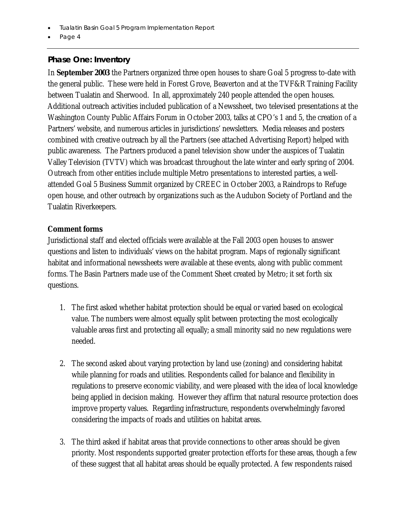- Tualatin Basin Goal 5 Program Implementation Report
- Page 4

### **Phase One: Inventory**

In **September 2003** the Partners organized three open houses to share Goal 5 progress to-date with the general public. These were held in Forest Grove, Beaverton and at the TVF&R Training Facility between Tualatin and Sherwood. In all, approximately 240 people attended the open houses. Additional outreach activities included publication of a Newssheet, two televised presentations at the Washington County Public Affairs Forum in October 2003, talks at CPO's 1 and 5, the creation of a Partners' website, and numerous articles in jurisdictions' newsletters. Media releases and posters combined with creative outreach by all the Partners (see attached Advertising Report) helped with public awareness. The Partners produced a panel television show under the auspices of Tualatin Valley Television (TVTV) which was broadcast throughout the late winter and early spring of 2004. Outreach from other entities include multiple Metro presentations to interested parties, a wellattended Goal 5 Business Summit organized by CREEC in October 2003, a Raindrops to Refuge open house, and other outreach by organizations such as the Audubon Society of Portland and the Tualatin Riverkeepers.

### **Comment forms**

Jurisdictional staff and elected officials were available at the Fall 2003 open houses to answer questions and listen to individuals' views on the habitat program. Maps of regionally significant habitat and informational newssheets were available at these events, along with public comment forms. The Basin Partners made use of the Comment Sheet created by Metro; it set forth six questions.

- 1. The first asked whether habitat protection should be equal or varied based on ecological value. The numbers were almost equally split between protecting the most ecologically valuable areas first and protecting all equally; a small minority said no new regulations were needed.
- 2. The second asked about varying protection by land use (zoning) and considering habitat while planning for roads and utilities. Respondents called for balance and flexibility in regulations to preserve economic viability, and were pleased with the idea of local knowledge being applied in decision making. However they affirm that natural resource protection does improve property values. Regarding infrastructure, respondents overwhelmingly favored considering the impacts of roads and utilities on habitat areas.
- 3. The third asked if habitat areas that provide connections to other areas should be given priority. Most respondents supported greater protection efforts for these areas, though a few of these suggest that all habitat areas should be equally protected. A few respondents raised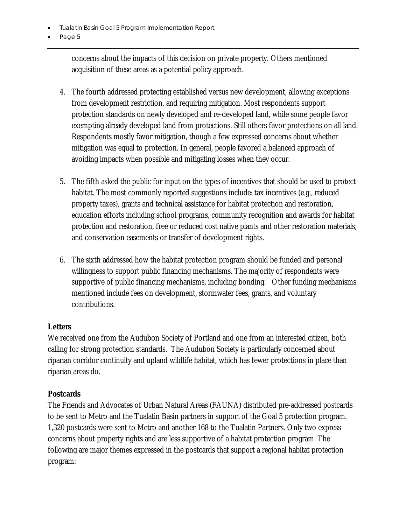- Tualatin Basin Goal 5 Program Implementation Report
- Page 5

concerns about the impacts of this decision on private property. Others mentioned acquisition of these areas as a potential policy approach.

- 4. The fourth addressed protecting established versus new development, allowing exceptions from development restriction, and requiring mitigation. Most respondents support protection standards on newly developed and re-developed land, while some people favor exempting already developed land from protections. Still others favor protections on all land. Respondents mostly favor mitigation, though a few expressed concerns about whether mitigation was equal to protection. In general, people favored a balanced approach of avoiding impacts when possible and mitigating losses when they occur.
- 5. The fifth asked the public for input on the types of incentives that should be used to protect habitat. The most commonly reported suggestions include: tax incentives (e.g., reduced property taxes), grants and technical assistance for habitat protection and restoration, education efforts including school programs, community recognition and awards for habitat protection and restoration, free or reduced cost native plants and other restoration materials, and conservation easements or transfer of development rights.
- 6. The sixth addressed how the habitat protection program should be funded and personal willingness to support public financing mechanisms. The majority of respondents were supportive of public financing mechanisms, including bonding. Other funding mechanisms mentioned include fees on development, stormwater fees, grants, and voluntary contributions.

### **Letters**

We received one from the Audubon Society of Portland and one from an interested citizen, both calling for strong protection standards. The Audubon Society is particularly concerned about riparian corridor continuity and upland wildlife habitat, which has fewer protections in place than riparian areas do.

#### **Postcards**

The Friends and Advocates of Urban Natural Areas (FAUNA) distributed pre-addressed postcards to be sent to Metro and the Tualatin Basin partners in support of the Goal 5 protection program. 1,320 postcards were sent to Metro and another 168 to the Tualatin Partners. Only two express concerns about property rights and are less supportive of a habitat protection program. The following are major themes expressed in the postcards that support a regional habitat protection program: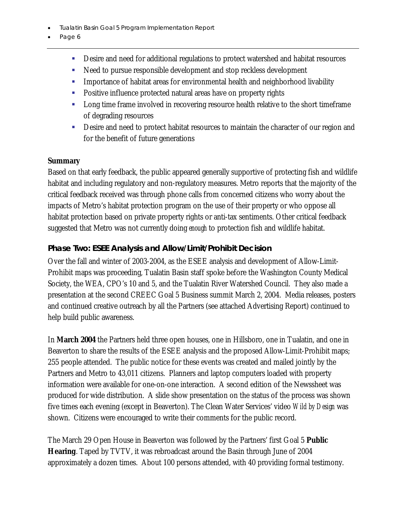- Tualatin Basin Goal 5 Program Implementation Report
- Page 6
	- **•** Desire and need for additional regulations to protect watershed and habitat resources
	- Need to pursue responsible development and stop reckless development
	- **IMPORTANCE OF habitat areas for environmental health and neighborhood livability**
	- **Positive influence protected natural areas have on property rights**
	- Long time frame involved in recovering resource health relative to the short timeframe of degrading resources
	- **Desire and need to protect habitat resources to maintain the character of our region and** for the benefit of future generations

### **Summary**

Based on that early feedback, the public appeared generally supportive of protecting fish and wildlife habitat and including regulatory and non-regulatory measures. Metro reports that the majority of the critical feedback received was through phone calls from concerned citizens who worry about the impacts of Metro's habitat protection program on the use of their property or who oppose all habitat protection based on private property rights or anti-tax sentiments. Other critical feedback suggested that Metro was not currently doing *enough* to protection fish and wildlife habitat.

### **Phase Two: ESEE Analysis and Allow/Limit/Prohibit Decision**

Over the fall and winter of 2003-2004, as the ESEE analysis and development of Allow-Limit-Prohibit maps was proceeding, Tualatin Basin staff spoke before the Washington County Medical Society, the WEA, CPO's 10 and 5, and the Tualatin River Watershed Council. They also made a presentation at the second CREEC Goal 5 Business summit March 2, 2004. Media releases, posters and continued creative outreach by all the Partners (see attached Advertising Report) continued to help build public awareness.

In **March 2004** the Partners held three open houses, one in Hillsboro, one in Tualatin, and one in Beaverton to share the results of the ESEE analysis and the proposed Allow-Limit-Prohibit maps; 255 people attended. The public notice for these events was created and mailed jointly by the Partners and Metro to 43,011 citizens. Planners and laptop computers loaded with property information were available for one-on-one interaction. A second edition of the Newssheet was produced for wide distribution. A slide show presentation on the status of the process was shown five times each evening (except in Beaverton). The Clean Water Services' video *Wild by Design* was shown. Citizens were encouraged to write their comments for the public record.

The March 29 Open House in Beaverton was followed by the Partners' first Goal 5 **Public Hearing**. Taped by TVTV, it was rebroadcast around the Basin through June of 2004 approximately a dozen times. About 100 persons attended, with 40 providing formal testimony.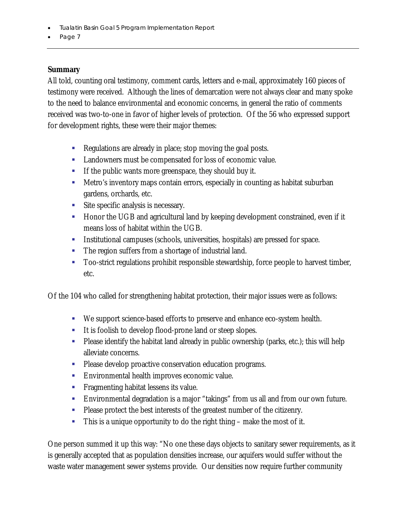- Tualatin Basin Goal 5 Program Implementation Report
- Page 7

### **Summary**

All told, counting oral testimony, comment cards, letters and e-mail, approximately 160 pieces of testimony were received. Although the lines of demarcation were not always clear and many spoke to the need to balance environmental and economic concerns, in general the ratio of comments received was two-to-one in favor of higher levels of protection. Of the 56 who expressed support for development rights, these were their major themes:

- Regulations are already in place; stop moving the goal posts.
- **Landowners must be compensated for loss of economic value.**
- If the public wants more greenspace, they should buy it.
- Metro's inventory maps contain errors, especially in counting as habitat suburban gardens, orchards, etc.
- Site specific analysis is necessary.
- Honor the UGB and agricultural land by keeping development constrained, even if it means loss of habitat within the UGB.
- Institutional campuses (schools, universities, hospitals) are pressed for space.
- The region suffers from a shortage of industrial land.
- Too-strict regulations prohibit responsible stewardship, force people to harvest timber, etc.

Of the 104 who called for strengthening habitat protection, their major issues were as follows:

- We support science-based efforts to preserve and enhance eco-system health.
- It is foolish to develop flood-prone land or steep slopes.
- Please identify the habitat land already in public ownership (parks, etc.); this will help alleviate concerns.
- **Please develop proactive conservation education programs.**
- **Environmental health improves economic value.**
- **Fragmenting habitat lessens its value.**
- Environmental degradation is a major "takings" from us all and from our own future.
- Please protect the best interests of the greatest number of the citizenry.
- This is a unique opportunity to do the right thing make the most of it.

One person summed it up this way: "No one these days objects to sanitary sewer requirements, as it is generally accepted that as population densities increase, our aquifers would suffer without the waste water management sewer systems provide. Our densities now require further community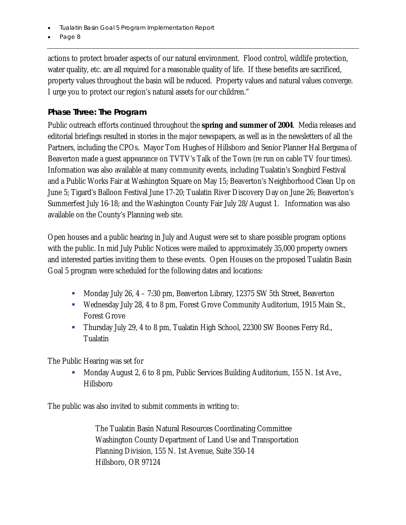- Tualatin Basin Goal 5 Program Implementation Report
- Page 8

actions to protect broader aspects of our natural environment. Flood control, wildlife protection, water quality, etc. are all required for a reasonable quality of life. If these benefits are sacrificed, property values throughout the basin will be reduced. Property values and natural values converge. I urge you to protect our region's natural assets for our children."

### **Phase Three: The Program**

Public outreach efforts continued throughout the **spring and summer of 2004**. Media releases and editorial briefings resulted in stories in the major newspapers, as well as in the newsletters of all the Partners, including the CPOs. Mayor Tom Hughes of Hillsboro and Senior Planner Hal Bergsma of Beaverton made a guest appearance on TVTV's Talk of the Town (re run on cable TV four times). Information was also available at many community events, including Tualatin's Songbird Festival and a Public Works Fair at Washington Square on May 15; Beaverton's Neighborhood Clean Up on June 5; Tigard's Balloon Festival June 17-20; Tualatin River Discovery Day on June 26; Beaverton's Summerfest July 16-18; and the Washington County Fair July 28/August 1. Information was also available on the County's Planning web site.

Open houses and a public hearing in July and August were set to share possible program options with the public. In mid July Public Notices were mailed to approximately 35,000 property owners and interested parties inviting them to these events. Open Houses on the proposed Tualatin Basin Goal 5 program were scheduled for the following dates and locations:

- Monday July 26, 4 7:30 pm, Beaverton Library, 12375 SW 5th Street, Beaverton
- Wednesday July 28, 4 to 8 pm, Forest Grove Community Auditorium, 1915 Main St., Forest Grove
- Thursday July 29, 4 to 8 pm, Tualatin High School, 22300 SW Boones Ferry Rd., Tualatin

The Public Hearing was set for

 Monday August 2, 6 to 8 pm, Public Services Building Auditorium, 155 N. 1st Ave., Hillsboro

The public was also invited to submit comments in writing to:

The Tualatin Basin Natural Resources Coordinating Committee Washington County Department of Land Use and Transportation Planning Division, 155 N. 1st Avenue, Suite 350-14 Hillsboro, OR 97124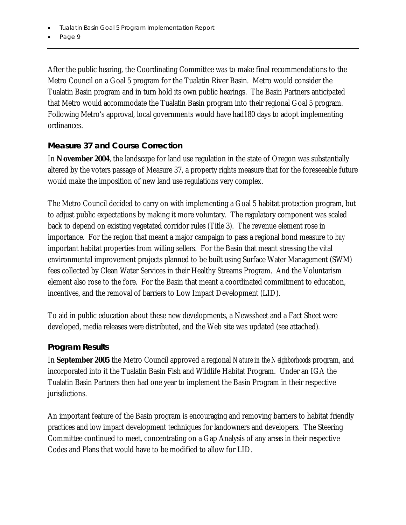- Tualatin Basin Goal 5 Program Implementation Report
- Page 9

After the public hearing, the Coordinating Committee was to make final recommendations to the Metro Council on a Goal 5 program for the Tualatin River Basin. Metro would consider the Tualatin Basin program and in turn hold its own public hearings. The Basin Partners anticipated that Metro would accommodate the Tualatin Basin program into their regional Goal 5 program. Following Metro's approval, local governments would have had180 days to adopt implementing ordinances.

### **Measure 37 and Course Correction**

In **November 2004**, the landscape for land use regulation in the state of Oregon was substantially altered by the voters passage of Measure 37, a property rights measure that for the foreseeable future would make the imposition of new land use regulations very complex.

The Metro Council decided to carry on with implementing a Goal 5 habitat protection program, but to adjust public expectations by making it more voluntary. The regulatory component was scaled back to depend on existing vegetated corridor rules (Title 3). The revenue element rose in importance. For the region that meant a major campaign to pass a regional bond measure to *buy* important habitat properties from willing sellers. For the Basin that meant stressing the vital environmental improvement projects planned to be built using Surface Water Management (SWM) fees collected by Clean Water Services in their Healthy Streams Program. And the Voluntarism element also rose to the fore. For the Basin that meant a coordinated commitment to education, incentives, and the removal of barriers to Low Impact Development (LID).

To aid in public education about these new developments, a Newssheet and a Fact Sheet were developed, media releases were distributed, and the Web site was updated (see attached).

### **Program Results**

In **September 2005** the Metro Council approved a regional *Nature in the Neighborhoods* program, and incorporated into it the Tualatin Basin Fish and Wildlife Habitat Program. Under an IGA the Tualatin Basin Partners then had one year to implement the Basin Program in their respective jurisdictions.

An important feature of the Basin program is encouraging and removing barriers to habitat friendly practices and low impact development techniques for landowners and developers. The Steering Committee continued to meet, concentrating on a Gap Analysis of any areas in their respective Codes and Plans that would have to be modified to allow for LID.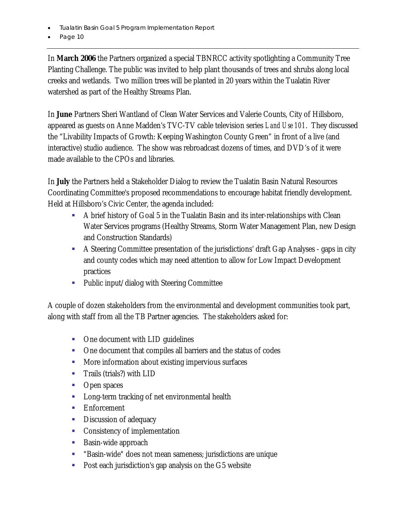- Tualatin Basin Goal 5 Program Implementation Report
- Page 10

In **March 2006** the Partners organized a special TBNRCC activity spotlighting a Community Tree Planting Challenge. The public was invited to help plant thousands of trees and shrubs along local creeks and wetlands. Two million trees will be planted in 20 years within the Tualatin River watershed as part of the Healthy Streams Plan.

In **June** Partners Sheri Wantland of Clean Water Services and Valerie Counts, City of Hillsboro, appeared as guests on Anne Madden's TVC-TV cable television series *Land Use 101*. They discussed the "Livability Impacts of Growth: Keeping Washington County Green" in front of a live (and interactive) studio audience. The show was rebroadcast dozens of times, and DVD's of it were made available to the CPOs and libraries.

In **July** the Partners held a Stakeholder Dialog to review the Tualatin Basin Natural Resources Coordinating Committee's proposed recommendations to encourage habitat friendly development. Held at Hillsboro's Civic Center, the agenda included:

- A brief history of Goal 5 in the Tualatin Basin and its inter-relationships with Clean Water Services programs (Healthy Streams, Storm Water Management Plan, new Design and Construction Standards)
- A Steering Committee presentation of the jurisdictions' draft Gap Analyses gaps in city and county codes which may need attention to allow for Low Impact Development practices
- Public input/dialog with Steering Committee

A couple of dozen stakeholders from the environmental and development communities took part, along with staff from all the TB Partner agencies. The stakeholders asked for:

- One document with LID guidelines
- One document that compiles all barriers and the status of codes
- **More information about existing impervious surfaces**
- **Trails (trials?) with LID**
- Open spaces
- **Long-term tracking of net environmental health**
- **Enforcement**
- **Discussion of adequacy**
- **•** Consistency of implementation
- Basin-wide approach
- "Basin-wide" does not mean sameness; jurisdictions are unique
- Post each jurisdiction's gap analysis on the G5 website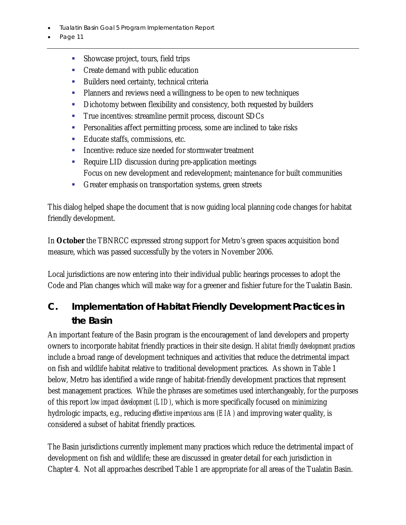- Tualatin Basin Goal 5 Program Implementation Report
- Page 11
	- Showcase project, tours, field trips
	- Create demand with public education
	- **Builders need certainty, technical criteria**
	- **Planners and reviews need a willingness to be open to new techniques**
	- Dichotomy between flexibility and consistency, both requested by builders
	- True incentives: streamline permit process, discount SDCs
	- Personalities affect permitting process, some are inclined to take risks
	- Educate staffs, commissions, etc.
	- **Incentive: reduce size needed for stormwater treatment**
	- Require LID discussion during pre-application meetings Focus on new development and redevelopment; maintenance for built communities
	- Greater emphasis on transportation systems, green streets

This dialog helped shape the document that is now guiding local planning code changes for habitat friendly development.

In **October** the TBNRCC expressed strong support for Metro's green spaces acquisition bond measure, which was passed successfully by the voters in November 2006.

Local jurisdictions are now entering into their individual public hearings processes to adopt the Code and Plan changes which will make way for a greener and fishier future for the Tualatin Basin.

# *C. Implementation of Habitat Friendly Development Practices in the Basin*

An important feature of the Basin program is the encouragement of land developers and property owners to incorporate habitat friendly practices in their site design. *Habitat friendly development practices* include a broad range of development techniques and activities that reduce the detrimental impact on fish and wildlife habitat relative to traditional development practices. As shown in Table 1 below, Metro has identified a wide range of habitat-friendly development practices that represent best management practices. While the phrases are sometimes used interchangeably, for the purposes of this report *low impact development (LID)*, which is more specifically focused on minimizing hydrologic impacts, e.g., reducing *effective impervious area (EIA)* and improving water quality, is considered a subset of habitat friendly practices.

The Basin jurisdictions currently implement many practices which reduce the detrimental impact of development on fish and wildlife; these are discussed in greater detail for each jurisdiction in Chapter 4. Not all approaches described Table 1 are appropriate for all areas of the Tualatin Basin.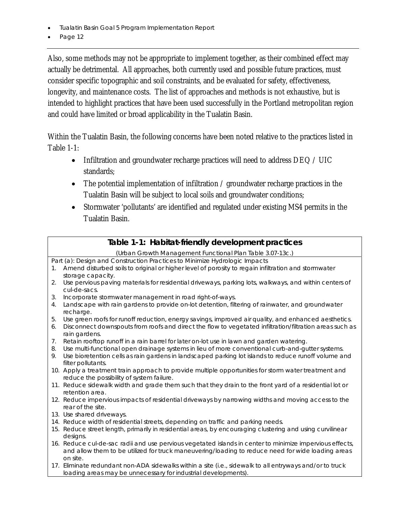- Tualatin Basin Goal 5 Program Implementation Report
- Page 12

Also, some methods may not be appropriate to implement together, as their combined effect may actually be detrimental. All approaches, both currently used and possible future practices, must consider specific topographic and soil constraints, and be evaluated for safety, effectiveness, longevity, and maintenance costs. The list of approaches and methods is not exhaustive, but is intended to highlight practices that have been used successfully in the Portland metropolitan region and could have limited or broad applicability in the Tualatin Basin.

Within the Tualatin Basin, the following concerns have been noted relative to the practices listed in Table 1-1:

- Infiltration and groundwater recharge practices will need to address DEQ / UIC standards;
- The potential implementation of infiltration / groundwater recharge practices in the Tualatin Basin will be subject to local soils and groundwater conditions;
- Stormwater 'pollutants' are identified and regulated under existing MS4 permits in the Tualatin Basin.

#### **Table 1-1: Habitat-friendly development practices**  (Urban Growth Management Functional Plan Table 3.07-13c.) Part (a): Design and Construction Practices to Minimize Hydrologic Impacts 1. Amend disturbed soils to original or higher level of porosity to regain infiltration and stormwater storage capacity. 2. Use pervious paving materials for residential driveways, parking lots, walkways, and within centers of cul-de-sacs. 3. Incorporate stormwater management in road right-of-ways. 4. Landscape with rain gardens to provide on-lot detention, filtering of rainwater, and groundwater recharge. 5. Use green roofs for runoff reduction, energy savings, improved air quality, and enhanced aesthetics. 6. Disconnect downspouts from roofs and direct the flow to vegetated infiltration/filtration areas such as rain gardens. 7. Retain rooftop runoff in a rain barrel for later on-lot use in lawn and garden watering. 8. Use multi-functional open drainage systems in lieu of more conventional curb-and-gutter systems. 9. Use bioretention cells as rain gardens in landscaped parking lot islands to reduce runoff volume and filter pollutants. 10. Apply a treatment train approach to provide multiple opportunities for storm water treatment and reduce the possibility of system failure. 11. Reduce sidewalk width and grade them such that they drain to the front yard of a residential lot or retention area. 12. Reduce impervious impacts of residential driveways by narrowing widths and moving access to the rear of the site. 13. Use shared driveways. 14. Reduce width of residential streets, depending on traffic and parking needs. 15. Reduce street length, primarily in residential areas, by encouraging clustering and using curvilinear designs. 16. Reduce cul-de-sac radii and use pervious vegetated islands in center to minimize impervious effects, and allow them to be utilized for truck maneuvering/loading to reduce need for wide loading areas on site. 17. Eliminate redundant non-ADA sidewalks within a site (i.e., sidewalk to all entryways and/or to truck loading areas may be unnecessary for industrial developments).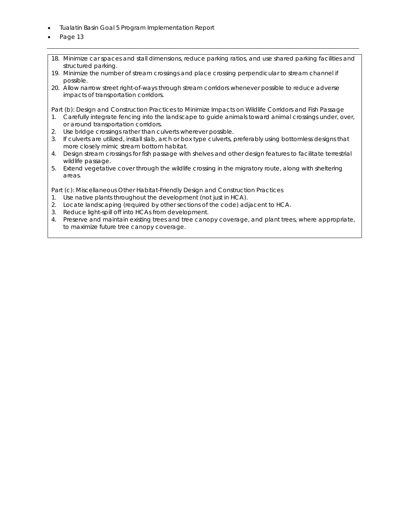- Tualatin Basin Goal 5 Program Implementation Report
- Page 13
- 18. Minimize car spaces and stall dimensions, reduce parking ratios, and use shared parking facilities and structured parking.
- 19. Minimize the number of stream crossings and place crossing perpendicular to stream channel if possible.
- 20. Allow narrow street right-of-ways through stream corridors whenever possible to reduce adverse impacts of transportation corridors.

Part (b): Design and Construction Practices to Minimize Impacts on Wildlife Corridors and Fish Passage

- 1. Carefully integrate fencing into the landscape to guide animals toward animal crossings under, over, or around transportation corridors.
- 2. Use bridge crossings rather than culverts wherever possible.
- 3. If culverts are utilized, install slab, arch or box type culverts, preferably using bottomless designs that more closely mimic stream bottom habitat.
- 4. Design stream crossings for fish passage with shelves and other design features to facilitate terrestrial wildlife passage.
- 5. Extend vegetative cover through the wildlife crossing in the migratory route, along with sheltering areas.

Part (c): Miscellaneous Other Habitat-Friendly Design and Construction Practices

- 1. Use native plants throughout the development (not just in HCA).
- 2. Locate landscaping (required by other sections of the code) adjacent to HCA.
- 3. Reduce light-spill off into HCAs from development.
- 4. Preserve and maintain existing trees and tree canopy coverage, and plant trees, where appropriate, to maximize future tree canopy coverage.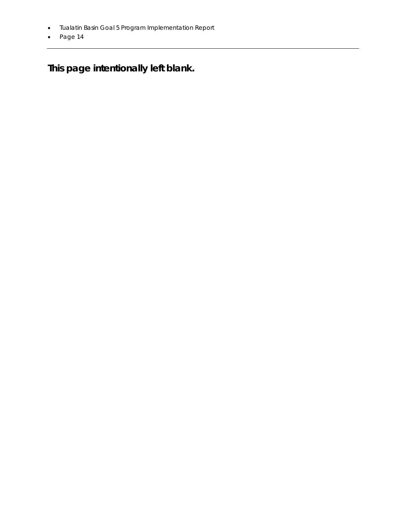- Tualatin Basin Goal 5 Program Implementation Report
- Page 14

**This page intentionally left blank.**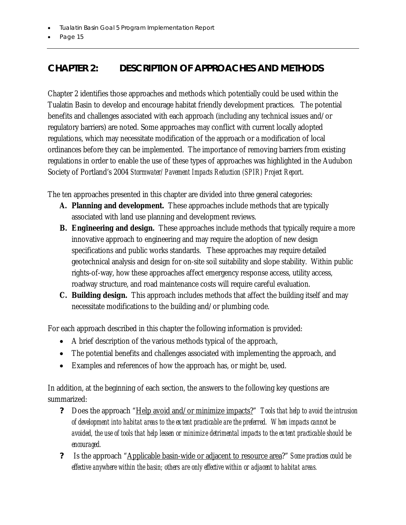Page 15

# **CHAPTER 2: DESCRIPTION OF APPROACHES AND METHODS**

Chapter 2 identifies those approaches and methods which potentially could be used within the Tualatin Basin to develop and encourage habitat friendly development practices. The potential benefits and challenges associated with each approach (including any technical issues and/or regulatory barriers) are noted. Some approaches may conflict with current locally adopted regulations, which may necessitate modification of the approach or a modification of local ordinances before they can be implemented. The importance of removing barriers from existing regulations in order to enable the use of these types of approaches was highlighted in the Audubon Society of Portland's 2004 *Stormwater/Pavement Impacts Reduction (SPIR) Project Report*.

The ten approaches presented in this chapter are divided into three general categories:

- **A. Planning and development.** These approaches include methods that are typically associated with land use planning and development reviews.
- **B.** Engineering and design. These approaches include methods that typically require a more innovative approach to engineering and may require the adoption of new design specifications and public works standards. These approaches may require detailed geotechnical analysis and design for on-site soil suitability and slope stability. Within public rights-of-way, how these approaches affect emergency response access, utility access, roadway structure, and road maintenance costs will require careful evaluation.
- **C. Building design.** This approach includes methods that affect the building itself and may necessitate modifications to the building and/or plumbing code.

For each approach described in this chapter the following information is provided:

- A brief description of the various methods typical of the approach,
- The potential benefits and challenges associated with implementing the approach, and
- Examples and references of how the approach has, or might be, used.

In addition, at the beginning of each section, the answers to the following key questions are summarized:

- **?** Does the approach "Help avoid and/or minimize impacts?" *Tools that help to avoid the intrusion of development into habitat areas to the extent practicable are the preferred. When impacts cannot be avoided, the use of tools that help lessen or minimize detrimental impacts to the extent practicable should be encouraged.*
- **?** Is the approach "Applicable basin-wide or adjacent to resource area?" *Some practices could be effective anywhere within the basin; others are only effective within or adjacent to habitat areas.*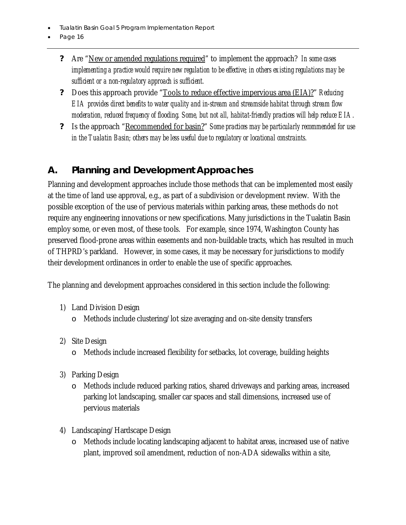- Tualatin Basin Goal 5 Program Implementation Report
- Page 16
	- **?** Are "New or amended regulations required" to implement the approach? *In some cases implementing a practice would require new regulation to be effective; in others existing regulations may be sufficient or a non-regulatory approach is sufficient.*
	- **?** Does this approach provide "Tools to reduce effective impervious area (EIA)?" *Reducing EIA provides direct benefits to water quality and in-stream and streamside habitat through stream flow moderation, reduced frequency of flooding. Some, but not all, habitat-friendly practices will help reduce EIA.*
	- **?** Is the approach "Recommended for basin?" *Some practices may be particularly recommended for use in the Tualatin Basin; others may be less useful due to regulatory or locational constraints.*

# *A. Planning and Development Approaches*

Planning and development approaches include those methods that can be implemented most easily at the time of land use approval, e.g., as part of a subdivision or development review. With the possible exception of the use of pervious materials within parking areas, these methods do not require any engineering innovations or new specifications. Many jurisdictions in the Tualatin Basin employ some, or even most, of these tools. For example, since 1974, Washington County has preserved flood-prone areas within easements and non-buildable tracts, which has resulted in much of THPRD's parkland. However, in some cases, it may be necessary for jurisdictions to modify their development ordinances in order to enable the use of specific approaches.

The planning and development approaches considered in this section include the following:

- 1) Land Division Design
	- o Methods include clustering/lot size averaging and on-site density transfers
- 2) Site Design
	- o Methods include increased flexibility for setbacks, lot coverage, building heights
- 3) Parking Design
	- o Methods include reduced parking ratios, shared driveways and parking areas, increased parking lot landscaping, smaller car spaces and stall dimensions, increased use of pervious materials
- 4) Landscaping/Hardscape Design
	- o Methods include locating landscaping adjacent to habitat areas, increased use of native plant, improved soil amendment, reduction of non-ADA sidewalks within a site,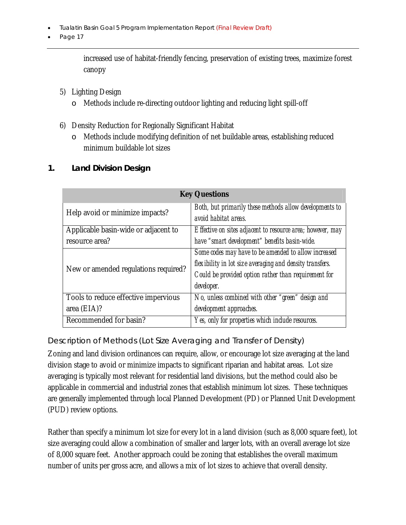- Tualatin Basin Goal 5 Program Implementation Report (Final Review Draft)
- Page 17

increased use of habitat-friendly fencing, preservation of existing trees, maximize forest canopy

- 5) Lighting Design
	- o Methods include re-directing outdoor lighting and reducing light spill-off
- 6) Density Reduction for Regionally Significant Habitat
	- o Methods include modifying definition of net buildable areas, establishing reduced minimum buildable lot sizes

#### **1. Land Division Design**

| <b>Key Questions</b>                 |                                                            |  |
|--------------------------------------|------------------------------------------------------------|--|
| Help avoid or minimize impacts?      | Both, but primarily these methods allow developments to    |  |
|                                      | avoid habitat areas.                                       |  |
| Applicable basin-wide or adjacent to | Effective on sites adjacent to resource area; however, may |  |
| resource area?                       | have "smart development" benefits basin-wide.              |  |
| New or amended regulations required? | Some codes may have to be amended to allow increased       |  |
|                                      | flexibility in lot size averaging and density transfers.   |  |
|                                      | Could be provided option rather than requirement for       |  |
|                                      | developer.                                                 |  |
| Tools to reduce effective impervious | No, unless combined with other "green" design and          |  |
| area (EIA)?                          | development approaches.                                    |  |
| Recommended for basin?               | Yes, only for properties which include resources.          |  |

Description of Methods (Lot Size Averaging and Transfer of Density)

Zoning and land division ordinances can require, allow, or encourage lot size averaging at the land division stage to avoid or minimize impacts to significant riparian and habitat areas. Lot size averaging is typically most relevant for residential land divisions, but the method could also be applicable in commercial and industrial zones that establish minimum lot sizes. These techniques are generally implemented through local Planned Development (PD) or Planned Unit Development (PUD) review options.

Rather than specify a minimum lot size for every lot in a land division (such as 8,000 square feet), lot size averaging could allow a combination of smaller and larger lots, with an overall average lot size of 8,000 square feet. Another approach could be zoning that establishes the overall maximum number of units per gross acre, and allows a mix of lot sizes to achieve that overall density.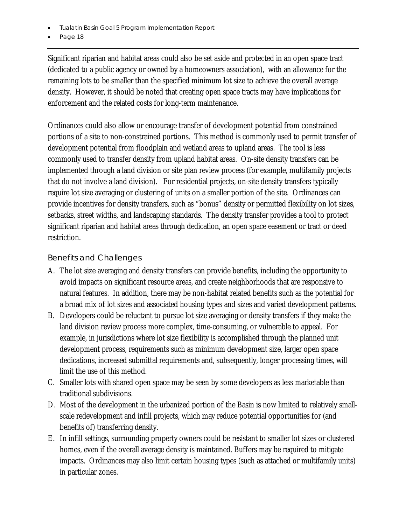- Tualatin Basin Goal 5 Program Implementation Report
- Page 18

Significant riparian and habitat areas could also be set aside and protected in an open space tract (dedicated to a public agency or owned by a homeowners association), with an allowance for the remaining lots to be smaller than the specified minimum lot size to achieve the overall average density. However, it should be noted that creating open space tracts may have implications for enforcement and the related costs for long-term maintenance.

Ordinances could also allow or encourage transfer of development potential from constrained portions of a site to non-constrained portions. This method is commonly used to permit transfer of development potential from floodplain and wetland areas to upland areas. The tool is less commonly used to transfer density from upland habitat areas. On-site density transfers can be implemented through a land division or site plan review process (for example, multifamily projects that do not involve a land division). For residential projects, on-site density transfers typically require lot size averaging or clustering of units on a smaller portion of the site. Ordinances can provide incentives for density transfers, such as "bonus" density or permitted flexibility on lot sizes, setbacks, street widths, and landscaping standards. The density transfer provides a tool to protect significant riparian and habitat areas through dedication, an open space easement or tract or deed restriction.

### Benefits and Challenges

- A. The lot size averaging and density transfers can provide benefits, including the opportunity to avoid impacts on significant resource areas, and create neighborhoods that are responsive to natural features. In addition, there may be non-habitat related benefits such as the potential for a broad mix of lot sizes and associated housing types and sizes and varied development patterns.
- B. Developers could be reluctant to pursue lot size averaging or density transfers if they make the land division review process more complex, time-consuming, or vulnerable to appeal. For example, in jurisdictions where lot size flexibility is accomplished through the planned unit development process, requirements such as minimum development size, larger open space dedications, increased submittal requirements and, subsequently, longer processing times, will limit the use of this method.
- C. Smaller lots with shared open space may be seen by some developers as less marketable than traditional subdivisions.
- D. Most of the development in the urbanized portion of the Basin is now limited to relatively smallscale redevelopment and infill projects, which may reduce potential opportunities for (and benefits of) transferring density.
- E. In infill settings, surrounding property owners could be resistant to smaller lot sizes or clustered homes, even if the overall average density is maintained. Buffers may be required to mitigate impacts. Ordinances may also limit certain housing types (such as attached or multifamily units) in particular zones.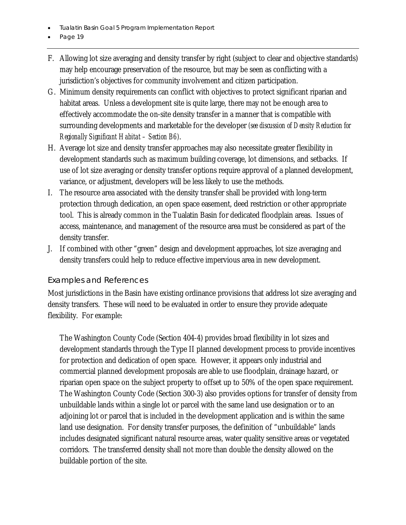- Tualatin Basin Goal 5 Program Implementation Report
- Page 19
- F. Allowing lot size averaging and density transfer by right (subject to clear and objective standards) may help encourage preservation of the resource, but may be seen as conflicting with a jurisdiction's objectives for community involvement and citizen participation.
- G. Minimum density requirements can conflict with objectives to protect significant riparian and habitat areas. Unless a development site is quite large, there may not be enough area to effectively accommodate the on-site density transfer in a manner that is compatible with surrounding developments and marketable for the developer *(see discussion of Density Reduction for Regionally Significant Habitat – Section B6)*.
- H. Average lot size and density transfer approaches may also necessitate greater flexibility in development standards such as maximum building coverage, lot dimensions, and setbacks. If use of lot size averaging or density transfer options require approval of a planned development, variance, or adjustment, developers will be less likely to use the methods.
- I. The resource area associated with the density transfer shall be provided with long-term protection through dedication, an open space easement, deed restriction or other appropriate tool. This is already common in the Tualatin Basin for dedicated floodplain areas. Issues of access, maintenance, and management of the resource area must be considered as part of the density transfer.
- J. If combined with other "green" design and development approaches, lot size averaging and density transfers could help to reduce effective impervious area in new development.

### Examples and References

Most jurisdictions in the Basin have existing ordinance provisions that address lot size averaging and density transfers. These will need to be evaluated in order to ensure they provide adequate flexibility. For example:

The Washington County Code (Section 404-4) provides broad flexibility in lot sizes and development standards through the Type II planned development process to provide incentives for protection and dedication of open space. However, it appears only industrial and commercial planned development proposals are able to use floodplain, drainage hazard, or riparian open space on the subject property to offset up to 50% of the open space requirement. The Washington County Code (Section 300-3) also provides options for transfer of density from unbuildable lands within a single lot or parcel with the same land use designation or to an adjoining lot or parcel that is included in the development application and is within the same land use designation. For density transfer purposes, the definition of "unbuildable" lands includes designated significant natural resource areas, water quality sensitive areas or vegetated corridors. The transferred density shall not more than double the density allowed on the buildable portion of the site.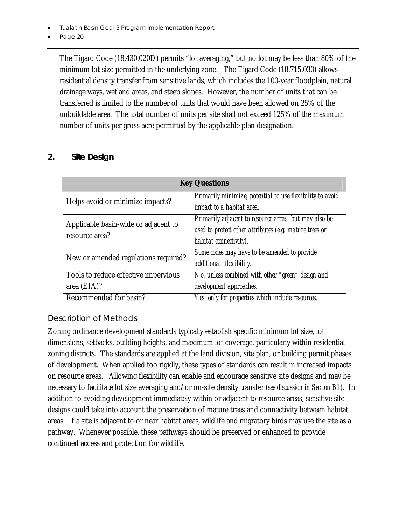- Tualatin Basin Goal 5 Program Implementation Report
- Page 20

The Tigard Code (18.430.020D) permits "lot averaging," but no lot may be less than 80% of the minimum lot size permitted in the underlying zone. The Tigard Code (18.715.030) allows residential density transfer from sensitive lands, which includes the 100-year floodplain, natural drainage ways, wetland areas, and steep slopes. However, the number of units that can be transferred is limited to the number of units that would have been allowed on 25% of the unbuildable area. The total number of units per site shall not exceed 125% of the maximum number of units per gross acre permitted by the applicable plan designation.

### **2. Site Design**

| <b>Key Questions</b>                 |                                                           |  |
|--------------------------------------|-----------------------------------------------------------|--|
| Helps avoid or minimize impacts?     | Primarily minimize, potential to use flexibility to avoid |  |
|                                      | impact to a habitat area.                                 |  |
| Applicable basin-wide or adjacent to | Primarily adjacent to resource areas, but may also be     |  |
| resource area?                       | used to protect other attributes (e.g. mature trees or    |  |
|                                      | habitat connectivity).                                    |  |
|                                      | Some codes may have to be amended to provide              |  |
| New or amended regulations required? | additional flexibility.                                   |  |
| Tools to reduce effective impervious | No, unless combined with other "green" design and         |  |
| area $(EIA)$ ?                       | development approaches.                                   |  |
| Recommended for basin?               | Yes, only for properties which include resources.         |  |

# Description of Methods

Zoning ordinance development standards typically establish specific minimum lot size, lot dimensions, setbacks, building heights, and maximum lot coverage, particularly within residential zoning districts. The standards are applied at the land division, site plan, or building permit phases of development. When applied too rigidly, these types of standards can result in increased impacts on resource areas. Allowing flexibility can enable and encourage sensitive site designs and may be necessary to facilitate lot size averaging and/or on-site density transfer *(see discussion in Section B1)*. In addition to avoiding development immediately within or adjacent to resource areas, sensitive site designs could take into account the preservation of mature trees and connectivity between habitat areas. If a site is adjacent to or near habitat areas, wildlife and migratory birds may use the site as a pathway. Whenever possible, these pathways should be preserved or enhanced to provide continued access and protection for wildlife.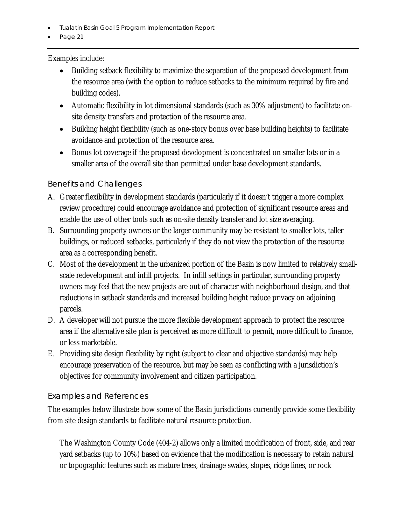- Tualatin Basin Goal 5 Program Implementation Report
- Page 21

Examples include:

- Building setback flexibility to maximize the separation of the proposed development from the resource area (with the option to reduce setbacks to the minimum required by fire and building codes).
- Automatic flexibility in lot dimensional standards (such as 30% adjustment) to facilitate onsite density transfers and protection of the resource area.
- Building height flexibility (such as one-story bonus over base building heights) to facilitate avoidance and protection of the resource area.
- Bonus lot coverage if the proposed development is concentrated on smaller lots or in a smaller area of the overall site than permitted under base development standards.

### Benefits and Challenges

- A. Greater flexibility in development standards (particularly if it doesn't trigger a more complex review procedure) could encourage avoidance and protection of significant resource areas and enable the use of other tools such as on-site density transfer and lot size averaging.
- B. Surrounding property owners or the larger community may be resistant to smaller lots, taller buildings, or reduced setbacks, particularly if they do not view the protection of the resource area as a corresponding benefit.
- C. Most of the development in the urbanized portion of the Basin is now limited to relatively smallscale redevelopment and infill projects. In infill settings in particular, surrounding property owners may feel that the new projects are out of character with neighborhood design, and that reductions in setback standards and increased building height reduce privacy on adjoining parcels.
- D. A developer will not pursue the more flexible development approach to protect the resource area if the alternative site plan is perceived as more difficult to permit, more difficult to finance, or less marketable.
- E. Providing site design flexibility by right (subject to clear and objective standards) may help encourage preservation of the resource, but may be seen as conflicting with a jurisdiction's objectives for community involvement and citizen participation.

### Examples and References

The examples below illustrate how some of the Basin jurisdictions currently provide some flexibility from site design standards to facilitate natural resource protection.

The Washington County Code (404-2) allows only a limited modification of front, side, and rear yard setbacks (up to 10%) based on evidence that the modification is necessary to retain natural or topographic features such as mature trees, drainage swales, slopes, ridge lines, or rock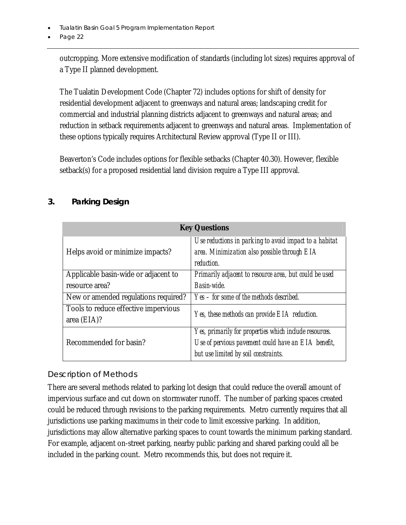- Tualatin Basin Goal 5 Program Implementation Report
- Page 22

outcropping. More extensive modification of standards (including lot sizes) requires approval of a Type II planned development.

The Tualatin Development Code (Chapter 72) includes options for shift of density for residential development adjacent to greenways and natural areas; landscaping credit for commercial and industrial planning districts adjacent to greenways and natural areas; and reduction in setback requirements adjacent to greenways and natural areas. Implementation of these options typically requires Architectural Review approval (Type II or III).

Beaverton's Code includes options for flexible setbacks (Chapter 40.30). However, flexible setback(s) for a proposed residential land division require a Type III approval.

| <b>Key Questions</b>                                |                                                                                                                                                       |  |
|-----------------------------------------------------|-------------------------------------------------------------------------------------------------------------------------------------------------------|--|
| Helps avoid or minimize impacts?                    | Use reductions in parking to avoid impact to a habitat<br>area. Minimization also possible through EIA<br>reduction.                                  |  |
| Applicable basin-wide or adjacent to                | Primarily adjacent to resource area, but could be used                                                                                                |  |
| resource area?                                      | Basin-wide.                                                                                                                                           |  |
| New or amended regulations required?                | Yes – for some of the methods described.                                                                                                              |  |
| Tools to reduce effective impervious<br>area (EIA)? | Yes, these methods can provide EIA reduction.                                                                                                         |  |
| Recommended for basin?                              | Yes, primarily for properties which include resources.<br>Use of pervious pavement could have an EIA benefit,<br>but use limited by soil constraints. |  |
|                                                     |                                                                                                                                                       |  |

### **3. Parking Design**

# Description of Methods

There are several methods related to parking lot design that could reduce the overall amount of impervious surface and cut down on stormwater runoff. The number of parking spaces created could be reduced through revisions to the parking requirements. Metro currently requires that all jurisdictions use parking maximums in their code to limit excessive parking. In addition, jurisdictions may allow alternative parking spaces to count towards the minimum parking standard. For example, adjacent on-street parking, nearby public parking and shared parking could all be included in the parking count. Metro recommends this, but does not require it.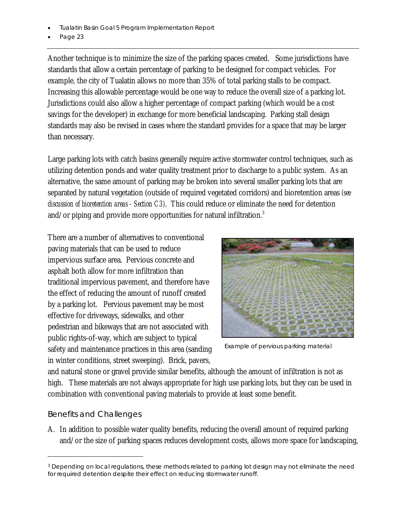- Tualatin Basin Goal 5 Program Implementation Report
- Page 23

Another technique is to minimize the size of the parking spaces created. Some jurisdictions have standards that allow a certain percentage of parking to be designed for compact vehicles. For example, the city of Tualatin allows no more than 35% of total parking stalls to be compact. Increasing this allowable percentage would be one way to reduce the overall size of a parking lot. Jurisdictions could also allow a higher percentage of compact parking (which would be a cost savings for the developer) in exchange for more beneficial landscaping. Parking stall design standards may also be revised in cases where the standard provides for a space that may be larger than necessary.

Large parking lots with catch basins generally require active stormwater control techniques, such as utilizing detention ponds and water quality treatment prior to discharge to a public system. As an alternative, the same amount of parking may be broken into several smaller parking lots that are separated by natural vegetation (outside of required vegetated corridors) and bioretention areas *(see discussion of bioretention areas - Section C3)*. This could reduce or eliminate the need for detention and/or piping and provide more opportunities for natural infiltration.<sup>3</sup>

There are a number of alternatives to conventional paving materials that can be used to reduce impervious surface area. Pervious concrete and asphalt both allow for more infiltration than traditional impervious pavement, and therefore have the effect of reducing the amount of runoff created by a parking lot. Pervious pavement may be most effective for driveways, sidewalks, and other pedestrian and bikeways that are not associated with public rights-of-way, which are subject to typical safety and maintenance practices in this area (sanding in winter conditions, street sweeping). Brick, pavers,



Example of pervious parking material

and natural stone or gravel provide similar benefits, although the amount of infiltration is not as high. These materials are not always appropriate for high use parking lots, but they can be used in combination with conventional paving materials to provide at least some benefit.

### Benefits and Challenges

 $\overline{a}$ 

A. In addition to possible water quality benefits, reducing the overall amount of required parking and/or the size of parking spaces reduces development costs, allows more space for landscaping,

*<sup>3</sup> Depending on local regulations, these methods related to parking lot design may not eliminate the need for required detention despite their effect on reducing stormwater runoff.*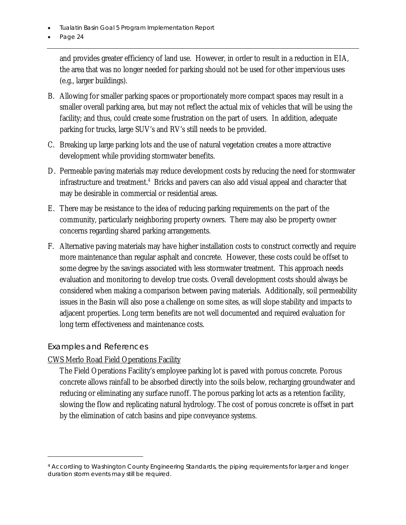- Tualatin Basin Goal 5 Program Implementation Report
- Page 24

and provides greater efficiency of land use. However, in order to result in a reduction in EIA, the area that was no longer needed for parking should not be used for other impervious uses (e.g., larger buildings).

- B. Allowing for smaller parking spaces or proportionately more compact spaces may result in a smaller overall parking area, but may not reflect the actual mix of vehicles that will be using the facility; and thus, could create some frustration on the part of users. In addition, adequate parking for trucks, large SUV's and RV's still needs to be provided.
- C. Breaking up large parking lots and the use of natural vegetation creates a more attractive development while providing stormwater benefits.
- D. Permeable paving materials may reduce development costs by reducing the need for stormwater infrastructure and treatment.<sup>4</sup> Bricks and pavers can also add visual appeal and character that may be desirable in commercial or residential areas.
- E. There may be resistance to the idea of reducing parking requirements on the part of the community, particularly neighboring property owners. There may also be property owner concerns regarding shared parking arrangements.
- F. Alternative paving materials may have higher installation costs to construct correctly and require more maintenance than regular asphalt and concrete. However, these costs could be offset to some degree by the savings associated with less stormwater treatment. This approach needs evaluation and monitoring to develop true costs. Overall development costs should always be considered when making a comparison between paving materials. Additionally, soil permeability issues in the Basin will also pose a challenge on some sites, as will slope stability and impacts to adjacent properties. Long term benefits are not well documented and required evaluation for long term effectiveness and maintenance costs.

### Examples and References

-

# CWS Merlo Road Field Operations Facility

The Field Operations Facility's employee parking lot is paved with porous concrete. Porous concrete allows rainfall to be absorbed directly into the soils below, recharging groundwater and reducing or eliminating any surface runoff. The porous parking lot acts as a retention facility, slowing the flow and replicating natural hydrology. The cost of porous concrete is offset in part by the elimination of catch basins and pipe conveyance systems.

*<sup>4</sup> According to Washington County Engineering Standards, the piping requirements for larger and longer duration storm events may still be required.*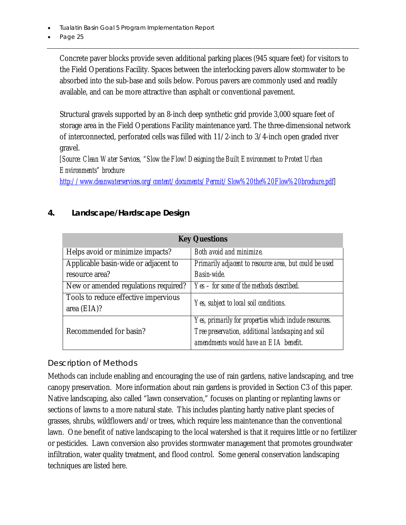- Tualatin Basin Goal 5 Program Implementation Report
- Page 25

Concrete paver blocks provide seven additional parking places (945 square feet) for visitors to the Field Operations Facility. Spaces between the interlocking pavers allow stormwater to be absorbed into the sub-base and soils below. Porous pavers are commonly used and readily available, and can be more attractive than asphalt or conventional pavement.

Structural gravels supported by an 8-inch deep synthetic grid provide 3,000 square feet of storage area in the Field Operations Facility maintenance yard. The three-dimensional network of interconnected, perforated cells was filled with 11/2-inch to 3/4-inch open graded river gravel.

*[Source: Clean Water Services, "Slow the Flow! Designing the Built Environment to Protect Urban Environments" brochure* 

*http://www.cleanwaterservices.org/content/documents/Permit/Slow%20the%20Flow%20brochure.pdf]* 

# **4. Landscape/Hardscape Design**

| <b>Key Questions</b>                                |                                                        |  |
|-----------------------------------------------------|--------------------------------------------------------|--|
| Helps avoid or minimize impacts?                    | Both avoid and minimize.                               |  |
| Applicable basin-wide or adjacent to                | Primarily adjacent to resource area, but could be used |  |
| resource area?                                      | Basin-wide.                                            |  |
| New or amended regulations required?                | Yes - for some of the methods described.               |  |
| Tools to reduce effective impervious<br>area (EIA)? | Yes, subject to local soil conditions.                 |  |
|                                                     | Yes, primarily for properties which include resources. |  |
| Recommended for basin?                              | Tree preservation, additional landscaping and soil     |  |
|                                                     | amendments would have an EIA benefit.                  |  |

# Description of Methods

Methods can include enabling and encouraging the use of rain gardens, native landscaping, and tree canopy preservation. More information about rain gardens is provided in Section C3 of this paper. Native landscaping, also called "lawn conservation," focuses on planting or replanting lawns or sections of lawns to a more natural state. This includes planting hardy native plant species of grasses, shrubs, wildflowers and/or trees, which require less maintenance than the conventional lawn. One benefit of native landscaping to the local watershed is that it requires little or no fertilizer or pesticides. Lawn conversion also provides stormwater management that promotes groundwater infiltration, water quality treatment, and flood control. Some general conservation landscaping techniques are listed here.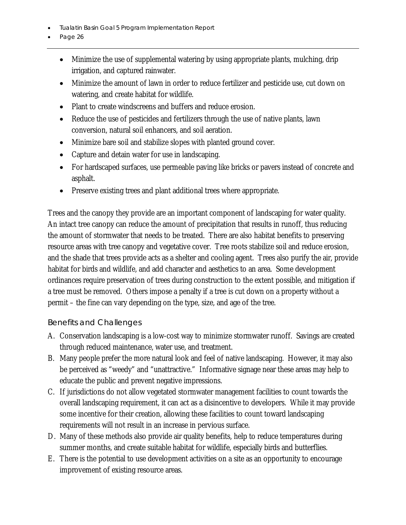- Tualatin Basin Goal 5 Program Implementation Report
- Page 26
	- Minimize the use of supplemental watering by using appropriate plants, mulching, drip irrigation, and captured rainwater.
	- Minimize the amount of lawn in order to reduce fertilizer and pesticide use, cut down on watering, and create habitat for wildlife.
	- Plant to create windscreens and buffers and reduce erosion.
	- Reduce the use of pesticides and fertilizers through the use of native plants, lawn conversion, natural soil enhancers, and soil aeration.
	- Minimize bare soil and stabilize slopes with planted ground cover.
	- Capture and detain water for use in landscaping.
	- For hardscaped surfaces, use permeable paving like bricks or pavers instead of concrete and asphalt.
	- Preserve existing trees and plant additional trees where appropriate.

Trees and the canopy they provide are an important component of landscaping for water quality. An intact tree canopy can reduce the amount of precipitation that results in runoff, thus reducing the amount of stormwater that needs to be treated. There are also habitat benefits to preserving resource areas with tree canopy and vegetative cover. Tree roots stabilize soil and reduce erosion, and the shade that trees provide acts as a shelter and cooling agent. Trees also purify the air, provide habitat for birds and wildlife, and add character and aesthetics to an area. Some development ordinances require preservation of trees during construction to the extent possible, and mitigation if a tree must be removed. Others impose a penalty if a tree is cut down on a property without a permit – the fine can vary depending on the type, size, and age of the tree.

#### Benefits and Challenges

- A. Conservation landscaping is a low-cost way to minimize stormwater runoff. Savings are created through reduced maintenance, water use, and treatment.
- B. Many people prefer the more natural look and feel of native landscaping. However, it may also be perceived as "weedy" and "unattractive." Informative signage near these areas may help to educate the public and prevent negative impressions.
- C. If jurisdictions do not allow vegetated stormwater management facilities to count towards the overall landscaping requirement, it can act as a disincentive to developers. While it may provide some incentive for their creation, allowing these facilities to count toward landscaping requirements will not result in an increase in pervious surface.
- D. Many of these methods also provide air quality benefits, help to reduce temperatures during summer months, and create suitable habitat for wildlife, especially birds and butterflies.
- E. There is the potential to use development activities on a site as an opportunity to encourage improvement of existing resource areas.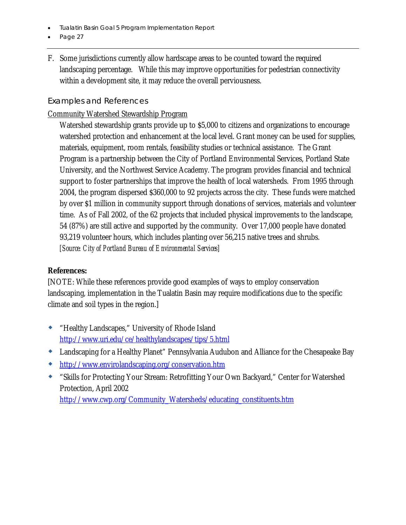- Tualatin Basin Goal 5 Program Implementation Report
- Page 27
- F. Some jurisdictions currently allow hardscape areas to be counted toward the required landscaping percentage. While this may improve opportunities for pedestrian connectivity within a development site, it may reduce the overall perviousness.

### Examples and References

#### Community Watershed Stewardship Program

Watershed stewardship grants provide up to \$5,000 to citizens and organizations to encourage watershed protection and enhancement at the local level. Grant money can be used for supplies, materials, equipment, room rentals, feasibility studies or technical assistance. The Grant Program is a partnership between the City of Portland Environmental Services, Portland State University, and the Northwest Service Academy. The program provides financial and technical support to foster partnerships that improve the health of local watersheds. From 1995 through 2004, the program dispersed \$360,000 to 92 projects across the city. These funds were matched by over \$1 million in community support through donations of services, materials and volunteer time. As of Fall 2002, of the 62 projects that included physical improvements to the landscape, 54 (87%) are still active and supported by the community. Over 17,000 people have donated 93,219 volunteer hours, which includes planting over 56,215 native trees and shrubs. *[Source: City of Portland Bureau of Environmental Services]*

#### **References:**

[NOTE: While these references provide good examples of ways to employ conservation landscaping, implementation in the Tualatin Basin may require modifications due to the specific climate and soil types in the region.]

- "Healthy Landscapes," University of Rhode Island http://www.uri.edu/ce/healthylandscapes/tips/5.html
- Landscaping for a Healthy Planet" Pennsylvania Audubon and Alliance for the Chesapeake Bay
- http://www.envirolandscaping.org/conservation.htm
- "Skills for Protecting Your Stream: Retrofitting Your Own Backyard," Center for Watershed Protection, April 2002 http://www.cwp.org/Community\_Watersheds/educating\_constituents.htm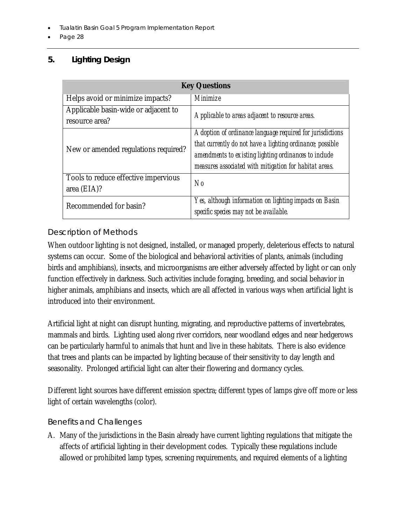- Tualatin Basin Goal 5 Program Implementation Report
- Page 28

# **5. Lighting Design**

| <b>Key Questions</b>                                   |                                                                                                                                                                                                                                           |  |
|--------------------------------------------------------|-------------------------------------------------------------------------------------------------------------------------------------------------------------------------------------------------------------------------------------------|--|
| Helps avoid or minimize impacts?                       | <i>Minimize</i>                                                                                                                                                                                                                           |  |
| Applicable basin-wide or adjacent to<br>resource area? | Applicable to areas adjacent to resource areas.                                                                                                                                                                                           |  |
| New or amended regulations required?                   | Adoption of ordinance language required for jurisdictions<br>that currently do not have a lighting ordinance; possible<br>amendments to existing lighting ordinances to include<br>measures associated with mitigation for habitat areas. |  |
| Tools to reduce effective impervious<br>area $(EIA)$ ? | $N_{0}$                                                                                                                                                                                                                                   |  |
| Recommended for basin?                                 | Yes, although information on lighting impacts on Basin<br>specific species may not be available.                                                                                                                                          |  |

# Description of Methods

When outdoor lighting is not designed, installed, or managed properly, deleterious effects to natural systems can occur. Some of the biological and behavioral activities of plants, animals (including birds and amphibians), insects, and microorganisms are either adversely affected by light or can only function effectively in darkness. Such activities include foraging, breeding, and social behavior in higher animals, amphibians and insects, which are all affected in various ways when artificial light is introduced into their environment.

Artificial light at night can disrupt hunting, migrating, and reproductive patterns of invertebrates, mammals and birds. Lighting used along river corridors, near woodland edges and near hedgerows can be particularly harmful to animals that hunt and live in these habitats. There is also evidence that trees and plants can be impacted by lighting because of their sensitivity to day length and seasonality. Prolonged artificial light can alter their flowering and dormancy cycles.

Different light sources have different emission spectra; different types of lamps give off more or less light of certain wavelengths (color).

# Benefits and Challenges

A. Many of the jurisdictions in the Basin already have current lighting regulations that mitigate the affects of artificial lighting in their development codes. Typically these regulations include allowed or prohibited lamp types, screening requirements, and required elements of a lighting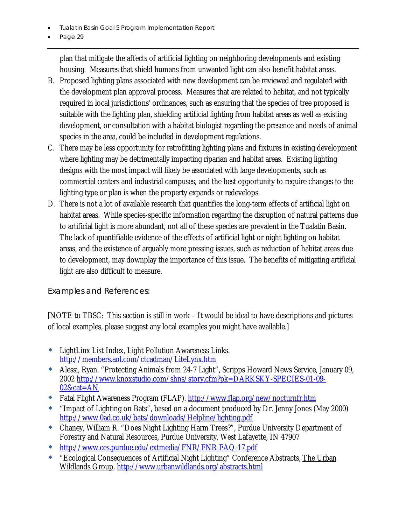- Tualatin Basin Goal 5 Program Implementation Report
- Page 29

plan that mitigate the affects of artificial lighting on neighboring developments and existing housing. Measures that shield humans from unwanted light can also benefit habitat areas.

- B. Proposed lighting plans associated with new development can be reviewed and regulated with the development plan approval process. Measures that are related to habitat, and not typically required in local jurisdictions' ordinances, such as ensuring that the species of tree proposed is suitable with the lighting plan, shielding artificial lighting from habitat areas as well as existing development, or consultation with a habitat biologist regarding the presence and needs of animal species in the area, could be included in development regulations.
- C. There may be less opportunity for retrofitting lighting plans and fixtures in existing development where lighting may be detrimentally impacting riparian and habitat areas. Existing lighting designs with the most impact will likely be associated with large developments, such as commercial centers and industrial campuses, and the best opportunity to require changes to the lighting type or plan is when the property expands or redevelops.
- D. There is not a lot of available research that quantifies the long-term effects of artificial light on habitat areas. While species-specific information regarding the disruption of natural patterns due to artificial light is more abundant, not all of these species are prevalent in the Tualatin Basin. The lack of quantifiable evidence of the effects of artificial light or night lighting on habitat areas, and the existence of arguably more pressing issues, such as reduction of habitat areas due to development, may downplay the importance of this issue. The benefits of mitigating artificial light are also difficult to measure.

Examples and References:

[NOTE to TBSC: This section is still in work – It would be ideal to have descriptions and pictures of local examples, please suggest any local examples you might have available.]

- LightLinx List Index, Light Pollution Awareness Links. http://members.aol.com/ctcadman/LiteLynx.htm
- Alessi, Ryan. "Protecting Animals from 24-7 Light", Scripps Howard News Service, January 09, 2002 http://www.knoxstudio.com/shns/story.cfm?pk=DARKSKY-SPECIES-01-09-  $02&cat=AN$
- Fatal Flight Awareness Program (FLAP). http://www.flap.org/new/nocturnfr.htm
- "Impact of Lighting on Bats", based on a document produced by Dr. Jenny Jones (May 2000) http://www.0ad.co.uk/bats/downloads/Helpline/lighting.pdf
- Chaney, William R. "Does Night Lighting Harm Trees?", Purdue University Department of Forestry and Natural Resources, Purdue University, West Lafayette, IN 47907
- http://www.ces.purdue.edu/extmedia/FNR/FNR-FAQ-17.pdf
- "Ecological Consequences of Artificial Night Lighting" Conference Abstracts, The Urban Wildlands Group, http://www.urbanwildlands.org/abstracts.html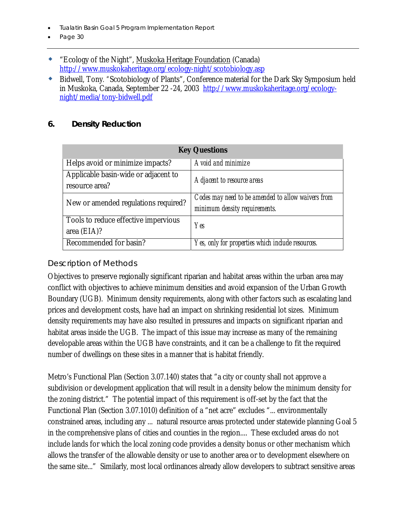- Tualatin Basin Goal 5 Program Implementation Report
- Page 30
- ◆ "Ecology of the Night", Muskoka Heritage Foundation (Canada) http://www.muskokaheritage.org/ecology-night/scotobiology.asp
- Bidwell, Tony*. "*Scotobiology of Plants", Conference material for the Dark Sky Symposium held in Muskoka, Canada, September 22 -24, 2003 http://www.muskokaheritage.org/ecologynight/media/tony-bidwell.pdf

#### **6. Density Reduction**

| <b>Key Questions</b>                                   |                                                                                     |  |  |  |
|--------------------------------------------------------|-------------------------------------------------------------------------------------|--|--|--|
| Helps avoid or minimize impacts?                       | Avoid and minimize                                                                  |  |  |  |
| Applicable basin-wide or adjacent to<br>resource area? | Adjacent to resource areas                                                          |  |  |  |
| New or amended regulations required?                   | Codes may need to be amended to allow waivers from<br>minimum density requirements. |  |  |  |
| Tools to reduce effective impervious<br>area (EIA)?    | Yes                                                                                 |  |  |  |
| Recommended for basin?                                 | Yes, only for properties which include resources.                                   |  |  |  |

#### Description of Methods

Objectives to preserve regionally significant riparian and habitat areas within the urban area may conflict with objectives to achieve minimum densities and avoid expansion of the Urban Growth Boundary (UGB). Minimum density requirements, along with other factors such as escalating land prices and development costs, have had an impact on shrinking residential lot sizes. Minimum density requirements may have also resulted in pressures and impacts on significant riparian and habitat areas inside the UGB. The impact of this issue may increase as many of the remaining developable areas within the UGB have constraints, and it can be a challenge to fit the required number of dwellings on these sites in a manner that is habitat friendly.

Metro's Functional Plan (Section 3.07.140) states that "a city or county shall not approve a subdivision or development application that will result in a density below the minimum density for the zoning district." The potential impact of this requirement is off-set by the fact that the Functional Plan (Section 3.07.1010) definition of a "net acre" excludes "... environmentally constrained areas, including any ... natural resource areas protected under statewide planning Goal 5 in the comprehensive plans of cities and counties in the region.... These excluded areas do not include lands for which the local zoning code provides a density bonus or other mechanism which allows the transfer of the allowable density or use to another area or to development elsewhere on the same site..." Similarly, most local ordinances already allow developers to subtract sensitive areas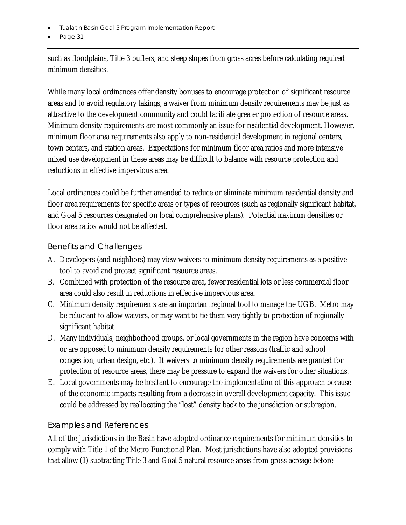- Tualatin Basin Goal 5 Program Implementation Report
- Page 31

such as floodplains, Title 3 buffers, and steep slopes from gross acres before calculating required minimum densities.

While many local ordinances offer density bonuses to encourage protection of significant resource areas and to avoid regulatory takings, a waiver from minimum density requirements may be just as attractive to the development community and could facilitate greater protection of resource areas. Minimum density requirements are most commonly an issue for residential development. However, minimum floor area requirements also apply to non-residential development in regional centers, town centers, and station areas. Expectations for minimum floor area ratios and more intensive mixed use development in these areas may be difficult to balance with resource protection and reductions in effective impervious area.

Local ordinances could be further amended to reduce or eliminate minimum residential density and floor area requirements for specific areas or types of resources (such as regionally significant habitat, and Goal 5 resources designated on local comprehensive plans). Potential *maximum* densities or floor area ratios would not be affected.

#### Benefits and Challenges

- A. Developers (and neighbors) may view waivers to minimum density requirements as a positive tool to avoid and protect significant resource areas.
- B. Combined with protection of the resource area, fewer residential lots or less commercial floor area could also result in reductions in effective impervious area.
- C. Minimum density requirements are an important regional tool to manage the UGB. Metro may be reluctant to allow waivers, or may want to tie them very tightly to protection of regionally significant habitat.
- D. Many individuals, neighborhood groups, or local governments in the region have concerns with or are opposed to minimum density requirements for other reasons (traffic and school congestion, urban design, etc.). If waivers to minimum density requirements are granted for protection of resource areas, there may be pressure to expand the waivers for other situations.
- E. Local governments may be hesitant to encourage the implementation of this approach because of the economic impacts resulting from a decrease in overall development capacity. This issue could be addressed by reallocating the "lost" density back to the jurisdiction or subregion.

## Examples and References

All of the jurisdictions in the Basin have adopted ordinance requirements for minimum densities to comply with Title 1 of the Metro Functional Plan. Most jurisdictions have also adopted provisions that allow (1) subtracting Title 3 and Goal 5 natural resource areas from gross acreage before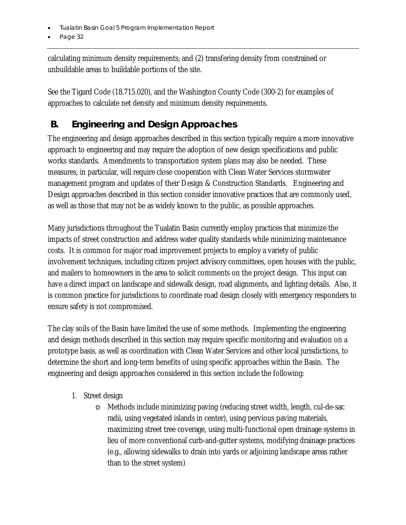- Tualatin Basin Goal 5 Program Implementation Report
- Page 32

calculating minimum density requirements; and (2) transfering density from constrained or unbuildable areas to buildable portions of the site.

See the Tigard Code (18.715.020), and the Washington County Code (300-2) for examples of approaches to calculate net density and minimum density requirements.

# *B. Engineering and Design Approaches*

The engineering and design approaches described in this section typically require a more innovative approach to engineering and may require the adoption of new design specifications and public works standards. Amendments to transportation system plans may also be needed. These measures, in particular, will require close cooperation with Clean Water Services stormwater management program and updates of their Design & Construction Standards. Engineering and Design approaches described in this section consider innovative practices that are commonly used, as well as those that may not be as widely known to the public, as possible approaches.

Many jurisdictions throughout the Tualatin Basin currently employ practices that minimize the impacts of street construction and address water quality standards while minimizing maintenance costs. It is common for major road improvement projects to employ a variety of public involvement techniques, including citizen project advisory committees, open houses with the public, and mailers to homeowners in the area to solicit comments on the project design. This input can have a direct impact on landscape and sidewalk design, road alignments, and lighting details. Also, it is common practice for jurisdictions to coordinate road design closely with emergency responders to ensure safety is not compromised.

The clay soils of the Basin have limited the use of some methods. Implementing the engineering and design methods described in this section may require specific monitoring and evaluation on a prototype basis, as well as coordination with Clean Water Services and other local jurisdictions, to determine the short and long-term benefits of using specific approaches within the Basin. The engineering and design approaches considered in this section include the following:

- 1. Street design
	- o Methods include minimizing paving (reducing street width, length, cul-de-sac radii, using vegetated islands in center), using pervious paving materials, maximizing street tree coverage, using multi-functional open drainage systems in lieu of more conventional curb-and-gutter systems, modifying drainage practices (e.g., allowing sidewalks to drain into yards or adjoining landscape areas rather than to the street system)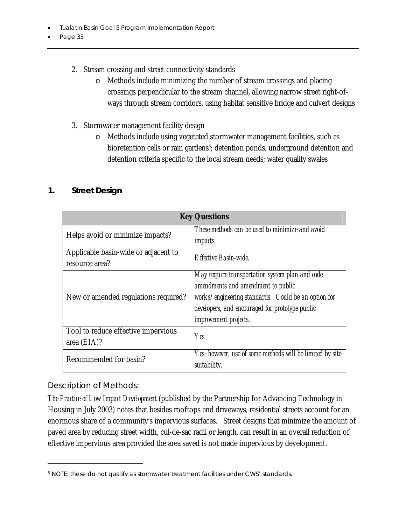- Tualatin Basin Goal 5 Program Implementation Report
- Page 33
	- 2. Stream crossing and street connectivity standards
		- o Methods include minimizing the number of stream crossings and placing crossings perpendicular to the stream channel, allowing narrow street right-ofways through stream corridors, using habitat sensitive bridge and culvert designs
	- 3. Stormwater management facility design
		- o Methods include using vegetated stormwater management facilities, such as bioretention cells or rain gardens<sup>5</sup>; detention ponds, underground detention and detention criteria specific to the local stream needs; water quality swales

|                                                        | <b>Key Questions</b>                                                                                                                                                                                                            |
|--------------------------------------------------------|---------------------------------------------------------------------------------------------------------------------------------------------------------------------------------------------------------------------------------|
| Helps avoid or minimize impacts?                       | These methods can be used to minimize and avoid<br><i>impacts.</i>                                                                                                                                                              |
| Applicable basin-wide or adjacent to<br>resource area? | Effective Basin-wide.                                                                                                                                                                                                           |
| New or amended regulations required?                   | May require transportation system plan and code<br>amendments and amendment to public<br>works/engineering standards. Could be an option for<br>developers, and encouraged for prototype public<br><i>improvement projects.</i> |
| Tool to reduce effective impervious<br>area (EIA)?     | Yes                                                                                                                                                                                                                             |
| Recommended for basin?                                 | Yes; however, use of some methods will be limited by site<br>suitability.                                                                                                                                                       |

# **1. Street Design**

Description of Methods:

 $\overline{a}$ 

*The Practice of Low Impact Development* (published by the Partnership for Advancing Technology in Housing in July 2003) notes that besides rooftops and driveways, residential streets account for an enormous share of a community's impervious surfaces. Street designs that minimize the amount of paved area by reducing street width, cul-de-sac radii or length, can result in an overall reduction of effective impervious area provided the area saved is not made impervious by development.

*<sup>5</sup>* NOTE: these do not qualify as stormwater treatment facilities under CWS' standards.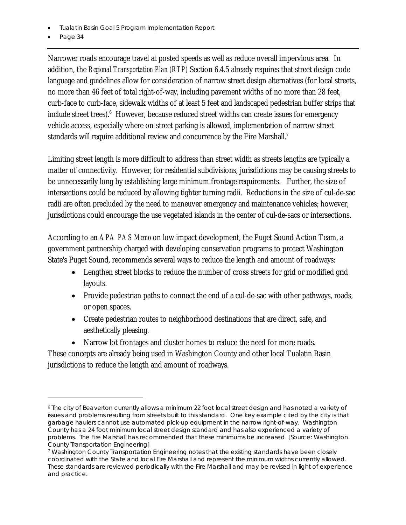- Tualatin Basin Goal 5 Program Implementation Report
- Page 34

 $\overline{a}$ 

Narrower roads encourage travel at posted speeds as well as reduce overall impervious area. In addition, the *Regional Transportation Plan (RTP)* Section 6.4.5 already requires that street design code language and guidelines allow for consideration of narrow street design alternatives (for local streets, no more than 46 feet of total right-of-way, including pavement widths of no more than 28 feet, curb-face to curb-face, sidewalk widths of at least 5 feet and landscaped pedestrian buffer strips that include street trees).<sup>6</sup> However, because reduced street widths can create issues for emergency vehicle access, especially where on-street parking is allowed, implementation of narrow street standards will require additional review and concurrence by the Fire Marshall.<sup>7</sup>

Limiting street length is more difficult to address than street width as streets lengths are typically a matter of connectivity. However, for residential subdivisions, jurisdictions may be causing streets to be unnecessarily long by establishing large minimum frontage requirements. Further, the size of intersections could be reduced by allowing tighter turning radii. Reductions in the size of cul-de-sac radii are often precluded by the need to maneuver emergency and maintenance vehicles; however, jurisdictions could encourage the use vegetated islands in the center of cul-de-sacs or intersections.

According to an *APA PAS Memo* on low impact development, the Puget Sound Action Team, a government partnership charged with developing conservation programs to protect Washington State's Puget Sound, recommends several ways to reduce the length and amount of roadways:

- Lengthen street blocks to reduce the number of cross streets for grid or modified grid layouts.
- Provide pedestrian paths to connect the end of a cul-de-sac with other pathways, roads, or open spaces.
- Create pedestrian routes to neighborhood destinations that are direct, safe, and aesthetically pleasing.

• Narrow lot frontages and cluster homes to reduce the need for more roads. These concepts are already being used in Washington County and other local Tualatin Basin jurisdictions to reduce the length and amount of roadways.

*<sup>6</sup> The city of Beaverton currently allows a minimum 22 foot local street design and has noted a variety of issues and problems resulting from streets built to this standard. One key example cited by the city is that garbage haulers cannot use automated pick-up equipment in the narrow right-of-way. Washington County has a 24 foot minimum local street design standard and has also experienced a variety of problems. The Fire Marshall has recommended that these minimums be increased. [Source: Washington County Transportation Engineering]* 

*<sup>7</sup> Washington County Transportation Engineering notes that the existing standards have been closely coordinated with the State and local Fire Marshall and represent the minimum widths currently allowed. These standards are reviewed periodically with the Fire Marshall and may be revised in light of experience and practice.*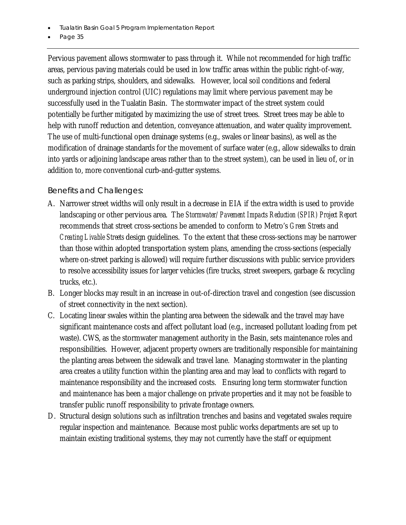- Tualatin Basin Goal 5 Program Implementation Report
- Page 35

Pervious pavement allows stormwater to pass through it. While not recommended for high traffic areas, pervious paving materials could be used in low traffic areas within the public right-of-way, such as parking strips, shoulders, and sidewalks. However, local soil conditions and federal underground injection control (UIC) regulations may limit where pervious pavement may be successfully used in the Tualatin Basin. The stormwater impact of the street system could potentially be further mitigated by maximizing the use of street trees. Street trees may be able to help with runoff reduction and detention, conveyance attenuation, and water quality improvement. The use of multi-functional open drainage systems (e.g., swales or linear basins), as well as the modification of drainage standards for the movement of surface water (e.g., allow sidewalks to drain into yards or adjoining landscape areas rather than to the street system), can be used in lieu of, or in addition to, more conventional curb-and-gutter systems.

#### Benefits and Challenges:

- A. Narrower street widths will only result in a decrease in EIA if the extra width is used to provide landscaping or other pervious area. The *Stormwater/Pavement Impacts Reduction (SPIR) Project Report* recommends that street cross-sections be amended to conform to Metro's *Green Streets* and *Creating Livable Streets* design guidelines. To the extent that these cross-sections may be narrower than those within adopted transportation system plans, amending the cross-sections (especially where on-street parking is allowed) will require further discussions with public service providers to resolve accessibility issues for larger vehicles (fire trucks, street sweepers, garbage & recycling trucks, etc.).
- B. Longer blocks may result in an increase in out-of-direction travel and congestion (see discussion of street connectivity in the next section).
- C. Locating linear swales within the planting area between the sidewalk and the travel may have significant maintenance costs and affect pollutant load (e.g., increased pollutant loading from pet waste). CWS, as the stormwater management authority in the Basin, sets maintenance roles and responsibilities. However, adjacent property owners are traditionally responsible for maintaining the planting areas between the sidewalk and travel lane. Managing stormwater in the planting area creates a utility function within the planting area and may lead to conflicts with regard to maintenance responsibility and the increased costs. Ensuring long term stormwater function and maintenance has been a major challenge on private properties and it may not be feasible to transfer public runoff responsibility to private frontage owners.
- D. Structural design solutions such as infiltration trenches and basins and vegetated swales require regular inspection and maintenance. Because most public works departments are set up to maintain existing traditional systems, they may not currently have the staff or equipment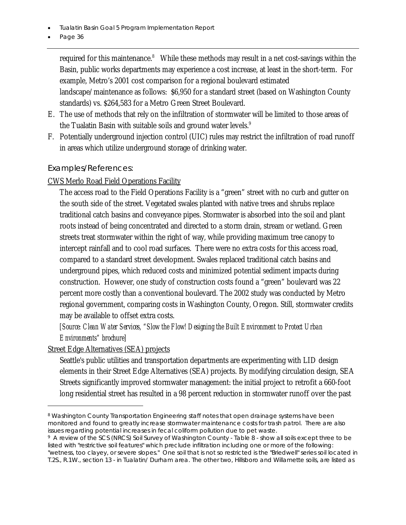- Tualatin Basin Goal 5 Program Implementation Report
- Page 36

required for this maintenance.<sup>8</sup> While these methods may result in a net cost-savings within the Basin, public works departments may experience a cost increase, at least in the short-term. For example, Metro's 2001 cost comparison for a regional boulevard estimated landscape/maintenance as follows: \$6,950 for a standard street (based on Washington County standards) vs. \$264,583 for a Metro Green Street Boulevard.

- E. The use of methods that rely on the infiltration of stormwater will be limited to those areas of the Tualatin Basin with suitable soils and ground water levels.<sup>9</sup>
- F. Potentially underground injection control (UIC) rules may restrict the infiltration of road runoff in areas which utilize underground storage of drinking water.

#### Examples/References:

## CWS Merlo Road Field Operations Facility

The access road to the Field Operations Facility is a "green" street with no curb and gutter on the south side of the street. Vegetated swales planted with native trees and shrubs replace traditional catch basins and conveyance pipes. Stormwater is absorbed into the soil and plant roots instead of being concentrated and directed to a storm drain, stream or wetland. Green streets treat stormwater within the right of way, while providing maximum tree canopy to intercept rainfall and to cool road surfaces. There were no extra costs for this access road, compared to a standard street development. Swales replaced traditional catch basins and underground pipes, which reduced costs and minimized potential sediment impacts during construction. However, one study of construction costs found a "green" boulevard was 22 percent more costly than a conventional boulevard. The 2002 study was conducted by Metro regional government, comparing costs in Washington County, Oregon. Still, stormwater credits may be available to offset extra costs.

*[Source: Clean Water Services, "Slow the Flow! Designing the Built Environment to Protect Urban Environments" brochure]* 

## Street Edge Alternatives (SEA) projects

 $\overline{a}$ 

Seattle's public utilities and transportation departments are experimenting with LID design elements in their Street Edge Alternatives (SEA) projects. By modifying circulation design, SEA Streets significantly improved stormwater management: the initial project to retrofit a 660-foot long residential street has resulted in a 98 percent reduction in stormwater runoff over the past

*<sup>8</sup> Washington County Transportation Engineering staff notes that open drainage systems have been monitored and found to greatly increase stormwater maintenance costs for trash patrol. There are also issues regarding potential increases in fecal coliform pollution due to pet waste. 9 A review of the SCS (NRCS) Soil Survey of Washington County - Table 8 - show all soils except three to be* 

*listed with "restrictive soil features" which preclude infiltration including one or more of the following: "wetness, too clayey, or severe slopes." One soil that is not so restricted is the "Briedwell" series soil located in T.2S., R.1W., section 13 - in Tualatin/ Durham area. The other two, Hillsboro and Willamette soils, are listed as*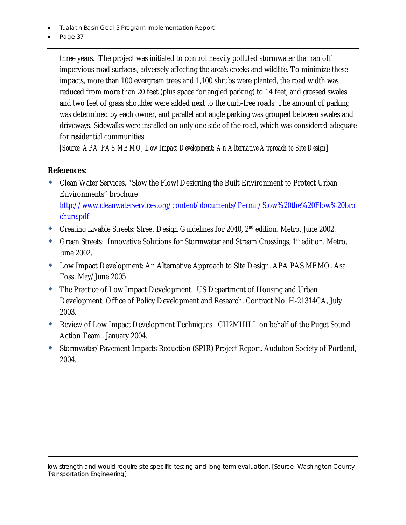- Tualatin Basin Goal 5 Program Implementation Report
- Page 37

three years. The project was initiated to control heavily polluted stormwater that ran off impervious road surfaces, adversely affecting the area's creeks and wildlife. To minimize these impacts, more than 100 evergreen trees and 1,100 shrubs were planted, the road width was reduced from more than 20 feet (plus space for angled parking) to 14 feet, and grassed swales and two feet of grass shoulder were added next to the curb-free roads. The amount of parking was determined by each owner, and parallel and angle parking was grouped between swales and driveways. Sidewalks were installed on only one side of the road, which was considered adequate for residential communities.

*[Source: APA PAS MEMO, Low Impact Development: An Alternative Approach to Site Design*]

## **References:**

 $\overline{a}$ 

- Clean Water Services, "Slow the Flow! Designing the Built Environment to Protect Urban Environments" brochure http://www.cleanwaterservices.org/content/documents/Permit/Slow%20the%20Flow%20bro chure.pdf
- Creating Livable Streets: Street Design Guidelines for 2040, 2<sup>nd</sup> edition. Metro, June 2002.
- Green Streets: Innovative Solutions for Stormwater and Stream Crossings, 1<sup>st</sup> edition. Metro, June 2002.
- Low Impact Development: An Alternative Approach to Site Design. APA PAS MEMO, Asa Foss, May/June 2005
- The Practice of Low Impact Development. US Department of Housing and Urban Development, Office of Policy Development and Research, Contract No. H-21314CA, July 2003.
- Review of Low Impact Development Techniques. CH2MHILL on behalf of the Puget Sound Action Team., January 2004.
- Stormwater/Pavement Impacts Reduction (SPIR) Project Report, Audubon Society of Portland, 2004.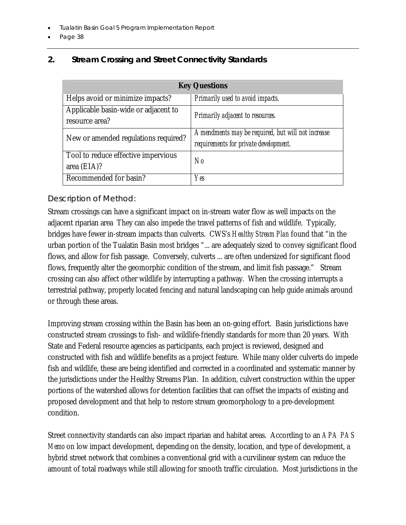- Tualatin Basin Goal 5 Program Implementation Report
- Page 38

| <b>Key Questions</b>                                   |                                                                                            |  |  |  |
|--------------------------------------------------------|--------------------------------------------------------------------------------------------|--|--|--|
| Helps avoid or minimize impacts?                       | Primarily used to avoid impacts.                                                           |  |  |  |
| Applicable basin-wide or adjacent to<br>resource area? | Primarily adjacent to resources.                                                           |  |  |  |
| New or amended regulations required?                   | Amendments may be required, but will not increase<br>requirements for private development. |  |  |  |
| Tool to reduce effective impervious<br>area (EIA)?     | $N_{0}$                                                                                    |  |  |  |
| Recommended for basin?                                 | Yes                                                                                        |  |  |  |

# **2. Stream Crossing and Street Connectivity Standards**

## Description of Method:

Stream crossings can have a significant impact on in-stream water flow as well impacts on the adjacent riparian area They can also impede the travel patterns of fish and wildlife. Typically, bridges have fewer in-stream impacts than culverts. CWS's *Healthy Stream Plan* found that "in the urban portion of the Tualatin Basin most bridges "... are adequately sized to convey significant flood flows, and allow for fish passage. Conversely, culverts ... are often undersized for significant flood flows, frequently alter the geomorphic condition of the stream, and limit fish passage." Stream crossing can also affect other wildlife by interrupting a pathway. When the crossing interrupts a terrestrial pathway, properly located fencing and natural landscaping can help guide animals around or through these areas.

Improving stream crossing within the Basin has been an on-going effort. Basin jurisdictions have constructed stream crossings to fish- and wildlife-friendly standards for more than 20 years. With State and Federal resource agencies as participants, each project is reviewed, designed and constructed with fish and wildlife benefits as a project feature. While many older culverts do impede fish and wildlife, these are being identified and corrected in a coordinated and systematic manner by the jurisdictions under the Healthy Streams Plan. In addition, culvert construction within the upper portions of the watershed allows for detention facilities that can offset the impacts of existing and proposed development and that help to restore stream geomorphology to a pre-development condition.

Street connectivity standards can also impact riparian and habitat areas. According to an *APA PAS Memo* on low impact development, depending on the density, location, and type of development, a hybrid street network that combines a conventional grid with a curvilinear system can reduce the amount of total roadways while still allowing for smooth traffic circulation. Most jurisdictions in the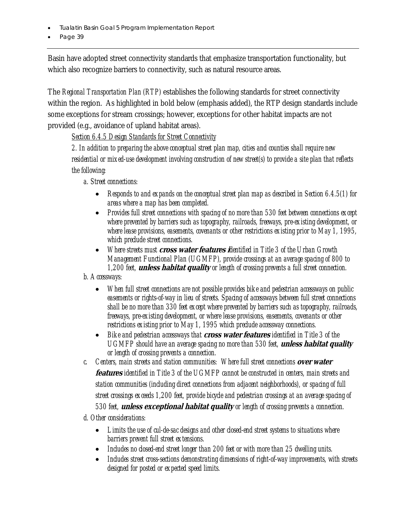- Tualatin Basin Goal 5 Program Implementation Report
- Page 39

Basin have adopted street connectivity standards that emphasize transportation functionality, but which also recognize barriers to connectivity, such as natural resource areas.

The *Regional Transportation Plan (RTP)* establishes the following standards for street connectivity within the region. As highlighted in bold below (emphasis added), the RTP design standards include some exceptions for stream crossings; however, exceptions for other habitat impacts are not provided (e.g., avoidance of upland habitat areas).

#### *Section 6.4.5 Design Standards for Street Connectivity*

*2. In addition to preparing the above conceptual street plan map, cities and counties shall require new residential or mixed-use development involving construction of new street(s) to provide a site plan that reflects the following:* 

*a. Street connections:* 

- *Responds to and expands on the conceptual street plan map as described in Section 6.4.5(1) for areas where a map has been completed.*
- *Provides full street connections with spacing of no more than 530 feet between connections except where prevented by barriers such as topography, railroads, freeways, pre-existing development, or where lease provisions, easements, covenants or other restrictions existing prior to May 1, 1995, which preclude street connections.*
- *Where streets must* **cross water features i***dentified in Title 3 of the Urban Growth Management Functional Plan (UGMFP), provide crossings at an average spacing of 800 to 1,200 feet,* **unless habitat quality** *or length of crossing prevents a full street connection.*
- *b. Accessways:* 
	- *When full street connections are not possible provides bike and pedestrian accessways on public easements or rights-of-way in lieu of streets. Spacing of accessways between full street connections shall be no more than 330 feet except where prevented by barriers such as topography, railroads, freeways, pre-existing development, or where lease provisions, easements, covenants or other restrictions existing prior to May 1, 1995 which preclude accessway connections.*
	- *Bike and pedestrian accessways that* **cross water features** *identified in Title 3 of the UGMFP should have an average spacing no more than 530 feet,* **unless habitat quality** *or length of crossing prevents a connection.*
- *c. Centers, main streets and station communities: Where full street connections* **over water features** *identified in Title 3 of the UGMFP cannot be constructed in centers, main streets and station communities (including direct connections from adjacent neighborhoods), or spacing of full*

*street crossings exceeds 1,200 feet, provide bicycle and pedestrian crossings at an average spacing of 530 feet,* **unless exceptional habitat quality** *or length of crossing prevents a connection.* 

- *d. Other considerations:* 
	- *Limits the use of cul-de-sac designs and other closed-end street systems to situations where barriers prevent full street extensions.*
	- *Includes no closed-end street longer than 200 feet or with more than 25 dwelling units.*
	- *Includes street cross-sections demonstrating dimensions of right-of-way improvements, with streets designed for posted or expected speed limits.*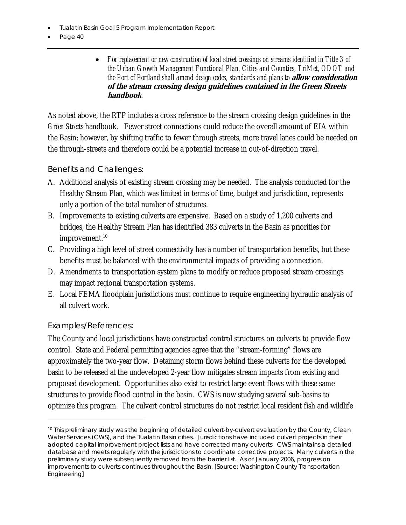- Tualatin Basin Goal 5 Program Implementation Report
- Page 40
- *For replacement or new construction of local street crossings on streams identified in Title 3 of the Urban Growth Management Functional Plan, Cities and Counties, TriMet, ODOT and the Port of Portland shall amend design codes, standards and plans to* **allow consideration of the stream crossing design guidelines contained in the Green Streets handbook***.*

As noted above, the RTP includes a cross reference to the stream crossing design guidelines in the *Green Streets* handbook. Fewer street connections could reduce the overall amount of EIA within the Basin; however, by shifting traffic to fewer through streets, more travel lanes could be needed on the through-streets and therefore could be a potential increase in out-of-direction travel.

Benefits and Challenges:

- A. Additional analysis of existing stream crossing may be needed. The analysis conducted for the Healthy Stream Plan, which was limited in terms of time, budget and jurisdiction, represents only a portion of the total number of structures.
- B. Improvements to existing culverts are expensive. Based on a study of 1,200 culverts and bridges, the Healthy Stream Plan has identified 383 culverts in the Basin as priorities for improvement.<sup>10</sup>
- C. Providing a high level of street connectivity has a number of transportation benefits, but these benefits must be balanced with the environmental impacts of providing a connection.
- D. Amendments to transportation system plans to modify or reduce proposed stream crossings may impact regional transportation systems.
- E. Local FEMA floodplain jurisdictions must continue to require engineering hydraulic analysis of all culvert work.

# Examples/References:

 $\overline{a}$ 

The County and local jurisdictions have constructed control structures on culverts to provide flow control. State and Federal permitting agencies agree that the "stream-forming" flows are approximately the two-year flow. Detaining storm flows behind these culverts for the developed basin to be released at the undeveloped 2-year flow mitigates stream impacts from existing and proposed development. Opportunities also exist to restrict large event flows with these same structures to provide flood control in the basin. CWS is now studying several sub-basins to optimize this program. The culvert control structures do not restrict local resident fish and wildlife

*<sup>10</sup> This preliminary study was the beginning of detailed culvert-by-culvert evaluation by the County, Clean*  Water Services (CWS), and the Tualatin Basin cities. Jurisdictions have included culvert projects in their *adopted capital improvement project lists and have corrected many culverts. CWS maintains a detailed database and meets regularly with the jurisdictions to coordinate corrective projects. Many culverts in the preliminary study were subsequently removed from the barrier list. As of January 2006, progress on improvements to culverts continues throughout the Basin. [Source: Washington County Transportation Engineering]*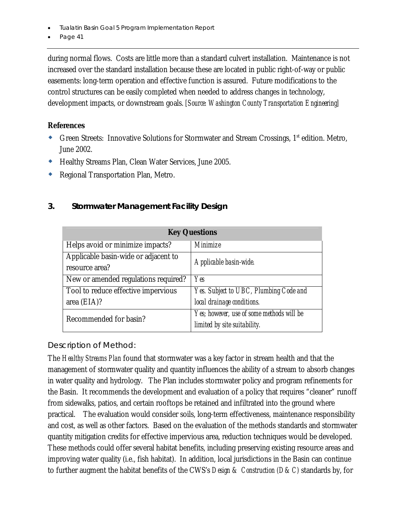- Tualatin Basin Goal 5 Program Implementation Report
- Page 41

during normal flows. Costs are little more than a standard culvert installation. Maintenance is not increased over the standard installation because these are located in public right-of-way or public easements: long-term operation and effective function is assured. Future modifications to the control structures can be easily completed when needed to address changes in technology, development impacts, or downstream goals. *[Source: Washington County Transportation Engineering]*

## **References**

- Green Streets: Innovative Solutions for Stormwater and Stream Crossings,  $1<sup>st</sup>$  edition. Metro, June 2002.
- Healthy Streams Plan, Clean Water Services, June 2005.
- Regional Transportation Plan, Metro.

# **3. Stormwater Management Facility Design**

| <b>Key Questions</b>                                   |                                                                           |  |  |  |
|--------------------------------------------------------|---------------------------------------------------------------------------|--|--|--|
| Helps avoid or minimize impacts?                       | Minimize                                                                  |  |  |  |
| Applicable basin-wide or adjacent to<br>resource area? | Applicable basin-wide.                                                    |  |  |  |
| New or amended regulations required?                   | Yes                                                                       |  |  |  |
| Tool to reduce effective impervious                    | Yes. Subject to UBC, Plumbing Code and                                    |  |  |  |
| area (EIA)?                                            | local drainage conditions.                                                |  |  |  |
| Recommended for basin?                                 | Yes; however, use of some methods will be<br>limited by site suitability. |  |  |  |

# Description of Method:

The *Healthy Streams Plan* found that stormwater was a key factor in stream health and that the management of stormwater quality and quantity influences the ability of a stream to absorb changes in water quality and hydrology. The Plan includes stormwater policy and program refinements for the Basin. It recommends the development and evaluation of a policy that requires "cleaner" runoff from sidewalks, patios, and certain rooftops be retained and infiltrated into the ground where practical. The evaluation would consider soils, long-term effectiveness, maintenance responsibility and cost, as well as other factors. Based on the evaluation of the methods standards and stormwater quantity mitigation credits for effective impervious area, reduction techniques would be developed. These methods could offer several habitat benefits, including preserving existing resource areas and improving water quality (i.e., fish habitat). In addition, local jurisdictions in the Basin can continue to further augment the habitat benefits of the CWS's *Design & Construction (D&C)* standards by, for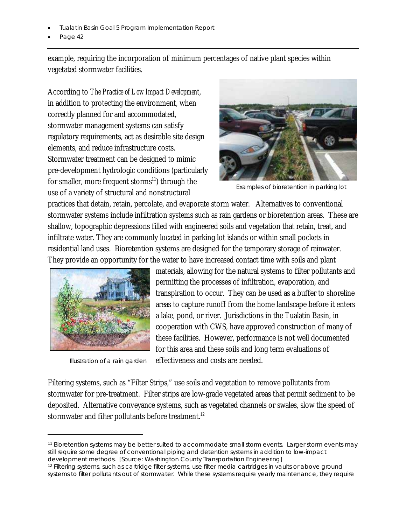- Tualatin Basin Goal 5 Program Implementation Report
- Page 42

example, requiring the incorporation of minimum percentages of native plant species within vegetated stormwater facilities.

According to *The Practice of Low Impact Development*, in addition to protecting the environment, when correctly planned for and accommodated, stormwater management systems can satisfy regulatory requirements, act as desirable site design elements, and reduce infrastructure costs. Stormwater treatment can be designed to mimic pre-development hydrologic conditions (particularly for smaller, more frequent storms<sup>11</sup>) through the use of a variety of structural and nonstructural



Examples of bioretention in parking lot

practices that detain, retain, percolate, and evaporate storm water. Alternatives to conventional stormwater systems include infiltration systems such as rain gardens or bioretention areas. These are shallow, topographic depressions filled with engineered soils and vegetation that retain, treat, and infiltrate water. They are commonly located in parking lot islands or within small pockets in residential land uses. Bioretention systems are designed for the temporary storage of rainwater. They provide an opportunity for the water to have increased contact time with soils and plant



Illustration of a rain garden

<u>.</u>

materials, allowing for the natural systems to filter pollutants and permitting the processes of infiltration, evaporation, and transpiration to occur. They can be used as a buffer to shoreline areas to capture runoff from the home landscape before it enters a lake, pond, or river. Jurisdictions in the Tualatin Basin, in cooperation with CWS, have approved construction of many of these facilities. However, performance is not well documented for this area and these soils and long term evaluations of effectiveness and costs are needed.

Filtering systems, such as "Filter Strips," use soils and vegetation to remove pollutants from stormwater for pre-treatment. Filter strips are low-grade vegetated areas that permit sediment to be deposited. Alternative conveyance systems, such as vegetated channels or swales, slow the speed of stormwater and filter pollutants before treatment.<sup>12</sup>

*<sup>11</sup> Bioretention systems may be better suited to accommodate small storm events. Larger storm events may still require some degree of conventional piping and detention systems in addition to low-impact development methods. [Source: Washington County Transportation Engineering]* 

*<sup>12</sup>* F*iltering systems, such as cartridge filter systems, use filter media cartridges in vaults or above ground systems to filter pollutants out of stormwater. While these systems require yearly maintenance, they require*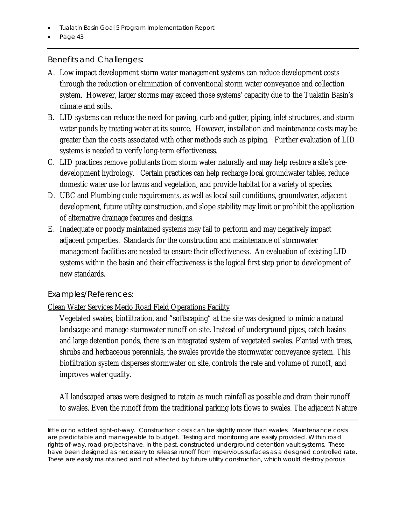- Tualatin Basin Goal 5 Program Implementation Report
- Page 43

#### Benefits and Challenges:

- A. Low impact development storm water management systems can reduce development costs through the reduction or elimination of conventional storm water conveyance and collection system. However, larger storms may exceed those systems' capacity due to the Tualatin Basin's climate and soils.
- B. LID systems can reduce the need for paving, curb and gutter, piping, inlet structures, and storm water ponds by treating water at its source. However, installation and maintenance costs may be greater than the costs associated with other methods such as piping. Further evaluation of LID systems is needed to verify long-term effectiveness.
- C. LID practices remove pollutants from storm water naturally and may help restore a site's predevelopment hydrology. Certain practices can help recharge local groundwater tables, reduce domestic water use for lawns and vegetation, and provide habitat for a variety of species.
- D. UBC and Plumbing code requirements, as well as local soil conditions, groundwater, adjacent development, future utility construction, and slope stability may limit or prohibit the application of alternative drainage features and designs.
- E. Inadequate or poorly maintained systems may fail to perform and may negatively impact adjacent properties. Standards for the construction and maintenance of stormwater management facilities are needed to ensure their effectiveness. An evaluation of existing LID systems within the basin and their effectiveness is the logical first step prior to development of new standards.

#### Examples/References:

 $\overline{a}$ 

## Clean Water Services Merlo Road Field Operations Facility

Vegetated swales, biofiltration, and "softscaping" at the site was designed to mimic a natural landscape and manage stormwater runoff on site. Instead of underground pipes, catch basins and large detention ponds, there is an integrated system of vegetated swales. Planted with trees, shrubs and herbaceous perennials, the swales provide the stormwater conveyance system. This biofiltration system disperses stormwater on site, controls the rate and volume of runoff, and improves water quality.

All landscaped areas were designed to retain as much rainfall as possible and drain their runoff to swales. Even the runoff from the traditional parking lots flows to swales. The adjacent Nature

*little or no added right-of-way. Construction costs can be slightly more than swales. Maintenance costs are predictable and manageable to budget. Testing and monitoring are easily provided. Within road rights-of-way, road projects have, in the past, constructed underground detention vault systems. These have been designed as necessary to release runoff from impervious surfaces as a designed controlled rate. These are easily maintained and not affected by future utility construction, which would destroy porous*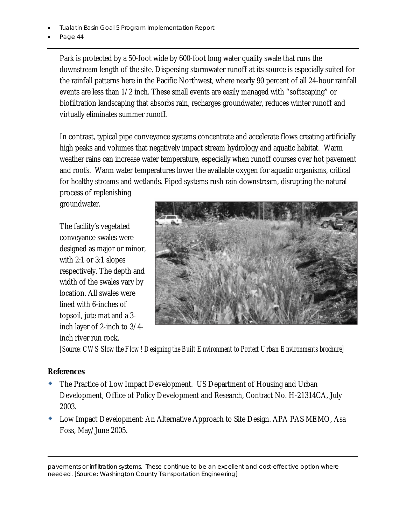- Tualatin Basin Goal 5 Program Implementation Report
- Page 44

Park is protected by a 50-foot wide by 600-foot long water quality swale that runs the downstream length of the site. Dispersing stormwater runoff at its source is especially suited for the rainfall patterns here in the Pacific Northwest, where nearly 90 percent of all 24-hour rainfall events are less than 1/2 inch. These small events are easily managed with "softscaping" or biofiltration landscaping that absorbs rain, recharges groundwater, reduces winter runoff and virtually eliminates summer runoff.

In contrast, typical pipe conveyance systems concentrate and accelerate flows creating artificially high peaks and volumes that negatively impact stream hydrology and aquatic habitat. Warm weather rains can increase water temperature, especially when runoff courses over hot pavement and roofs. Warm water temperatures lower the available oxygen for aquatic organisms, critical for healthy streams and wetlands. Piped systems rush rain downstream, disrupting the natural process of replenishing

groundwater.

The facility's vegetated conveyance swales were designed as major or minor, with 2:1 or 3:1 slopes respectively. The depth and width of the swales vary by location. All swales were lined with 6-inches of topsoil, jute mat and a 3 inch layer of 2-inch to 3/4 inch river run rock.



*[Source: CWS Slow the Flow ! Designing the Built Environment to Protect Urban Environments brochure]* 

## **References**

 $\overline{a}$ 

- The Practice of Low Impact Development. US Department of Housing and Urban Development, Office of Policy Development and Research, Contract No. H-21314CA, July 2003.
- Low Impact Development: An Alternative Approach to Site Design. APA PAS MEMO, Asa Foss, May/June 2005.

*pavements or infiltration systems. These continue to be an excellent and cost-effective option where needed. [Source: Washington County Transportation Engineering]*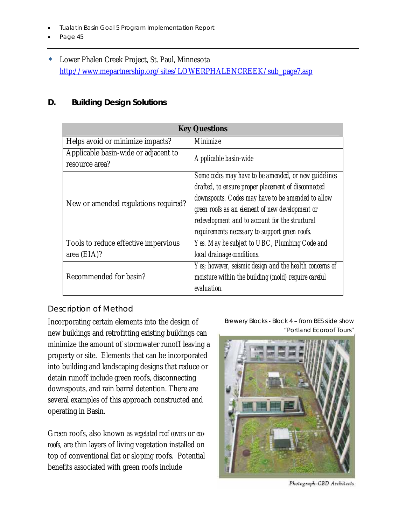- Tualatin Basin Goal 5 Program Implementation Report
- Page 45
- Lower Phalen Creek Project, St. Paul, Minnesota http://www.mepartnership.org/sites/LOWERPHALENCREEK/sub\_page7.asp

## **D. Building Design Solutions**

| <b>Key Questions</b>                                   |                                                                                                                                                                                                                                                                                                                          |  |  |
|--------------------------------------------------------|--------------------------------------------------------------------------------------------------------------------------------------------------------------------------------------------------------------------------------------------------------------------------------------------------------------------------|--|--|
| Helps avoid or minimize impacts?                       | Minimize                                                                                                                                                                                                                                                                                                                 |  |  |
| Applicable basin-wide or adjacent to<br>resource area? | Applicable basin-wide                                                                                                                                                                                                                                                                                                    |  |  |
| New or amended regulations required?                   | Some codes may have to be amended, or new guidelines<br>drafted, to ensure proper placement of disconnected<br>downspouts. Codes may have to be amended to allow<br>green roofs as an element of new development or<br>redevelopment and to account for the structural<br>requirements necessary to support green roofs. |  |  |
| Tools to reduce effective impervious                   | Yes. May be subject to UBC, Plumbing Code and                                                                                                                                                                                                                                                                            |  |  |
| area (EIA)?                                            | local drainage conditions.                                                                                                                                                                                                                                                                                               |  |  |
| Recommended for basin?                                 | Yes; however, seismic design and the health concerns of<br>moisture within the building (mold) require careful<br>evaluation.                                                                                                                                                                                            |  |  |

# Description of Method

Incorporating certain elements into the design of new buildings and retrofitting existing buildings can minimize the amount of stormwater runoff leaving a property or site. Elements that can be incorporated into building and landscaping designs that reduce or detain runoff include green roofs, disconnecting downspouts, and rain barrel detention. There are several examples of this approach constructed and operating in Basin.

Green roofs, also known as *vegetated roof covers* or *ecoroofs*, are thin layers of living vegetation installed on top of conventional flat or sloping roofs. Potential benefits associated with green roofs include

Brewery Blocks - Block 4 – from BES slide show "Portland Ecoroof Tours"



Photograph-GBD Architects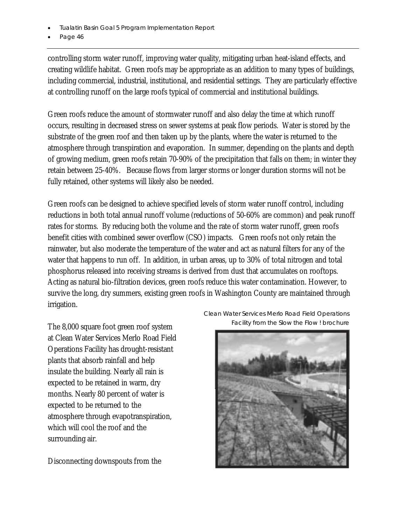- Tualatin Basin Goal 5 Program Implementation Report
- Page 46

controlling storm water runoff, improving water quality, mitigating urban heat-island effects, and creating wildlife habitat. Green roofs may be appropriate as an addition to many types of buildings, including commercial, industrial, institutional, and residential settings. They are particularly effective at controlling runoff on the large roofs typical of commercial and institutional buildings.

Green roofs reduce the amount of stormwater runoff and also delay the time at which runoff occurs, resulting in decreased stress on sewer systems at peak flow periods. Water is stored by the substrate of the green roof and then taken up by the plants, where the water is returned to the atmosphere through transpiration and evaporation. In summer, depending on the plants and depth of growing medium, green roofs retain 70-90% of the precipitation that falls on them; in winter they retain between 25-40%. Because flows from larger storms or longer duration storms will not be fully retained, other systems will likely also be needed.

Green roofs can be designed to achieve specified levels of storm water runoff control, including reductions in both total annual runoff volume (reductions of 50-60% are common) and peak runoff rates for storms. By reducing both the volume and the rate of storm water runoff, green roofs benefit cities with combined sewer overflow (CSO) impacts. Green roofs not only retain the rainwater, but also moderate the temperature of the water and act as natural filters for any of the water that happens to run off. In addition, in urban areas, up to 30% of total nitrogen and total phosphorus released into receiving streams is derived from dust that accumulates on rooftops. Acting as natural bio-filtration devices, green roofs reduce this water contamination. However, to survive the long, dry summers, existing green roofs in Washington County are maintained through irrigation.

The 8,000 square foot green roof system at Clean Water Services Merlo Road Field Operations Facility has drought-resistant plants that absorb rainfall and help insulate the building. Nearly all rain is expected to be retained in warm, dry months. Nearly 80 percent of water is expected to be returned to the atmosphere through evapotranspiration, which will cool the roof and the surrounding air.

Disconnecting downspouts from the



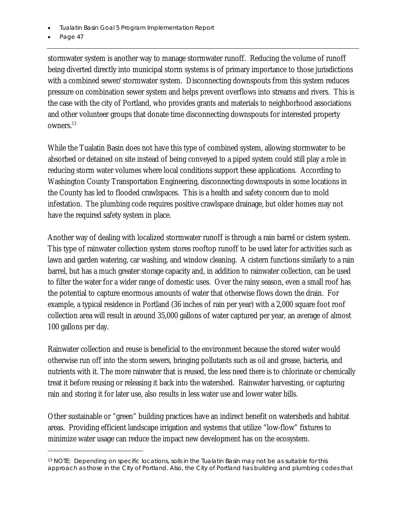- Tualatin Basin Goal 5 Program Implementation Report
- Page 47

 $\overline{a}$ 

stormwater system is another way to manage stormwater runoff. Reducing the volume of runoff being diverted directly into municipal storm systems is of primary importance to those jurisdictions with a combined sewer/stormwater system. Disconnecting downspouts from this system reduces pressure on combination sewer system and helps prevent overflows into streams and rivers. This is the case with the city of Portland, who provides grants and materials to neighborhood associations and other volunteer groups that donate time disconnecting downspouts for interested property owners.13

While the Tualatin Basin does not have this type of combined system, allowing stormwater to be absorbed or detained on site instead of being conveyed to a piped system could still play a role in reducing storm water volumes where local conditions support these applications. According to Washington County Transportation Engineering, disconnecting downspouts in some locations in the County has led to flooded crawlspaces. This is a health and safety concern due to mold infestation. The plumbing code requires positive crawlspace drainage, but older homes may not have the required safety system in place.

Another way of dealing with localized stormwater runoff is through a rain barrel or cistern system. This type of rainwater collection system stores rooftop runoff to be used later for activities such as lawn and garden watering, car washing, and window cleaning. A cistern functions similarly to a rain barrel, but has a much greater storage capacity and, in addition to rainwater collection, can be used to filter the water for a wider range of domestic uses. Over the rainy season, even a small roof has the potential to capture enormous amounts of water that otherwise flows down the drain. For example, a typical residence in Portland (36 inches of rain per year) with a 2,000 square foot roof collection area will result in around 35,000 gallons of water captured per year, an average of almost 100 gallons per day.

Rainwater collection and reuse is beneficial to the environment because the stored water would otherwise run off into the storm sewers, bringing pollutants such as oil and grease, bacteria, and nutrients with it. The more rainwater that is reused, the less need there is to chlorinate or chemically treat it before reusing or releasing it back into the watershed. Rainwater harvesting, or capturing rain and storing it for later use, also results in less water use and lower water bills.

Other sustainable or "green" building practices have an indirect benefit on watersheds and habitat areas. Providing efficient landscape irrigation and systems that utilize "low-flow" fixtures to minimize water usage can reduce the impact new development has on the ecosystem.

*<sup>13</sup> NOTE: Depending on specific locations, soils in the Tualatin Basin may not be as suitable for this approach as those in the City of Portland. Also, the City of Portland has building and plumbing codes that*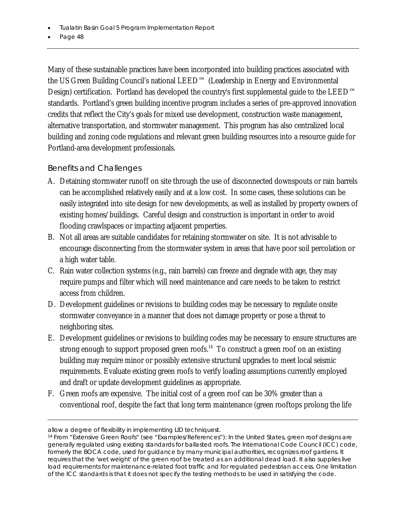- Tualatin Basin Goal 5 Program Implementation Report
- Page 48

Many of these sustainable practices have been incorporated into building practices associated with the US Green Building Council's national LEED™ (Leadership in Energy and Environmental Design) certification. Portland has developed the country's first supplemental guide to the LEED<sup>™</sup> standards. Portland's green building incentive program includes a series of pre-approved innovation credits that reflect the City's goals for mixed use development, construction waste management, alternative transportation, and stormwater management. This program has also centralized local building and zoning code regulations and relevant green building resources into a resource guide for Portland-area development professionals.

## Benefits and Challenges

- A. Detaining stormwater runoff on site through the use of disconnected downspouts or rain barrels can be accomplished relatively easily and at a low cost. In some cases, these solutions can be easily integrated into site design for new developments, as well as installed by property owners of existing homes/buildings. Careful design and construction is important in order to avoid flooding crawlspaces or impacting adjacent properties.
- B. Not all areas are suitable candidates for retaining stormwater on site. It is not advisable to encourage disconnecting from the stormwater system in areas that have poor soil percolation or a high water table.
- C. Rain water collection systems (e.g., rain barrels) can freeze and degrade with age, they may require pumps and filter which will need maintenance and care needs to be taken to restrict access from children.
- D. Development guidelines or revisions to building codes may be necessary to regulate onsite stormwater conveyance in a manner that does not damage property or pose a threat to neighboring sites.
- E. Development guidelines or revisions to building codes may be necessary to ensure structures are strong enough to support proposed green roofs.<sup>14</sup> To construct a green roof on an existing building may require minor or possibly extensive structural upgrades to meet local seismic requirements. Evaluate existing green roofs to verify loading assumptions currently employed and draft or update development guidelines as appropriate.
- F. Green roofs are expensive. The initial cost of a green roof can be 30% greater than a conventional roof, despite the fact that long term maintenance (green rooftops prolong the life

<u>.</u>

*allow a degree of flexibility in implementing LID techniquest.* 

*<sup>14</sup> From "Extensive Green Roofs" (see "Examples/References"): In the United States, green roof designs are generally regulated using existing standards for ballasted roofs. The International Code Council (ICC) code, formerly the BOCA code, used for guidance by many municipal authorities, recognizes roof gardens. It*  requires that the 'wet weight' of the green roof be treated as an additional dead load. It also supplies live *load requirements for maintenance-related foot traffic and for regulated pedestrian access. One limitation of the ICC standards is that it does not specify the testing methods to be used in satisfying the code.*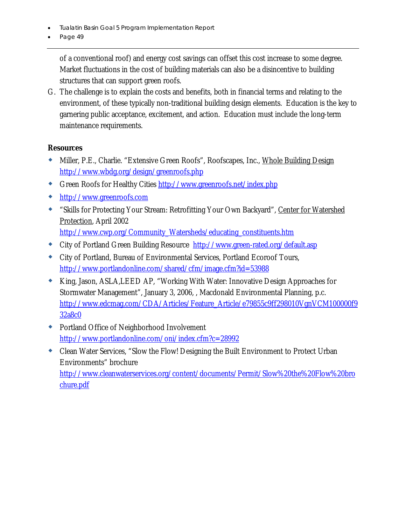- Tualatin Basin Goal 5 Program Implementation Report
- Page 49

of a conventional roof) and energy cost savings can offset this cost increase to some degree. Market fluctuations in the cost of building materials can also be a disincentive to building structures that can support green roofs.

G. The challenge is to explain the costs and benefits, both in financial terms and relating to the environment, of these typically non-traditional building design elements. Education is the key to garnering public acceptance, excitement, and action. Education must include the long-term maintenance requirements.

#### **Resources**

- Miller, P.E., Charlie. "Extensive Green Roofs", Roofscapes, Inc., Whole Building Design http://www.wbdg.org/design/greenroofs.php
- Green Roofs for Healthy Cities http://www.greenroofs.net/index.php
- http://www.greenroofs.com
- "Skills for Protecting Your Stream: Retrofitting Your Own Backyard", Center for Watershed Protection, April 2002 http://www.cwp.org/Community\_Watersheds/educating\_constituents.htm
- City of Portland Green Building Resource http://www.green-rated.org/default.asp
- City of Portland, Bureau of Environmental Services, Portland Ecoroof Tours, http://www.portlandonline.com/shared/cfm/image.cfm?id=53988
- King, Jason, ASLA,LEED AP, "Working With Water: Innovative Design Approaches for Stormwater Management", January 3, 2006, , Macdonald Environmental Planning, p.c. http://www.edcmag.com/CDA/Articles/Feature\_Article/e79855c9ff298010VgnVCM100000f9 32a8c0
- Portland Office of Neighborhood Involvement http://www.portlandonline.com/oni/index.cfm?c=28992
- Clean Water Services, "Slow the Flow! Designing the Built Environment to Protect Urban Environments" brochure http://www.cleanwaterservices.org/content/documents/Permit/Slow%20the%20Flow%20bro chure.pdf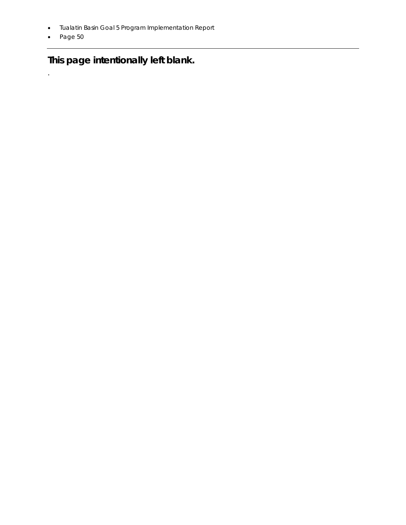- Tualatin Basin Goal 5 Program Implementation Report
- Page 50

.

**This page intentionally left blank.**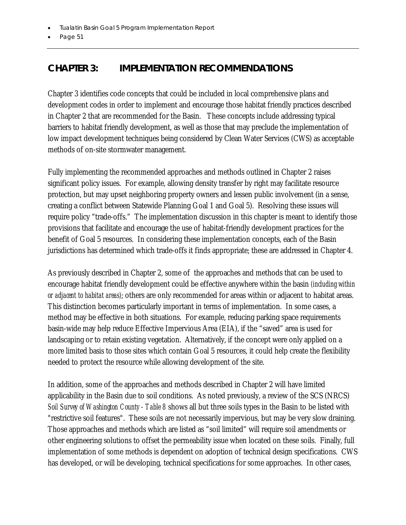Page 51

# **CHAPTER 3: IMPLEMENTATION RECOMMENDATIONS**

Chapter 3 identifies code concepts that could be included in local comprehensive plans and development codes in order to implement and encourage those habitat friendly practices described in Chapter 2 that are recommended for the Basin. These concepts include addressing typical barriers to habitat friendly development, as well as those that may preclude the implementation of low impact development techniques being considered by Clean Water Services (CWS) as acceptable methods of on-site stormwater management.

Fully implementing the recommended approaches and methods outlined in Chapter 2 raises significant policy issues. For example, allowing density transfer by right may facilitate resource protection, but may upset neighboring property owners and lessen public involvement (in a sense, creating a conflict between Statewide Planning Goal 1 and Goal 5). Resolving these issues will require policy "trade-offs." The implementation discussion in this chapter is meant to identify those provisions that facilitate and encourage the use of habitat-friendly development practices for the benefit of Goal 5 resources. In considering these implementation concepts, each of the Basin jurisdictions has determined which trade-offs it finds appropriate; these are addressed in Chapter 4.

As previously described in Chapter 2, some of the approaches and methods that can be used to encourage habitat friendly development could be effective anywhere within the basin *(including within or adjacent to habitat areas)*; others are only recommended for areas within or adjacent to habitat areas. This distinction becomes particularly important in terms of implementation. In some cases, a method may be effective in both situations. For example, reducing parking space requirements basin-wide may help reduce Effective Impervious Area (EIA), if the "saved" area is used for landscaping or to retain existing vegetation. Alternatively, if the concept were only applied on a more limited basis to those sites which contain Goal 5 resources, it could help create the flexibility needed to protect the resource while allowing development of the site.

In addition, some of the approaches and methods described in Chapter 2 will have limited applicability in the Basin due to soil conditions. As noted previously, a review of the SCS (NRCS) *Soil Survey of Washington County - Table 8* shows all but three soils types in the Basin to be listed with "restrictive soil features". These soils are not necessarily impervious, but may be very slow draining. Those approaches and methods which are listed as "soil limited" will require soil amendments or other engineering solutions to offset the permeability issue when located on these soils. Finally, full implementation of some methods is dependent on adoption of technical design specifications. CWS has developed, or will be developing, technical specifications for some approaches. In other cases,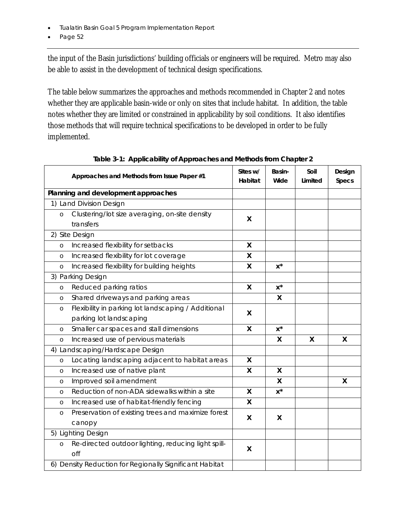- Tualatin Basin Goal 5 Program Implementation Report
- Page 52

the input of the Basin jurisdictions' building officials or engineers will be required. Metro may also be able to assist in the development of technical design specifications.

The table below summarizes the approaches and methods recommended in Chapter 2 and notes whether they are applicable basin-wide or only on sites that include habitat. In addition, the table notes whether they are limited or constrained in applicability by soil conditions. It also identifies those methods that will require technical specifications to be developed in order to be fully implemented.

| Approaches and Methods from Issue Paper #1                              |                           | Basin-<br>Wide       | Soil<br>Limited | Design<br><b>Specs</b> |
|-------------------------------------------------------------------------|---------------------------|----------------------|-----------------|------------------------|
| Planning and development approaches                                     |                           |                      |                 |                        |
| 1) Land Division Design                                                 |                           |                      |                 |                        |
| Clustering/lot size averaging, on-site density<br>$\circ$<br>transfers  | X                         |                      |                 |                        |
| 2) Site Design                                                          |                           |                      |                 |                        |
| Increased flexibility for setbacks<br>$\circ$                           | X                         |                      |                 |                        |
| Increased flexibility for lot coverage<br>$\circ$                       | X                         |                      |                 |                        |
| Increased flexibility for building heights<br>$\circ$                   | X                         | $x^*$                |                 |                        |
| 3) Parking Design                                                       |                           |                      |                 |                        |
| Reduced parking ratios<br>$\circ$                                       | $\boldsymbol{\mathsf{X}}$ | $x^*$                |                 |                        |
| Shared driveways and parking areas<br>$\circ$                           |                           | X                    |                 |                        |
| Flexibility in parking lot landscaping / Additional<br>$\circ$          | X                         |                      |                 |                        |
| parking lot landscaping                                                 |                           |                      |                 |                        |
| Smaller car spaces and stall dimensions<br>$\circ$                      | X                         | $x^*$                |                 |                        |
| Increased use of pervious materials<br>$\circ$                          |                           | X                    | X               | X                      |
| 4) Landscaping/Hardscape Design                                         |                           |                      |                 |                        |
| Locating landscaping adjacent to habitat areas<br>$\circ$               | X                         |                      |                 |                        |
| Increased use of native plant<br>$\circ$                                | X                         | X                    |                 |                        |
| Improved soil amendment<br>$\circ$                                      |                           | X                    |                 | X                      |
| Reduction of non-ADA sidewalks within a site<br>$\circ$                 | X                         | $\mathbf{x}^{\star}$ |                 |                        |
| Increased use of habitat-friendly fencing<br>$\circ$                    | X                         |                      |                 |                        |
| Preservation of existing trees and maximize forest<br>$\circ$<br>canopy | X                         | X                    |                 |                        |
| 5) Lighting Design                                                      |                           |                      |                 |                        |
| Re-directed outdoor lighting, reducing light spill-<br>$\circ$<br>off   | X                         |                      |                 |                        |
| 6) Density Reduction for Regionally Significant Habitat                 |                           |                      |                 |                        |

**Table 3-1: Applicability of Approaches and Methods from Chapter 2**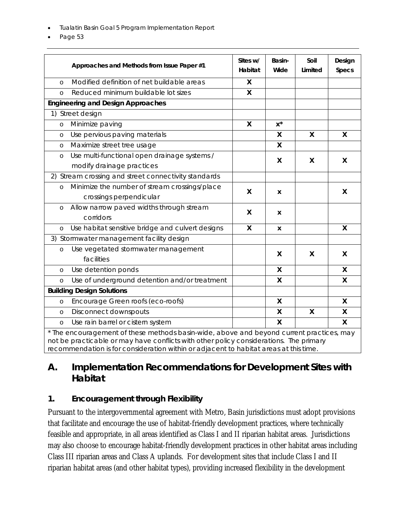- Tualatin Basin Goal 5 Program Implementation Report
- Page 53

| Approaches and Methods from Issue Paper #1                                                                                                                                                                                                                                  | Sites w/<br>Habitat | Basin-<br>Wide       | Soil<br>Limited | Design<br><b>Specs</b>    |
|-----------------------------------------------------------------------------------------------------------------------------------------------------------------------------------------------------------------------------------------------------------------------------|---------------------|----------------------|-----------------|---------------------------|
| Modified definition of net buildable areas<br>$\circ$                                                                                                                                                                                                                       | X                   |                      |                 |                           |
| Reduced minimum buildable lot sizes<br>$\circ$                                                                                                                                                                                                                              | X                   |                      |                 |                           |
| <b>Engineering and Design Approaches</b>                                                                                                                                                                                                                                    |                     |                      |                 |                           |
| 1) Street design                                                                                                                                                                                                                                                            |                     |                      |                 |                           |
| Minimize paving<br>$\circ$                                                                                                                                                                                                                                                  | X                   | $\mathbf{x}^{\star}$ |                 |                           |
| Use pervious paving materials<br>$\circ$                                                                                                                                                                                                                                    |                     | X                    | X               | $\boldsymbol{\mathsf{X}}$ |
| Maximize street tree usage<br>$\circ$                                                                                                                                                                                                                                       |                     | $\mathsf{x}$         |                 |                           |
| Use multi-functional open drainage systems /<br>$\circ$                                                                                                                                                                                                                     |                     |                      | X               | X                         |
| modify drainage practices                                                                                                                                                                                                                                                   |                     | X                    |                 |                           |
| 2) Stream crossing and street connectivity standards                                                                                                                                                                                                                        |                     |                      |                 |                           |
| Minimize the number of stream crossings/place<br>$\circ$                                                                                                                                                                                                                    | X                   | X                    |                 | X                         |
| crossings perpendicular                                                                                                                                                                                                                                                     |                     |                      |                 |                           |
| Allow narrow paved widths through stream<br>$\circ$<br>corridors                                                                                                                                                                                                            | X                   | X                    |                 |                           |
| Use habitat sensitive bridge and culvert designs<br>$\circ$                                                                                                                                                                                                                 | X                   | X                    |                 | X                         |
| 3) Stormwater management facility design                                                                                                                                                                                                                                    |                     |                      |                 |                           |
| Use vegetated stormwater management<br>$\circ$<br>facilities                                                                                                                                                                                                                |                     | X                    | X               | X                         |
| Use detention ponds<br>$\circ$                                                                                                                                                                                                                                              |                     | X                    |                 | X                         |
| Use of underground detention and/or treatment<br>$\circ$                                                                                                                                                                                                                    |                     | X                    |                 | $\boldsymbol{\mathsf{X}}$ |
| <b>Building Design Solutions</b>                                                                                                                                                                                                                                            |                     |                      |                 |                           |
| Encourage Green roofs (eco-roofs)<br>$\circ$                                                                                                                                                                                                                                |                     | $\mathsf{x}$         |                 | X                         |
| Disconnect downspouts<br>$\circ$                                                                                                                                                                                                                                            |                     | $\mathsf{x}$         | X               | $\mathsf{x}$              |
| Use rain barrel or cistern system<br>$\circ$                                                                                                                                                                                                                                |                     | $\mathsf{x}$         |                 | $\boldsymbol{\mathsf{X}}$ |
| * The encouragement of these methods basin-wide, above and beyond current practices, may<br>not be practicable or may have conflicts with other policy considerations. The primary<br>recommendation is for consideration within or adjacent to habitat areas at this time. |                     |                      |                 |                           |

# *A. Implementation Recommendations for Development Sites with Habitat*

## **1. Encouragement through Flexibility**

Pursuant to the intergovernmental agreement with Metro, Basin jurisdictions must adopt provisions that facilitate and encourage the use of habitat-friendly development practices, where technically feasible and appropriate, in all areas identified as Class I and II riparian habitat areas. Jurisdictions may also choose to encourage habitat-friendly development practices in other habitat areas including Class III riparian areas and Class A uplands. For development sites that include Class I and II riparian habitat areas (and other habitat types), providing increased flexibility in the development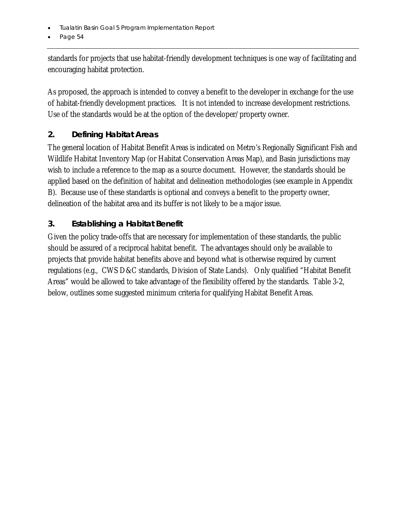- Tualatin Basin Goal 5 Program Implementation Report
- Page 54

standards for projects that use habitat-friendly development techniques is one way of facilitating and encouraging habitat protection.

As proposed, the approach is intended to convey a benefit to the developer in exchange for the use of habitat-friendly development practices. It is not intended to increase development restrictions. Use of the standards would be at the option of the developer/property owner.

# **2. Defining Habitat Areas**

The general location of Habitat Benefit Areas is indicated on Metro's Regionally Significant Fish and Wildlife Habitat Inventory Map (or Habitat Conservation Areas Map), and Basin jurisdictions may wish to include a reference to the map as a source document. However, the standards should be applied based on the definition of habitat and delineation methodologies (see example in Appendix B). Because use of these standards is optional and conveys a benefit to the property owner, delineation of the habitat area and its buffer is not likely to be a major issue.

# **3. Establishing a Habitat Benefit**

Given the policy trade-offs that are necessary for implementation of these standards, the public should be assured of a reciprocal habitat benefit. The advantages should only be available to projects that provide habitat benefits above and beyond what is otherwise required by current regulations (e.g., CWS D&C standards, Division of State Lands). Only qualified "Habitat Benefit Areas" would be allowed to take advantage of the flexibility offered by the standards. Table 3-2, below, outlines some suggested minimum criteria for qualifying Habitat Benefit Areas.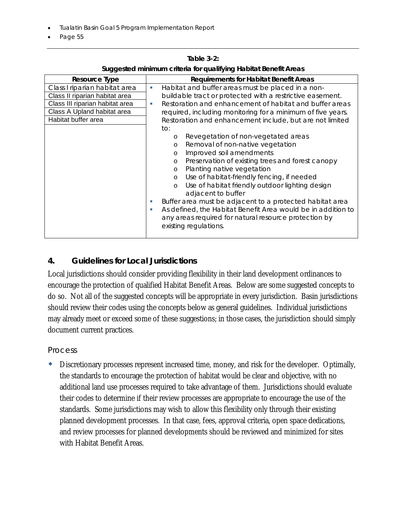- Tualatin Basin Goal 5 Program Implementation Report
- Page 55

| Suggested minimum criteria for qualifying Habitat Benefit Areas |                                                                   |  |  |  |
|-----------------------------------------------------------------|-------------------------------------------------------------------|--|--|--|
| Resource Type                                                   | <b>Requirements for Habitat Benefit Areas</b>                     |  |  |  |
| Class I riparian habitat area                                   | Habitat and buffer areas must be placed in a non-<br>×.           |  |  |  |
| Class II riparian habitat area                                  | buildable tract or protected with a restrictive easement.         |  |  |  |
| Class III riparian habitat area                                 | Restoration and enhancement of habitat and buffer areas<br>×      |  |  |  |
| Class A Upland habitat area                                     | required, including monitoring for a minimum of five years.       |  |  |  |
| Habitat buffer area                                             | Restoration and enhancement include, but are not limited          |  |  |  |
|                                                                 | to:                                                               |  |  |  |
|                                                                 | Revegetation of non-vegetated areas<br>$\circ$                    |  |  |  |
|                                                                 | Removal of non-native vegetation<br>$\circ$                       |  |  |  |
|                                                                 | Improved soil amendments<br>$\circ$                               |  |  |  |
|                                                                 | Preservation of existing trees and forest canopy<br>$\circ$       |  |  |  |
|                                                                 | Planting native vegetation<br>$\circ$                             |  |  |  |
|                                                                 | Use of habitat-friendly fencing, if needed<br>$\circ$             |  |  |  |
|                                                                 | Use of habitat friendly outdoor lighting design<br>$\circ$        |  |  |  |
|                                                                 | adjacent to buffer                                                |  |  |  |
|                                                                 | Buffer area must be adjacent to a protected habitat area<br>u.    |  |  |  |
|                                                                 | As defined, the Habitat Benefit Area would be in addition to<br>п |  |  |  |
|                                                                 | any areas required for natural resource protection by             |  |  |  |
|                                                                 | existing regulations.                                             |  |  |  |
|                                                                 |                                                                   |  |  |  |

## **Table 3-2: Suggested minimum criteria for qualifying Habitat Benefit Areas**

#### **4. Guidelines for Local Jurisdictions**

Local jurisdictions should consider providing flexibility in their land development ordinances to encourage the protection of qualified Habitat Benefit Areas. Below are some suggested concepts to do so. Not all of the suggested concepts will be appropriate in every jurisdiction. Basin jurisdictions should review their codes using the concepts below as general guidelines. Individual jurisdictions may already meet or exceed some of these suggestions; in those cases, the jurisdiction should simply document current practices.

#### Process

 Discretionary processes represent increased time, money, and risk for the developer. Optimally, the standards to encourage the protection of habitat would be clear and objective, with no additional land use processes required to take advantage of them. Jurisdictions should evaluate their codes to determine if their review processes are appropriate to encourage the use of the standards. Some jurisdictions may wish to allow this flexibility only through their existing planned development processes. In that case, fees, approval criteria, open space dedications, and review processes for planned developments should be reviewed and minimized for sites with Habitat Benefit Areas.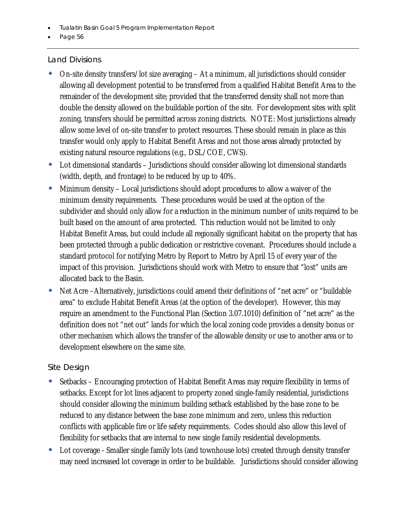- Tualatin Basin Goal 5 Program Implementation Report
- Page 56

#### Land Divisions

- On-site density transfers/lot size averaging At a minimum, all jurisdictions should consider allowing all development potential to be transferred from a qualified Habitat Benefit Area to the remainder of the development site; provided that the transferred density shall not more than double the density allowed on the buildable portion of the site. For development sites with split zoning, transfers should be permitted across zoning districts. NOTE: Most jurisdictions already allow some level of on-site transfer to protect resources. These should remain in place as this transfer would only apply to Habitat Benefit Areas and not those areas already protected by existing natural resource regulations (e.g., DSL/COE, CWS).
- Lot dimensional standards Jurisdictions should consider allowing lot dimensional standards (width, depth, and frontage) to be reduced by up to 40%.
- Minimum density Local jurisdictions should adopt procedures to allow a waiver of the minimum density requirements. These procedures would be used at the option of the subdivider and should only allow for a reduction in the minimum number of units required to be built based on the amount of area protected. This reduction would not be limited to only Habitat Benefit Areas, but could include all regionally significant habitat on the property that has been protected through a public dedication or restrictive covenant. Procedures should include a standard protocol for notifying Metro by Report to Metro by April 15 of every year of the impact of this provision. Jurisdictions should work with Metro to ensure that "lost" units are allocated back to the Basin.
- Net Acre –Alternatively, jurisdictions could amend their definitions of "net acre" or "buildable area" to exclude Habitat Benefit Areas (at the option of the developer). However, this may require an amendment to the Functional Plan (Section 3.07.1010) definition of "net acre" as the definition does not "net out" lands for which the local zoning code provides a density bonus or other mechanism which allows the transfer of the allowable density or use to another area or to development elsewhere on the same site.

#### Site Design

- Setbacks Encouraging protection of Habitat Benefit Areas may require flexibility in terms of setbacks. Except for lot lines adjacent to property zoned single-family residential, jurisdictions should consider allowing the minimum building setback established by the base zone to be reduced to any distance between the base zone minimum and zero, unless this reduction conflicts with applicable fire or life safety requirements. Codes should also allow this level of flexibility for setbacks that are internal to new single family residential developments.
- Lot coverage Smaller single family lots (and townhouse lots) created through density transfer may need increased lot coverage in order to be buildable. Jurisdictions should consider allowing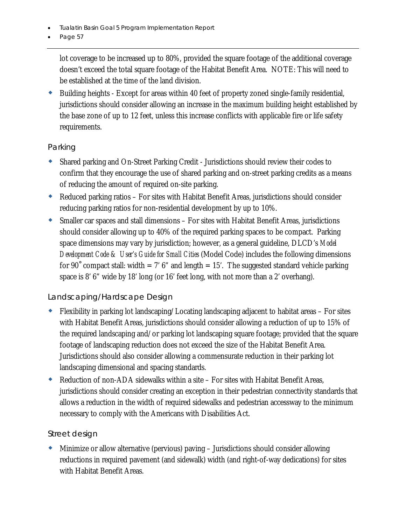- Tualatin Basin Goal 5 Program Implementation Report
- Page 57

lot coverage to be increased up to 80%, provided the square footage of the additional coverage doesn't exceed the total square footage of the Habitat Benefit Area. NOTE: This will need to be established at the time of the land division.

 Building heights - Except for areas within 40 feet of property zoned single-family residential, jurisdictions should consider allowing an increase in the maximum building height established by the base zone of up to 12 feet, unless this increase conflicts with applicable fire or life safety requirements.

#### Parking

- Shared parking and On-Street Parking Credit Jurisdictions should review their codes to confirm that they encourage the use of shared parking and on-street parking credits as a means of reducing the amount of required on-site parking.
- Reduced parking ratios For sites with Habitat Benefit Areas, jurisdictions should consider reducing parking ratios for non-residential development by up to 10%.
- Smaller car spaces and stall dimensions For sites with Habitat Benefit Areas, jurisdictions should consider allowing up to 40% of the required parking spaces to be compact. Parking space dimensions may vary by jurisdiction; however, as a general guideline, DLCD's *Model Development Code & User's Guide for Small Cities* (Model Code) includes the following dimensions for 90° compact stall: width  $= 7' 6''$  and length  $= 15'$ . The suggested standard vehicle parking space is 8' 6" wide by 18' long (or 16' feet long, with not more than a 2' overhang).

# Landscaping/Hardscape Design

- Flexibility in parking lot landscaping/Locating landscaping adjacent to habitat areas For sites with Habitat Benefit Areas, jurisdictions should consider allowing a reduction of up to 15% of the required landscaping and/or parking lot landscaping square footage; provided that the square footage of landscaping reduction does not exceed the size of the Habitat Benefit Area. Jurisdictions should also consider allowing a commensurate reduction in their parking lot landscaping dimensional and spacing standards.
- Reduction of non-ADA sidewalks within a site For sites with Habitat Benefit Areas, jurisdictions should consider creating an exception in their pedestrian connectivity standards that allows a reduction in the width of required sidewalks and pedestrian accessway to the minimum necessary to comply with the Americans with Disabilities Act.

## Street design

 Minimize or allow alternative (pervious) paving – Jurisdictions should consider allowing reductions in required pavement (and sidewalk) width (and right-of-way dedications) for sites with Habitat Benefit Areas.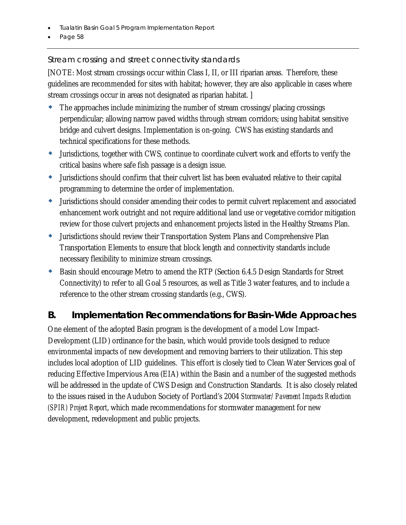- Tualatin Basin Goal 5 Program Implementation Report
- Page 58

#### Stream crossing and street connectivity standards

[NOTE: Most stream crossings occur within Class I, II, or III riparian areas. Therefore, these guidelines are recommended for sites with habitat; however, they are also applicable in cases where stream crossings occur in areas not designated as riparian habitat. ]

- The approaches include minimizing the number of stream crossings/placing crossings perpendicular; allowing narrow paved widths through stream corridors; using habitat sensitive bridge and culvert designs. Implementation is on-going. CWS has existing standards and technical specifications for these methods.
- Jurisdictions, together with CWS, continue to coordinate culvert work and efforts to verify the critical basins where safe fish passage is a design issue.
- Jurisdictions should confirm that their culvert list has been evaluated relative to their capital programming to determine the order of implementation.
- Jurisdictions should consider amending their codes to permit culvert replacement and associated enhancement work outright and not require additional land use or vegetative corridor mitigation review for those culvert projects and enhancement projects listed in the Healthy Streams Plan.
- Jurisdictions should review their Transportation System Plans and Comprehensive Plan Transportation Elements to ensure that block length and connectivity standards include necessary flexibility to minimize stream crossings.
- Basin should encourage Metro to amend the RTP (Section 6.4.5 Design Standards for Street Connectivity) to refer to all Goal 5 resources, as well as Title 3 water features, and to include a reference to the other stream crossing standards (e.g., CWS).

# *B. Implementation Recommendations for Basin-Wide Approaches*

One element of the adopted Basin program is the development of a model Low Impact-Development (LID) ordinance for the basin, which would provide tools designed to reduce environmental impacts of new development and removing barriers to their utilization. This step includes local adoption of LID guidelines. This effort is closely tied to Clean Water Services goal of reducing Effective Impervious Area (EIA) within the Basin and a number of the suggested methods will be addressed in the update of CWS Design and Construction Standards. It is also closely related to the issues raised in the Audubon Society of Portland's 2004 *Stormwater/Pavement Impacts Reduction (SPIR) Project Report*, which made recommendations for stormwater management for new development, redevelopment and public projects.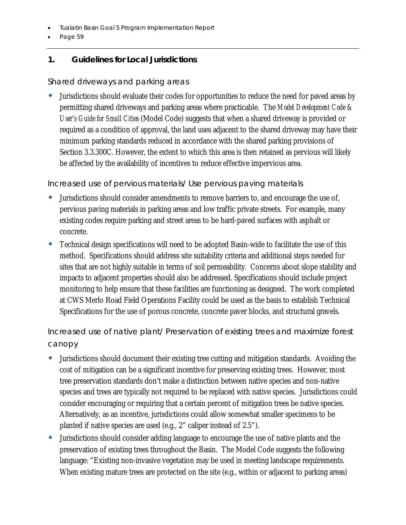- Tualatin Basin Goal 5 Program Implementation Report
- Page 59

## **1. Guidelines for Local Jurisdictions**

Shared driveways and parking areas

 Jurisdictions should evaluate their codes for opportunities to reduce the need for paved areas by permitting shared driveways and parking areas where practicable. The *Model Development Code & User's Guide for Small Cities* (Model Code) suggests that when a shared driveway is provided or required as a condition of approval, the land uses adjacent to the shared driveway may have their minimum parking standards reduced in accordance with the shared parking provisions of Section 3.3.300C. However, the extent to which this area is then retained as pervious will likely be affected by the availability of incentives to reduce effective impervious area.

Increased use of pervious materials/ Use pervious paving materials

- Jurisdictions should consider amendments to remove barriers to, and encourage the use of, pervious paving materials in parking areas and low traffic private streets. For example, many existing codes require parking and street areas to be hard-paved surfaces with asphalt or concrete.
- Technical design specifications will need to be adopted Basin-wide to facilitate the use of this method. Specifications should address site suitability criteria and additional steps needed for sites that are not highly suitable in terms of soil permeability. Concerns about slope stability and impacts to adjacent properties should also be addressed. Specifications should include project monitoring to help ensure that these facilities are functioning as designed. The work completed at CWS Merlo Road Field Operations Facility could be used as the basis to establish Technical Specifications for the use of porous concrete, concrete paver blocks, and structural gravels.

Increased use of native plant/ Preservation of existing trees and maximize forest canopy

- Jurisdictions should document their existing tree cutting and mitigation standards. Avoiding the cost of mitigation can be a significant incentive for preserving existing trees. However, most tree preservation standards don't make a distinction between native species and non-native species and trees are typically not required to be replaced with native species. Jurisdictions could consider encouraging or requiring that a certain percent of mitigation trees be native species. Alternatively, as an incentive, jurisdictions could allow somewhat smaller specimens to be planted if native species are used (e.g., 2" caliper instead of 2.5").
- Jurisdictions should consider adding language to encourage the use of native plants and the preservation of existing trees throughout the Basin. The Model Code suggests the following language: "Existing non-invasive vegetation may be used in meeting landscape requirements. When existing mature trees are protected on the site (e.g., within or adjacent to parking areas)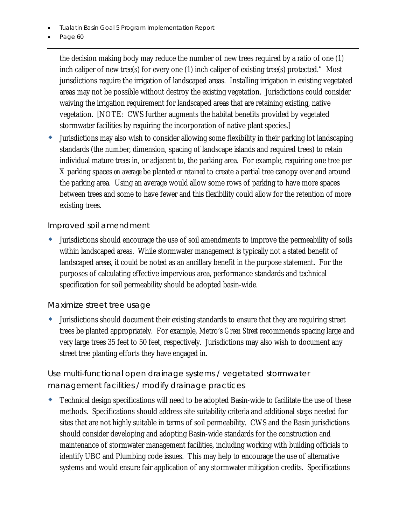- Tualatin Basin Goal 5 Program Implementation Report
- Page 60

the decision making body may reduce the number of new trees required by a ratio of one (1) inch caliper of new tree(s) for every one (1) inch caliper of existing tree(s) protected." Most jurisdictions require the irrigation of landscaped areas. Installing irrigation in existing vegetated areas may not be possible without destroy the existing vegetation. Jurisdictions could consider waiving the irrigation requirement for landscaped areas that are retaining existing, native vegetation. [NOTE: CWS further augments the habitat benefits provided by vegetated stormwater facilities by requiring the incorporation of native plant species.]

 Jurisdictions may also wish to consider allowing some flexibility in their parking lot landscaping standards (the number, dimension, spacing of landscape islands and required trees) to retain individual mature trees in, or adjacent to, the parking area. For example, requiring one tree per X parking spaces *on average* be planted *or retained* to create a partial tree canopy over and around the parking area. Using an average would allow some rows of parking to have more spaces between trees and some to have fewer and this flexibility could allow for the retention of more existing trees.

#### Improved soil amendment

 Jurisdictions should encourage the use of soil amendments to improve the permeability of soils within landscaped areas. While stormwater management is typically not a stated benefit of landscaped areas, it could be noted as an ancillary benefit in the purpose statement. For the purposes of calculating effective impervious area, performance standards and technical specification for soil permeability should be adopted basin-wide.

#### Maximize street tree usage

 Jurisdictions should document their existing standards to ensure that they are requiring street trees be planted appropriately. For example, Metro's *Green Street* recommends spacing large and very large trees 35 feet to 50 feet, respectively. Jurisdictions may also wish to document any street tree planting efforts they have engaged in.

# Use multi-functional open drainage systems / vegetated stormwater management facilities / modify drainage practices

 Technical design specifications will need to be adopted Basin-wide to facilitate the use of these methods. Specifications should address site suitability criteria and additional steps needed for sites that are not highly suitable in terms of soil permeability. CWS and the Basin jurisdictions should consider developing and adopting Basin-wide standards for the construction and maintenance of stormwater management facilities, including working with building officials to identify UBC and Plumbing code issues. This may help to encourage the use of alternative systems and would ensure fair application of any stormwater mitigation credits. Specifications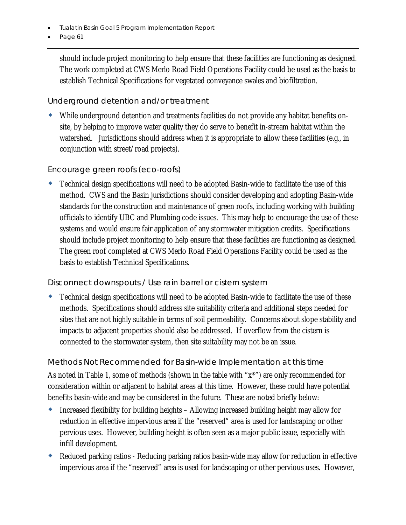- Tualatin Basin Goal 5 Program Implementation Report
- Page 61

should include project monitoring to help ensure that these facilities are functioning as designed. The work completed at CWS Merlo Road Field Operations Facility could be used as the basis to establish Technical Specifications for vegetated conveyance swales and biofiltration.

## Underground detention and/or treatment

 While underground detention and treatments facilities do not provide any habitat benefits onsite, by helping to improve water quality they do serve to benefit in-stream habitat within the watershed. Jurisdictions should address when it is appropriate to allow these facilities (e.g., in conjunction with street/road projects).

# Encourage green roofs (eco-roofs)

 Technical design specifications will need to be adopted Basin-wide to facilitate the use of this method. CWS and the Basin jurisdictions should consider developing and adopting Basin-wide standards for the construction and maintenance of green roofs, including working with building officials to identify UBC and Plumbing code issues. This may help to encourage the use of these systems and would ensure fair application of any stormwater mitigation credits. Specifications should include project monitoring to help ensure that these facilities are functioning as designed. The green roof completed at CWS Merlo Road Field Operations Facility could be used as the basis to establish Technical Specifications.

## Disconnect downspouts / Use rain barrel or cistern system

 Technical design specifications will need to be adopted Basin-wide to facilitate the use of these methods. Specifications should address site suitability criteria and additional steps needed for sites that are not highly suitable in terms of soil permeability. Concerns about slope stability and impacts to adjacent properties should also be addressed. If overflow from the cistern is connected to the stormwater system, then site suitability may not be an issue.

## Methods Not Recommended for Basin-wide Implementation at this time

As noted in Table 1, some of methods (shown in the table with "x\*") are only recommended for consideration within or adjacent to habitat areas at this time. However, these could have potential benefits basin-wide and may be considered in the future. These are noted briefly below:

- Increased flexibility for building heights Allowing increased building height may allow for reduction in effective impervious area if the "reserved" area is used for landscaping or other pervious uses. However, building height is often seen as a major public issue, especially with infill development.
- Reduced parking ratios Reducing parking ratios basin-wide may allow for reduction in effective impervious area if the "reserved" area is used for landscaping or other pervious uses. However,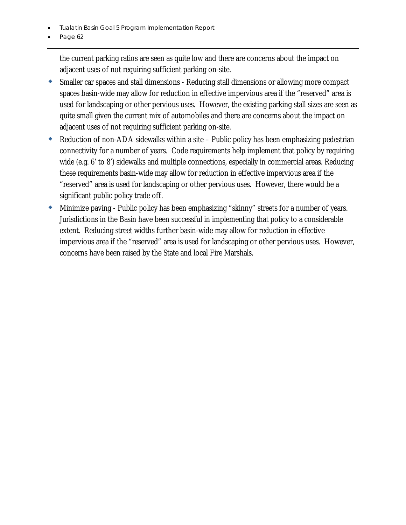- Tualatin Basin Goal 5 Program Implementation Report
- Page 62

the current parking ratios are seen as quite low and there are concerns about the impact on adjacent uses of not requiring sufficient parking on-site.

- Smaller car spaces and stall dimensions Reducing stall dimensions or allowing more compact spaces basin-wide may allow for reduction in effective impervious area if the "reserved" area is used for landscaping or other pervious uses. However, the existing parking stall sizes are seen as quite small given the current mix of automobiles and there are concerns about the impact on adjacent uses of not requiring sufficient parking on-site.
- Reduction of non-ADA sidewalks within a site Public policy has been emphasizing pedestrian connectivity for a number of years. Code requirements help implement that policy by requiring wide (e.g. 6' to 8') sidewalks and multiple connections, especially in commercial areas. Reducing these requirements basin-wide may allow for reduction in effective impervious area if the "reserved" area is used for landscaping or other pervious uses. However, there would be a significant public policy trade off.
- Minimize paving Public policy has been emphasizing "skinny" streets for a number of years. Jurisdictions in the Basin have been successful in implementing that policy to a considerable extent. Reducing street widths further basin-wide may allow for reduction in effective impervious area if the "reserved" area is used for landscaping or other pervious uses. However, concerns have been raised by the State and local Fire Marshals.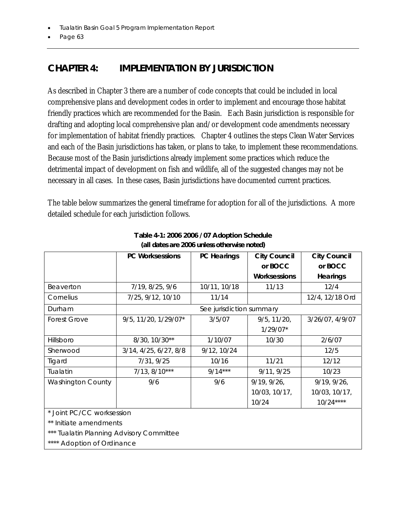Page 63

# **CHAPTER 4: IMPLEMENTATION BY JURISDICTION**

As described in Chapter 3 there are a number of code concepts that could be included in local comprehensive plans and development codes in order to implement and encourage those habitat friendly practices which are recommended for the Basin. Each Basin jurisdiction is responsible for drafting and adopting local comprehensive plan and/or development code amendments necessary for implementation of habitat friendly practices. Chapter 4 outlines the steps Clean Water Services and each of the Basin jurisdictions has taken, or plans to take, to implement these recommendations. Because most of the Basin jurisdictions already implement some practices which reduce the detrimental impact of development on fish and wildlife, all of the suggested changes may not be necessary in all cases. In these cases, Basin jurisdictions have documented current practices.

The table below summarizes the general timeframe for adoption for all of the jurisdictions. A more detailed schedule for each jurisdiction follows.

|                                          | <b>PC Worksessions</b>   | <b>PC Hearings</b> | <b>City Council</b> | <b>City Council</b> |
|------------------------------------------|--------------------------|--------------------|---------------------|---------------------|
|                                          |                          |                    | or BOCC             | or BOCC             |
|                                          |                          |                    | Worksessions        | <b>Hearings</b>     |
| <b>Beaverton</b>                         | 7/19, 8/25, 9/6          | 10/11, 10/18       | 11/13               | 12/4                |
| Cornelius                                | 7/25, 9/12, 10/10        | 11/14              |                     | 12/4, 12/18 Ord     |
| Durham                                   | See jurisdiction summary |                    |                     |                     |
| <b>Forest Grove</b>                      | 9/5, 11/20, 1/29/07*     | 3/5/07             | 9/5, 11/20,         | 3/26/07, 4/9/07     |
|                                          |                          |                    | $1/29/07*$          |                     |
| Hillsboro                                | 8/30, 10/30**            | 1/10/07            | 10/30               | 2/6/07              |
| Sherwood                                 | 3/14, 4/25, 6/27, 8/8    | 9/12, 10/24        |                     | 12/5                |
| Tigard                                   | 7/31, 9/25               | 10/16              | 11/21               | 12/12               |
| Tualatin                                 | $7/13, 8/10***$          | $9/14***$          | 9/11, 9/25          | 10/23               |
| <b>Washington County</b>                 | 9/6                      | 9/6                | 9/19, 9/26,         | 9/19, 9/26,         |
|                                          |                          |                    | 10/03, 10/17,       | 10/03, 10/17,       |
|                                          |                          |                    | 10/24               | $10/24***$          |
| * Joint PC/CC worksession                |                          |                    |                     |                     |
| ** Initiate amendments                   |                          |                    |                     |                     |
| *** Tualatin Planning Advisory Committee |                          |                    |                     |                     |
| **** Adoption of Ordinance               |                          |                    |                     |                     |

| Table 4-1: 2006 2006 / 07 Adoption Schedule |
|---------------------------------------------|
| (all dates are 2006 unless otherwise noted) |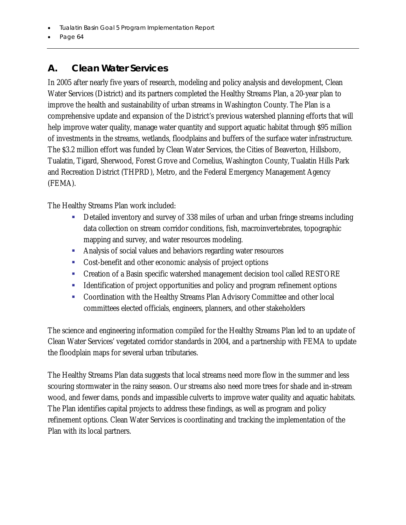- Tualatin Basin Goal 5 Program Implementation Report
- Page 64

# *A. Clean Water Services*

In 2005 after nearly five years of research, modeling and policy analysis and development, Clean Water Services (District) and its partners completed the Healthy Streams Plan, a 20-year plan to improve the health and sustainability of urban streams in Washington County. The Plan is a comprehensive update and expansion of the District's previous watershed planning efforts that will help improve water quality, manage water quantity and support aquatic habitat through \$95 million of investments in the streams, wetlands, floodplains and buffers of the surface water infrastructure. The \$3.2 million effort was funded by Clean Water Services, the Cities of Beaverton, Hillsboro, Tualatin, Tigard, Sherwood, Forest Grove and Cornelius, Washington County, Tualatin Hills Park and Recreation District (THPRD), Metro, and the Federal Emergency Management Agency (FEMA).

The Healthy Streams Plan work included:

- Detailed inventory and survey of 338 miles of urban and urban fringe streams including data collection on stream corridor conditions, fish, macroinvertebrates, topographic mapping and survey, and water resources modeling.
- Analysis of social values and behaviors regarding water resources
- Cost-benefit and other economic analysis of project options
- Creation of a Basin specific watershed management decision tool called RESTORE
- Identification of project opportunities and policy and program refinement options
- Coordination with the Healthy Streams Plan Advisory Committee and other local committees elected officials, engineers, planners, and other stakeholders

The science and engineering information compiled for the Healthy Streams Plan led to an update of Clean Water Services' vegetated corridor standards in 2004, and a partnership with FEMA to update the floodplain maps for several urban tributaries.

The Healthy Streams Plan data suggests that local streams need more flow in the summer and less scouring stormwater in the rainy season. Our streams also need more trees for shade and in-stream wood, and fewer dams, ponds and impassible culverts to improve water quality and aquatic habitats. The Plan identifies capital projects to address these findings, as well as program and policy refinement options. Clean Water Services is coordinating and tracking the implementation of the Plan with its local partners.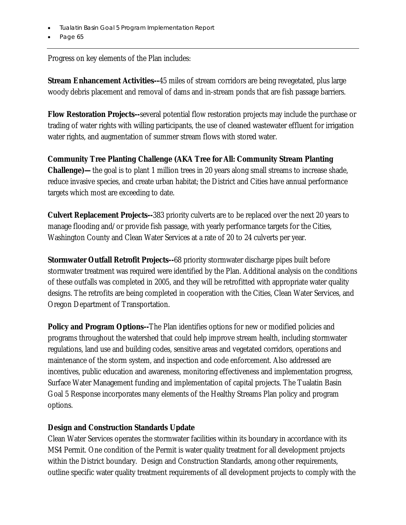- Tualatin Basin Goal 5 Program Implementation Report
- Page 65

Progress on key elements of the Plan includes:

**Stream Enhancement Activities--**45 miles of stream corridors are being revegetated, plus large woody debris placement and removal of dams and in-stream ponds that are fish passage barriers.

**Flow Restoration Projects--**several potential flow restoration projects may include the purchase or trading of water rights with willing participants, the use of cleaned wastewater effluent for irrigation water rights, and augmentation of summer stream flows with stored water.

**Community Tree Planting Challenge (AKA Tree for All: Community Stream Planting Challenge)—**the goal is to plant 1 million trees in 20 years along small streams to increase shade, reduce invasive species, and create urban habitat; the District and Cities have annual performance targets which most are exceeding to date.

**Culvert Replacement Projects--**383 priority culverts are to be replaced over the next 20 years to manage flooding and/or provide fish passage, with yearly performance targets for the Cities, Washington County and Clean Water Services at a rate of 20 to 24 culverts per year.

**Stormwater Outfall Retrofit Projects--**68 priority stormwater discharge pipes built before stormwater treatment was required were identified by the Plan. Additional analysis on the conditions of these outfalls was completed in 2005, and they will be retrofitted with appropriate water quality designs. The retrofits are being completed in cooperation with the Cities, Clean Water Services, and Oregon Department of Transportation.

**Policy and Program Options**--The Plan identifies options for new or modified policies and programs throughout the watershed that could help improve stream health, including stormwater regulations, land use and building codes, sensitive areas and vegetated corridors, operations and maintenance of the storm system, and inspection and code enforcement. Also addressed are incentives, public education and awareness, monitoring effectiveness and implementation progress, Surface Water Management funding and implementation of capital projects. The Tualatin Basin Goal 5 Response incorporates many elements of the Healthy Streams Plan policy and program options.

## **Design and Construction Standards Update**

Clean Water Services operates the stormwater facilities within its boundary in accordance with its MS4 Permit. One condition of the Permit is water quality treatment for all development projects within the District boundary. Design and Construction Standards, among other requirements, outline specific water quality treatment requirements of all development projects to comply with the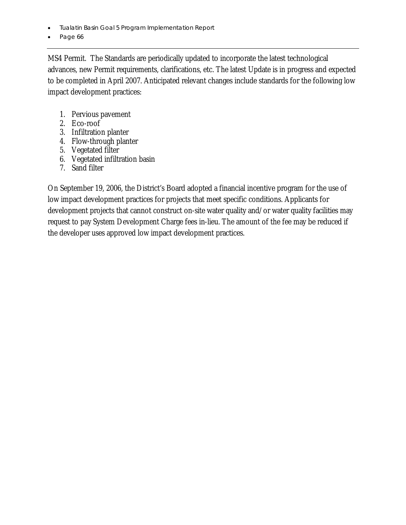- Tualatin Basin Goal 5 Program Implementation Report
- Page 66

MS4 Permit. The Standards are periodically updated to incorporate the latest technological advances, new Permit requirements, clarifications, etc. The latest Update is in progress and expected to be completed in April 2007. Anticipated relevant changes include standards for the following low impact development practices:

- 1. Pervious pavement
- 2. Eco-roof
- 3. Infiltration planter
- 4. Flow-through planter
- 5. Vegetated filter
- 6. Vegetated infiltration basin
- 7. Sand filter

On September 19, 2006, the District's Board adopted a financial incentive program for the use of low impact development practices for projects that meet specific conditions. Applicants for development projects that cannot construct on-site water quality and/or water quality facilities may request to pay System Development Charge fees in-lieu. The amount of the fee may be reduced if the developer uses approved low impact development practices.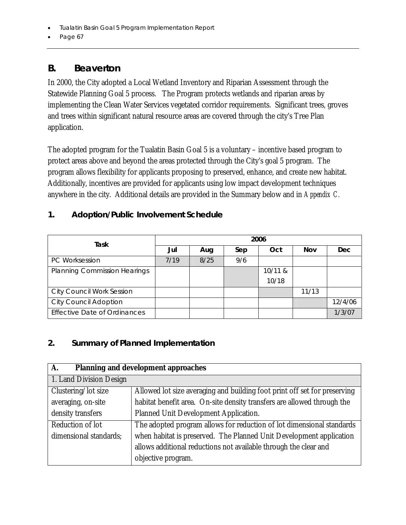- Tualatin Basin Goal 5 Program Implementation Report
- Page 67

## *B. Beaverton*

In 2000, the City adopted a Local Wetland Inventory and Riparian Assessment through the Statewide Planning Goal 5 process. The Program protects wetlands and riparian areas by implementing the Clean Water Services vegetated corridor requirements. Significant trees, groves and trees within significant natural resource areas are covered through the city's Tree Plan application.

The adopted program for the Tualatin Basin Goal 5 is a voluntary – incentive based program to protect areas above and beyond the areas protected through the City's goal 5 program. The program allows flexibility for applicants proposing to preserved, enhance, and create new habitat. Additionally, incentives are provided for applicants using low impact development techniques anywhere in the city. Additional details are provided in the Summary below and in *Appendix C.*

## **1. Adoption/Public Involvement Schedule**

| Task                                | 2006 |      |     |         |            |            |
|-------------------------------------|------|------|-----|---------|------------|------------|
|                                     | Jul  | Aug  | Sep | Oct     | <b>Nov</b> | <b>Dec</b> |
| PC Worksession                      | 7/19 | 8/25 | 9/6 |         |            |            |
| <b>Planning Commission Hearings</b> |      |      |     | 10/11 & |            |            |
|                                     |      |      |     | 10/18   |            |            |
| <b>City Council Work Session</b>    |      |      |     |         | 11/13      |            |
| <b>City Council Adoption</b>        |      |      |     |         |            | 12/4/06    |
| <b>Effective Date of Ordinances</b> |      |      |     |         |            | 1/3/07     |

| <b>Planning and development approaches</b><br>A. |                                                                           |  |
|--------------------------------------------------|---------------------------------------------------------------------------|--|
| 1. Land Division Design                          |                                                                           |  |
| Clustering/lot size                              | Allowed lot size averaging and building foot print off set for preserving |  |
| averaging, on-site                               | habitat benefit area. On-site density transfers are allowed through the   |  |
| density transfers                                | Planned Unit Development Application.                                     |  |
| Reduction of lot                                 | The adopted program allows for reduction of lot dimensional standards     |  |
| dimensional standards;                           | when habitat is preserved. The Planned Unit Development application       |  |
|                                                  | allows additional reductions not available through the clear and          |  |
|                                                  | objective program.                                                        |  |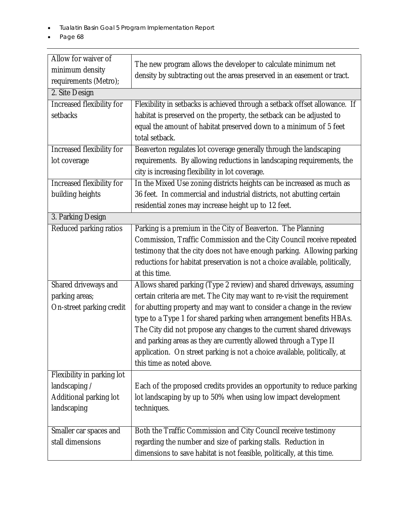- Tualatin Basin Goal 5 Program Implementation Report
- Page 68

| Allow for waiver of              |                                                                             |
|----------------------------------|-----------------------------------------------------------------------------|
| minimum density                  | The new program allows the developer to calculate minimum net               |
| requirements (Metro);            | density by subtracting out the areas preserved in an easement or tract.     |
| 2. Site Design                   |                                                                             |
|                                  |                                                                             |
| <b>Increased flexibility for</b> | Flexibility in setbacks is achieved through a setback offset allowance. If  |
| setbacks                         | habitat is preserved on the property, the setback can be adjusted to        |
|                                  | equal the amount of habitat preserved down to a minimum of 5 feet           |
|                                  | total setback.                                                              |
| Increased flexibility for        | Beaverton regulates lot coverage generally through the landscaping          |
| lot coverage                     | requirements. By allowing reductions in landscaping requirements, the       |
|                                  | city is increasing flexibility in lot coverage.                             |
| Increased flexibility for        | In the Mixed Use zoning districts heights can be increased as much as       |
| building heights                 | 36 feet. In commercial and industrial districts, not abutting certain       |
|                                  | residential zones may increase height up to 12 feet.                        |
| 3. Parking Design                |                                                                             |
| Reduced parking ratios           | Parking is a premium in the City of Beaverton. The Planning                 |
|                                  | Commission, Traffic Commission and the City Council receive repeated        |
|                                  | testimony that the city does not have enough parking. Allowing parking      |
|                                  | reductions for habitat preservation is not a choice available, politically, |
|                                  | at this time.                                                               |
| Shared driveways and             | Allows shared parking (Type 2 review) and shared driveways, assuming        |
| parking areas;                   | certain criteria are met. The City may want to re-visit the requirement     |
| On-street parking credit         | for abutting property and may want to consider a change in the review       |
|                                  | type to a Type 1 for shared parking when arrangement benefits HBAs.         |
|                                  |                                                                             |
|                                  | The City did not propose any changes to the current shared driveways        |
|                                  | and parking areas as they are currently allowed through a Type II           |
|                                  | application. On street parking is not a choice available, politically, at   |
|                                  | this time as noted above.                                                   |
| Flexibility in parking lot       |                                                                             |
| landscaping /                    | Each of the proposed credits provides an opportunity to reduce parking      |
| Additional parking lot           | lot landscaping by up to 50% when using low impact development              |
| landscaping                      | techniques.                                                                 |
|                                  |                                                                             |
| Smaller car spaces and           | Both the Traffic Commission and City Council receive testimony              |
| stall dimensions                 | regarding the number and size of parking stalls. Reduction in               |
|                                  | dimensions to save habitat is not feasible, politically, at this time.      |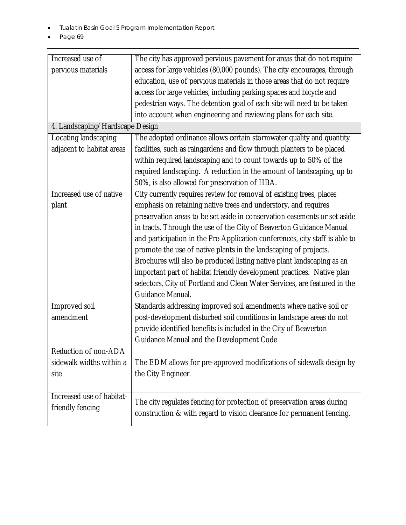- Tualatin Basin Goal 5 Program Implementation Report
- Page 69

| Increased use of                | The city has approved pervious pavement for areas that do not require       |
|---------------------------------|-----------------------------------------------------------------------------|
| pervious materials              | access for large vehicles (80,000 pounds). The city encourages, through     |
|                                 | education, use of pervious materials in those areas that do not require     |
|                                 |                                                                             |
|                                 | access for large vehicles, including parking spaces and bicycle and         |
|                                 | pedestrian ways. The detention goal of each site will need to be taken      |
|                                 | into account when engineering and reviewing plans for each site.            |
| 4. Landscaping/Hardscape Design |                                                                             |
| <b>Locating landscaping</b>     | The adopted ordinance allows certain stormwater quality and quantity        |
| adjacent to habitat areas       | facilities, such as raingardens and flow through planters to be placed      |
|                                 | within required landscaping and to count towards up to 50% of the           |
|                                 | required landscaping. A reduction in the amount of landscaping, up to       |
|                                 | 50%, is also allowed for preservation of HBA.                               |
| Increased use of native         | City currently requires review for removal of existing trees, places        |
| plant                           | emphasis on retaining native trees and understory, and requires             |
|                                 | preservation areas to be set aside in conservation easements or set aside   |
|                                 | in tracts. Through the use of the City of Beaverton Guidance Manual         |
|                                 | and participation in the Pre-Application conferences, city staff is able to |
|                                 | promote the use of native plants in the landscaping of projects.            |
|                                 | Brochures will also be produced listing native plant landscaping as an      |
|                                 | important part of habitat friendly development practices. Native plan       |
|                                 | selectors, City of Portland and Clean Water Services, are featured in the   |
|                                 | Guidance Manual.                                                            |
| <b>Improved soil</b>            | Standards addressing improved soil amendments where native soil or          |
| amendment                       | post-development disturbed soil conditions in landscape areas do not        |
|                                 | provide identified benefits is included in the City of Beaverton            |
|                                 |                                                                             |
|                                 | Guidance Manual and the Development Code                                    |
| Reduction of non-ADA            |                                                                             |
| sidewalk widths within a        | The EDM allows for pre-approved modifications of sidewalk design by         |
| site                            | the City Engineer.                                                          |
|                                 |                                                                             |
| Increased use of habitat-       | The city regulates fencing for protection of preservation areas during      |
| friendly fencing                | construction & with regard to vision clearance for permanent fencing.       |
|                                 |                                                                             |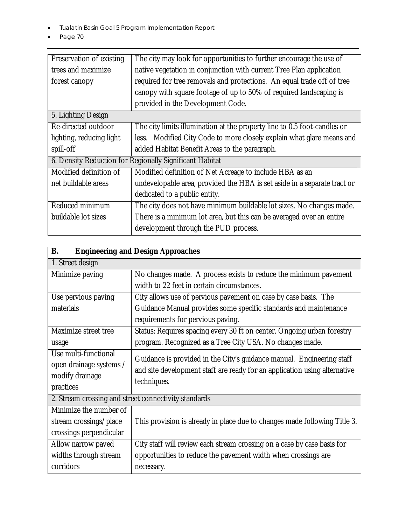- Tualatin Basin Goal 5 Program Implementation Report
- Page 70

| Preservation of existing | The city may look for opportunities to further encourage the use of      |
|--------------------------|--------------------------------------------------------------------------|
|                          |                                                                          |
| trees and maximize       | native vegetation in conjunction with current Tree Plan application      |
| forest canopy            | required for tree removals and protections. An equal trade off of tree   |
|                          | canopy with square footage of up to 50% of required landscaping is       |
|                          | provided in the Development Code.                                        |
| 5. Lighting Design       |                                                                          |
| Re-directed outdoor      | The city limits illumination at the property line to 0.5 foot-candles or |
| lighting, reducing light | less. Modified City Code to more closely explain what glare means and    |
| spill-off                | added Habitat Benefit Areas to the paragraph.                            |
|                          | 6. Density Reduction for Regionally Significant Habitat                  |
| Modified definition of   | Modified definition of Net Acreage to include HBA as an                  |
| net buildable areas      | undevelopable area, provided the HBA is set aside in a separate tract or |
|                          | dedicated to a public entity.                                            |
| Reduced minimum          | The city does not have minimum buildable lot sizes. No changes made.     |
| buildable lot sizes      | There is a minimum lot area, but this can be averaged over an entire     |
|                          | development through the PUD process.                                     |

| <b>Engineering and Design Approaches</b><br><b>B.</b> |                                                                           |  |
|-------------------------------------------------------|---------------------------------------------------------------------------|--|
| 1. Street design                                      |                                                                           |  |
| Minimize paving                                       | No changes made. A process exists to reduce the minimum pavement          |  |
|                                                       | width to 22 feet in certain circumstances.                                |  |
| Use pervious paving                                   | City allows use of pervious pavement on case by case basis. The           |  |
| materials                                             | Guidance Manual provides some specific standards and maintenance          |  |
|                                                       | requirements for pervious paving.                                         |  |
| Maximize street tree                                  | Status: Requires spacing every 30 ft on center. Ongoing urban forestry    |  |
| usage                                                 | program. Recognized as a Tree City USA. No changes made.                  |  |
| Use multi-functional                                  | Guidance is provided in the City's guidance manual. Engineering staff     |  |
| open drainage systems /                               | and site development staff are ready for an application using alternative |  |
| modify drainage                                       | techniques.                                                               |  |
| practices                                             |                                                                           |  |
| 2. Stream crossing and street connectivity standards  |                                                                           |  |
| Minimize the number of                                |                                                                           |  |
| stream crossings/place                                | This provision is already in place due to changes made following Title 3. |  |
| crossings perpendicular                               |                                                                           |  |
| Allow narrow paved                                    | City staff will review each stream crossing on a case by case basis for   |  |
| widths through stream                                 | opportunities to reduce the pavement width when crossings are             |  |
| corridors                                             | necessary.                                                                |  |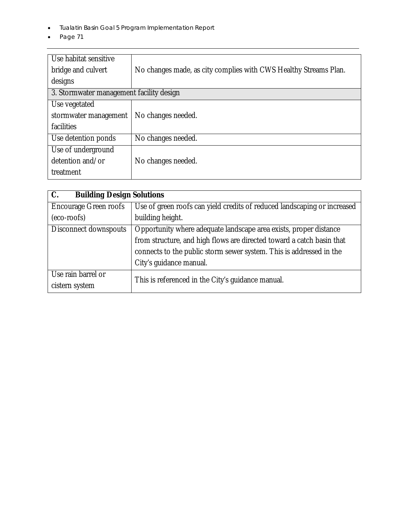- Tualatin Basin Goal 5 Program Implementation Report
- Page 71

| Use habitat sensitive<br>bridge and culvert<br>designs | No changes made, as city complies with CWS Healthy Streams Plan. |
|--------------------------------------------------------|------------------------------------------------------------------|
| 3. Stormwater management facility design               |                                                                  |
| Use vegetated                                          |                                                                  |
| stormwater management                                  | No changes needed.                                               |
| facilities                                             |                                                                  |
| Use detention ponds                                    | No changes needed.                                               |
| Use of underground                                     |                                                                  |
| detention and/or                                       | No changes needed.                                               |
| treatment                                              |                                                                  |

| <b>Building Design Solutions</b><br>$\mathbf{C}$ . |                                                                          |  |
|----------------------------------------------------|--------------------------------------------------------------------------|--|
| Encourage Green roofs                              | Use of green roofs can yield credits of reduced landscaping or increased |  |
| (eco-roofs)                                        | building height.                                                         |  |
| Disconnect downspouts                              | Opportunity where adequate landscape area exists, proper distance        |  |
|                                                    | from structure, and high flows are directed toward a catch basin that    |  |
|                                                    | connects to the public storm sewer system. This is addressed in the      |  |
|                                                    | City's guidance manual.                                                  |  |
| Use rain barrel or                                 | This is referenced in the City's guidance manual.                        |  |
| cistern system                                     |                                                                          |  |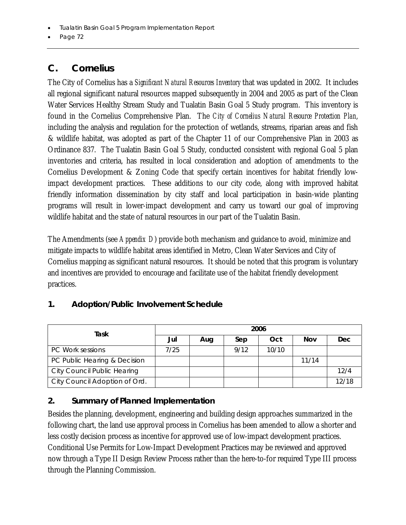- Tualatin Basin Goal 5 Program Implementation Report
- Page 72

# *C. Cornelius*

The City of Cornelius has a *Significant Natural Resources Inventory* that was updated in 2002. It includes all regional significant natural resources mapped subsequently in 2004 and 2005 as part of the Clean Water Services Healthy Stream Study and Tualatin Basin Goal 5 Study program. This inventory is found in the Cornelius Comprehensive Plan. The *City of Cornelius Natural Resource Protection Plan*, including the analysis and regulation for the protection of wetlands, streams, riparian areas and fish & wildlife habitat, was adopted as part of the Chapter 11 of our Comprehensive Plan in 2003 as Ordinance 837. The Tualatin Basin Goal 5 Study, conducted consistent with regional Goal 5 plan inventories and criteria, has resulted in local consideration and adoption of amendments to the Cornelius Development & Zoning Code that specify certain incentives for habitat friendly lowimpact development practices. These additions to our city code, along with improved habitat friendly information dissemination by city staff and local participation in basin-wide planting programs will result in lower-impact development and carry us toward our goal of improving wildlife habitat and the state of natural resources in our part of the Tualatin Basin.

The Amendments (see *Appendix D*) provide both mechanism and guidance to avoid, minimize and mitigate impacts to wildlife habitat areas identified in Metro, Clean Water Services and City of Cornelius mapping as significant natural resources. It should be noted that this program is voluntary and incentives are provided to encourage and facilitate use of the habitat friendly development practices.

| Task                               | 2006 |     |      |       |            |            |
|------------------------------------|------|-----|------|-------|------------|------------|
|                                    | Jul  | Aug | Sep  | Oct   | <b>Nov</b> | <b>Dec</b> |
| PC Work sessions                   | 7/25 |     | 9/12 | 10/10 |            |            |
| PC Public Hearing & Decision       |      |     |      |       | 11/14      |            |
| <b>City Council Public Hearing</b> |      |     |      |       |            | 12/4       |
| City Council Adoption of Ord.      |      |     |      |       |            | 12/18      |

## **1. Adoption/Public Involvement Schedule**

## **2. Summary of Planned Implementation**

Besides the planning, development, engineering and building design approaches summarized in the following chart, the land use approval process in Cornelius has been amended to allow a shorter and less costly decision process as incentive for approved use of low-impact development practices. Conditional Use Permits for Low-Impact Development Practices may be reviewed and approved now through a Type II Design Review Process rather than the here-to-for required Type III process through the Planning Commission.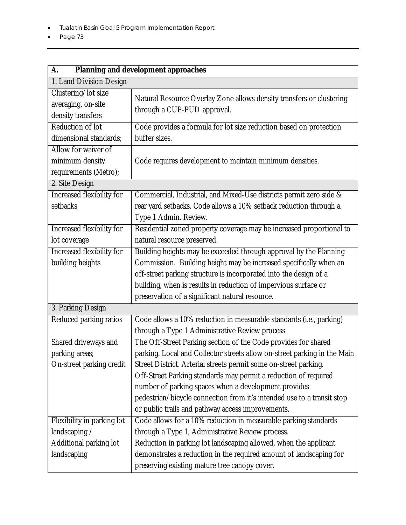- Tualatin Basin Goal 5 Program Implementation Report
- Page 73

| <b>Planning and development approaches</b><br>A. |                                                                          |  |
|--------------------------------------------------|--------------------------------------------------------------------------|--|
| 1. Land Division Design                          |                                                                          |  |
| Clustering/lot size                              | Natural Resource Overlay Zone allows density transfers or clustering     |  |
| averaging, on-site                               | through a CUP-PUD approval.                                              |  |
| density transfers                                |                                                                          |  |
| Reduction of lot                                 | Code provides a formula for lot size reduction based on protection       |  |
| dimensional standards;                           | buffer sizes.                                                            |  |
| Allow for waiver of                              |                                                                          |  |
| minimum density                                  | Code requires development to maintain minimum densities.                 |  |
| requirements (Metro);                            |                                                                          |  |
| 2. Site Design                                   |                                                                          |  |
| Increased flexibility for                        | Commercial, Industrial, and Mixed-Use districts permit zero side &       |  |
| setbacks                                         | rear yard setbacks. Code allows a 10% setback reduction through a        |  |
|                                                  | Type 1 Admin. Review.                                                    |  |
| Increased flexibility for                        | Residential zoned property coverage may be increased proportional to     |  |
| lot coverage                                     | natural resource preserved.                                              |  |
| <b>Increased flexibility for</b>                 | Building heights may be exceeded through approval by the Planning        |  |
| building heights                                 | Commission. Building height may be increased specifically when an        |  |
|                                                  | off-street parking structure is incorporated into the design of a        |  |
|                                                  | building, when is results in reduction of impervious surface or          |  |
|                                                  | preservation of a significant natural resource.                          |  |
| 3. Parking Design                                |                                                                          |  |
| Reduced parking ratios                           | Code allows a 10% reduction in measurable standards (i.e., parking)      |  |
|                                                  | through a Type 1 Administrative Review process                           |  |
| Shared driveways and                             | The Off-Street Parking section of the Code provides for shared           |  |
| parking areas;                                   | parking. Local and Collector streets allow on-street parking in the Main |  |
| On-street parking credit                         | Street District. Arterial streets permit some on-street parking.         |  |
|                                                  | Off-Street Parking standards may permit a reduction of required          |  |
|                                                  | number of parking spaces when a development provides                     |  |
|                                                  | pedestrian/bicycle connection from it's intended use to a transit stop   |  |
|                                                  | or public trails and pathway access improvements.                        |  |
| Flexibility in parking lot                       | Code allows for a 10% reduction in measurable parking standards          |  |
| landscaping /                                    | through a Type 1, Administrative Review process.                         |  |
| Additional parking lot                           | Reduction in parking lot landscaping allowed, when the applicant         |  |
| landscaping                                      | demonstrates a reduction in the required amount of landscaping for       |  |
|                                                  | preserving existing mature tree canopy cover.                            |  |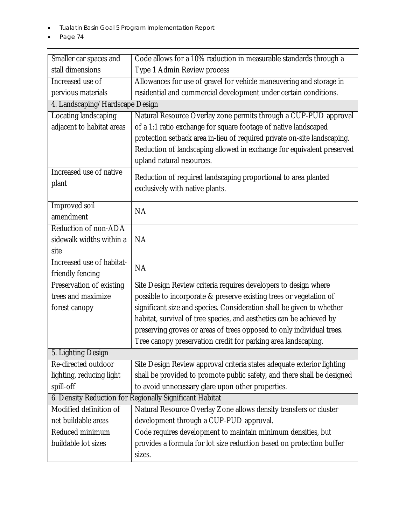- Tualatin Basin Goal 5 Program Implementation Report
- Page 74

| Smaller car spaces and          | Code allows for a 10% reduction in measurable standards through a        |
|---------------------------------|--------------------------------------------------------------------------|
| stall dimensions                | Type 1 Admin Review process                                              |
| Increased use of                | Allowances for use of gravel for vehicle maneuvering and storage in      |
| pervious materials              | residential and commercial development under certain conditions.         |
| 4. Landscaping/Hardscape Design |                                                                          |
| <b>Locating landscaping</b>     | Natural Resource Overlay zone permits through a CUP-PUD approval         |
| adjacent to habitat areas       | of a 1:1 ratio exchange for square footage of native landscaped          |
|                                 | protection setback area in-lieu of required private on-site landscaping. |
|                                 | Reduction of landscaping allowed in exchange for equivalent preserved    |
|                                 | upland natural resources.                                                |
| Increased use of native         | Reduction of required landscaping proportional to area planted           |
| plant                           | exclusively with native plants.                                          |
|                                 |                                                                          |
| Improved soil                   | <b>NA</b>                                                                |
| amendment                       |                                                                          |
| Reduction of non-ADA            |                                                                          |
| sidewalk widths within a        | <b>NA</b>                                                                |
| site                            |                                                                          |
| Increased use of habitat-       | <b>NA</b>                                                                |
| friendly fencing                |                                                                          |
| Preservation of existing        | Site Design Review criteria requires developers to design where          |
| trees and maximize              | possible to incorporate & preserve existing trees or vegetation of       |
| forest canopy                   | significant size and species. Consideration shall be given to whether    |
|                                 | habitat, survival of tree species, and aesthetics can be achieved by     |
|                                 | preserving groves or areas of trees opposed to only individual trees.    |
|                                 | Tree canopy preservation credit for parking area landscaping.            |
| 5. Lighting Design              |                                                                          |
| Re-directed outdoor             | Site Design Review approval criteria states adequate exterior lighting   |
| lighting, reducing light        | shall be provided to promote public safety, and there shall be designed  |
| spill-off                       | to avoid unnecessary glare upon other properties.                        |
|                                 | 6. Density Reduction for Regionally Significant Habitat                  |
| Modified definition of          | Natural Resource Overlay Zone allows density transfers or cluster        |
| net buildable areas             | development through a CUP-PUD approval.                                  |
| Reduced minimum                 | Code requires development to maintain minimum densities, but             |
| buildable lot sizes             | provides a formula for lot size reduction based on protection buffer     |
|                                 | sizes.                                                                   |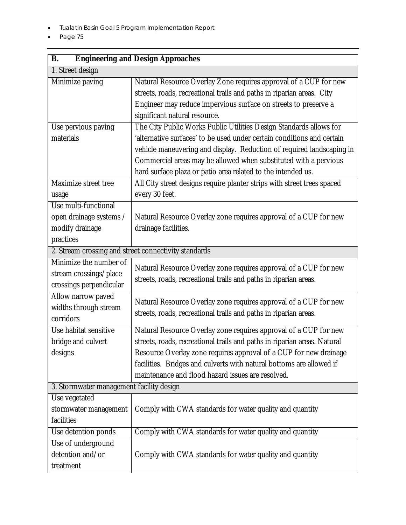- Tualatin Basin Goal 5 Program Implementation Report
- Page 75

| <b>B.</b>                                | <b>Engineering and Design Approaches</b>                                 |
|------------------------------------------|--------------------------------------------------------------------------|
| 1. Street design                         |                                                                          |
| Minimize paving                          | Natural Resource Overlay Zone requires approval of a CUP for new         |
|                                          | streets, roads, recreational trails and paths in riparian areas. City    |
|                                          | Engineer may reduce impervious surface on streets to preserve a          |
|                                          | significant natural resource.                                            |
| Use pervious paving                      | The City Public Works Public Utilities Design Standards allows for       |
| materials                                | 'alternative surfaces' to be used under certain conditions and certain   |
|                                          | vehicle maneuvering and display. Reduction of required landscaping in    |
|                                          | Commercial areas may be allowed when substituted with a pervious         |
|                                          | hard surface plaza or patio area related to the intended us.             |
| Maximize street tree                     | All City street designs require planter strips with street trees spaced  |
| usage                                    | every 30 feet.                                                           |
| Use multi-functional                     |                                                                          |
| open drainage systems /                  | Natural Resource Overlay zone requires approval of a CUP for new         |
| modify drainage                          | drainage facilities.                                                     |
| practices                                |                                                                          |
|                                          | 2. Stream crossing and street connectivity standards                     |
| Minimize the number of                   | Natural Resource Overlay zone requires approval of a CUP for new         |
| stream crossings/place                   | streets, roads, recreational trails and paths in riparian areas.         |
| crossings perpendicular                  |                                                                          |
| Allow narrow paved                       | Natural Resource Overlay zone requires approval of a CUP for new         |
| widths through stream                    | streets, roads, recreational trails and paths in riparian areas.         |
| corridors                                |                                                                          |
| Use habitat sensitive                    | Natural Resource Overlay zone requires approval of a CUP for new         |
| bridge and culvert                       | streets, roads, recreational trails and paths in riparian areas. Natural |
| designs                                  | Resource Overlay zone requires approval of a CUP for new drainage        |
|                                          | facilities. Bridges and culverts with natural bottoms are allowed if     |
|                                          | maintenance and flood hazard issues are resolved.                        |
| 3. Stormwater management facility design |                                                                          |
| Use vegetated                            |                                                                          |
| stormwater management                    | Comply with CWA standards for water quality and quantity                 |
| facilities                               |                                                                          |
| Use detention ponds                      | Comply with CWA standards for water quality and quantity                 |
| Use of underground                       |                                                                          |
| detention and/or                         | Comply with CWA standards for water quality and quantity                 |
| treatment                                |                                                                          |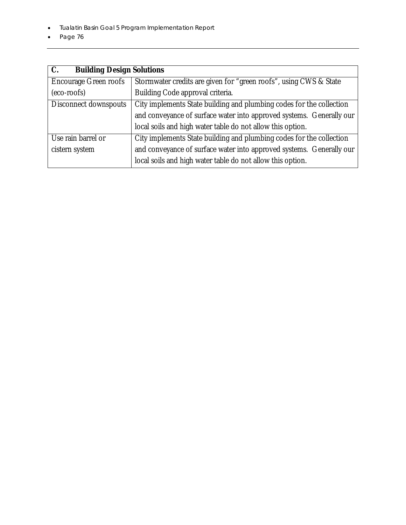- Tualatin Basin Goal 5 Program Implementation Report
- Page 76

| <b>Building Design Solutions</b><br>$C_{\cdot}$ |                                                                      |  |
|-------------------------------------------------|----------------------------------------------------------------------|--|
| <b>Encourage Green roofs</b>                    | Stormwater credits are given for "green roofs", using CWS & State    |  |
| (eco-roofs)                                     | Building Code approval criteria.                                     |  |
| Disconnect downspouts                           | City implements State building and plumbing codes for the collection |  |
|                                                 | and conveyance of surface water into approved systems. Generally our |  |
|                                                 | local soils and high water table do not allow this option.           |  |
| Use rain barrel or                              | City implements State building and plumbing codes for the collection |  |
| cistern system                                  | and conveyance of surface water into approved systems. Generally our |  |
|                                                 | local soils and high water table do not allow this option.           |  |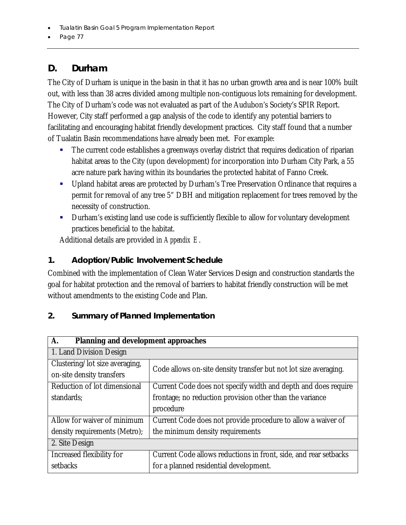- Tualatin Basin Goal 5 Program Implementation Report
- Page 77

## *D. Durham*

The City of Durham is unique in the basin in that it has no urban growth area and is near 100% built out, with less than 38 acres divided among multiple non-contiguous lots remaining for development. The City of Durham's code was not evaluated as part of the Audubon's Society's SPIR Report. However, City staff performed a gap analysis of the code to identify any potential barriers to facilitating and encouraging habitat friendly development practices. City staff found that a number of Tualatin Basin recommendations have already been met. For example:

- The current code establishes a greenways overlay district that requires dedication of riparian habitat areas to the City (upon development) for incorporation into Durham City Park, a 55 acre nature park having within its boundaries the protected habitat of Fanno Creek.
- Upland habitat areas are protected by Durham's Tree Preservation Ordinance that requires a permit for removal of any tree 5" DBH and mitigation replacement for trees removed by the necessity of construction.
- Durham's existing land use code is sufficiently flexible to allow for voluntary development practices beneficial to the habitat.

Additional details are provided in *Appendix E*.

### **1. Adoption/Public Involvement Schedule**

Combined with the implementation of Clean Water Services Design and construction standards the goal for habitat protection and the removal of barriers to habitat friendly construction will be met without amendments to the existing Code and Plan.

| <b>Planning and development approaches</b><br>A. |                                                                  |  |
|--------------------------------------------------|------------------------------------------------------------------|--|
| 1. Land Division Design                          |                                                                  |  |
| Clustering/lot size averaging,                   | Code allows on-site density transfer but not lot size averaging. |  |
| on-site density transfers                        |                                                                  |  |
| Reduction of lot dimensional                     | Current Code does not specify width and depth and does require   |  |
| standards;                                       | frontage; no reduction provision other than the variance         |  |
|                                                  | procedure                                                        |  |
| Allow for waiver of minimum                      | Current Code does not provide procedure to allow a waiver of     |  |
| density requirements (Metro);                    | the minimum density requirements                                 |  |
| 2. Site Design                                   |                                                                  |  |
| Increased flexibility for                        | Current Code allows reductions in front, side, and rear setbacks |  |
| setbacks                                         | for a planned residential development.                           |  |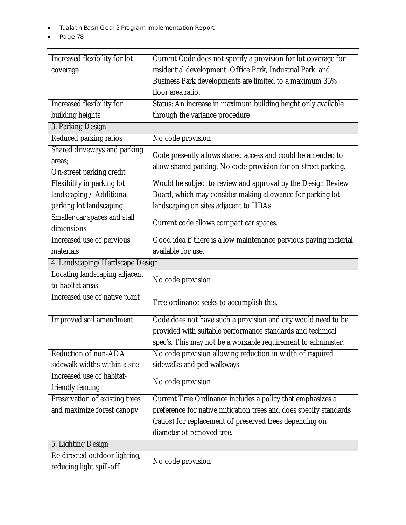- Tualatin Basin Goal 5 Program Implementation Report
- Page 78

| Increased flexibility for lot                             | Current Code does not specify a provision for lot coverage for    |
|-----------------------------------------------------------|-------------------------------------------------------------------|
| coverage                                                  | residential development. Office Park, Industrial Park, and        |
|                                                           | Business Park developments are limited to a maximum 35%           |
|                                                           | floor area ratio.                                                 |
| Increased flexibility for                                 | Status: An increase in maximum building height only available     |
| building heights                                          | through the variance procedure                                    |
| 3. Parking Design                                         |                                                                   |
| Reduced parking ratios                                    | No code provision                                                 |
| Shared driveways and parking                              | Code presently allows shared access and could be amended to       |
| areas;                                                    | allow shared parking. No code provision for on-street parking.    |
| On-street parking credit                                  |                                                                   |
| Flexibility in parking lot                                | Would be subject to review and approval by the Design Review      |
| landscaping / Additional                                  | Board, which may consider making allowance for parking lot        |
| parking lot landscaping                                   | landscaping on sites adjacent to HBAs.                            |
| Smaller car spaces and stall                              | Current code allows compact car spaces.                           |
| dimensions                                                |                                                                   |
| Increased use of pervious                                 | Good idea if there is a low maintenance pervious paving material  |
| materials                                                 | available for use.                                                |
| 4. Landscaping/Hardscape Design                           |                                                                   |
|                                                           |                                                                   |
| Locating landscaping adjacent                             |                                                                   |
| to habitat areas                                          | No code provision                                                 |
| Increased use of native plant                             |                                                                   |
|                                                           | Tree ordinance seeks to accomplish this.                          |
| Improved soil amendment                                   | Code does not have such a provision and city would need to be     |
|                                                           | provided with suitable performance standards and technical        |
|                                                           | spec's. This may not be a workable requirement to administer.     |
| Reduction of non-ADA                                      | No code provision allowing reduction in width of required         |
| sidewalk widths within a site                             | sidewalks and ped walkways                                        |
| Increased use of habitat-                                 |                                                                   |
| friendly fencing                                          | No code provision                                                 |
| Preservation of existing trees                            | Current Tree Ordinance includes a policy that emphasizes a        |
| and maximize forest canopy                                | preference for native mitigation trees and does specify standards |
|                                                           | (ratios) for replacement of preserved trees depending on          |
|                                                           | diameter of removed tree.                                         |
| 5. Lighting Design                                        |                                                                   |
| Re-directed outdoor lighting,<br>reducing light spill-off | No code provision                                                 |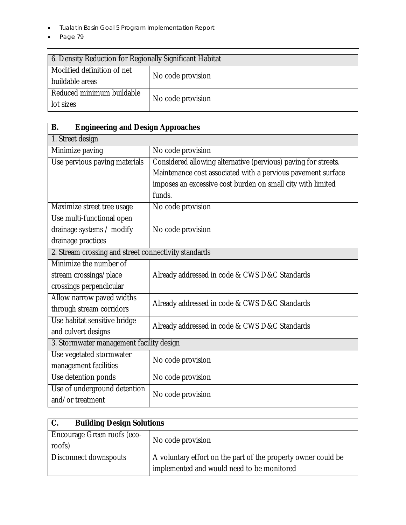- Tualatin Basin Goal 5 Program Implementation Report
- Page 79

| 6. Density Reduction for Regionally Significant Habitat |                   |  |
|---------------------------------------------------------|-------------------|--|
| Modified definition of net<br>buildable areas           | No code provision |  |
| Reduced minimum buildable<br>lot sizes                  | No code provision |  |

## **B. Engineering and Design Approaches**  1. Street design Minimize paving and  $\log$  No code provision Use pervious paving materials Considered allowing alternative (pervious) paving for streets. Maintenance cost associated with a pervious pavement surface imposes an excessive cost burden on small city with limited funds. Maximize street tree usage | No code provision Use multi-functional open drainage systems / modify drainage practices No code provision 2. Stream crossing and street connectivity standards Minimize the number of stream crossings/place crossings perpendicular Already addressed in code & CWS D&C Standards Allow narrow paved widths Already addressed in code & CWS D&C Standards<br>through stream corridors Use habitat sensitive bridge and culvert designs <br>Already addressed in code & CWS D&C Standards 3. Stormwater management facility design Use vegetated stormwater management facilities No code provision Use detention ponds No code provision Use of underground detention and/or treatment No code provision

| $\mathbf C$ .<br><b>Building Design Solutions</b> |                                                                                                             |
|---------------------------------------------------|-------------------------------------------------------------------------------------------------------------|
| Encourage Green roofs (eco-<br>roofs)             | No code provision                                                                                           |
| Disconnect downspouts                             | A voluntary effort on the part of the property owner could be<br>implemented and would need to be monitored |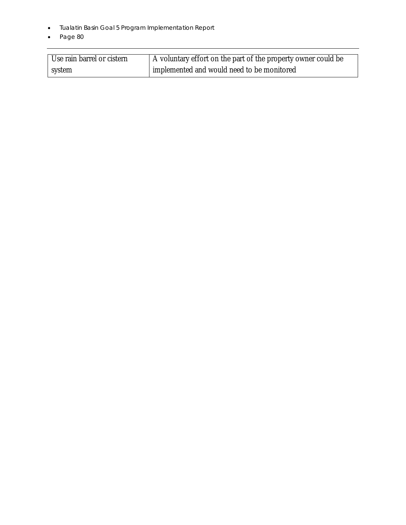- Tualatin Basin Goal 5 Program Implementation Report
- Page 80

| Use rain barrel or cistern | $\mu$ A voluntary effort on the part of the property owner could be |
|----------------------------|---------------------------------------------------------------------|
| system                     | implemented and would need to be monitored                          |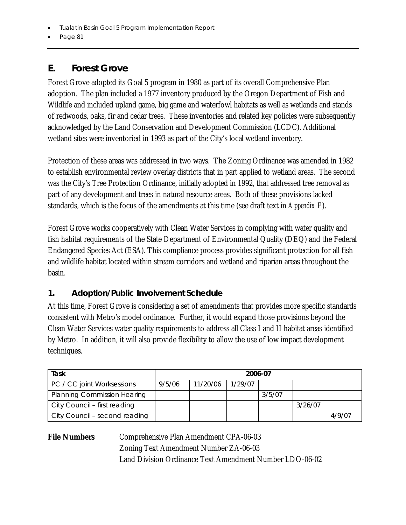- Tualatin Basin Goal 5 Program Implementation Report
- Page 81

## *E. Forest Grove*

Forest Grove adopted its Goal 5 program in 1980 as part of its overall Comprehensive Plan adoption. The plan included a 1977 inventory produced by the Oregon Department of Fish and Wildlife and included upland game, big game and waterfowl habitats as well as wetlands and stands of redwoods, oaks, fir and cedar trees. These inventories and related key policies were subsequently acknowledged by the Land Conservation and Development Commission (LCDC). Additional wetland sites were inventoried in 1993 as part of the City's local wetland inventory.

Protection of these areas was addressed in two ways. The Zoning Ordinance was amended in 1982 to establish environmental review overlay districts that in part applied to wetland areas. The second was the City's Tree Protection Ordinance, initially adopted in 1992, that addressed tree removal as part of any development and trees in natural resource areas. Both of these provisions lacked standards, which is the focus of the amendments at this time (see draft text in *Appendix F*).

Forest Grove works cooperatively with Clean Water Services in complying with water quality and fish habitat requirements of the State Department of Environmental Quality (DEQ) and the Federal Endangered Species Act (ESA). This compliance process provides significant protection for all fish and wildlife habitat located within stream corridors and wetland and riparian areas throughout the basin.

## **1. Adoption/Public Involvement Schedule**

At this time, Forest Grove is considering a set of amendments that provides more specific standards consistent with Metro's model ordinance. Further, it would expand those provisions beyond the Clean Water Services water quality requirements to address all Class I and II habitat areas identified by Metro. In addition, it will also provide flexibility to allow the use of low impact development techniques.

| Task                          | 2006-07 |          |         |        |         |        |
|-------------------------------|---------|----------|---------|--------|---------|--------|
| PC / CC joint Worksessions    | 9/5/06  | 11/20/06 | 1/29/07 |        |         |        |
| Planning Commission Hearing   |         |          |         | 3/5/07 |         |        |
| City Council - first reading  |         |          |         |        | 3/26/07 |        |
| City Council - second reading |         |          |         |        |         | 4/9/07 |

## **File Numbers** Comprehensive Plan Amendment CPA-06-03 Zoning Text Amendment Number ZA-06-03 Land Division Ordinance Text Amendment Number LDO-06-02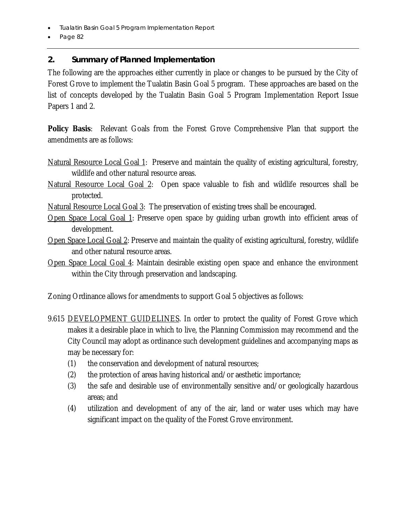- Tualatin Basin Goal 5 Program Implementation Report
- Page 82

### **2. Summary of Planned Implementation**

The following are the approaches either currently in place or changes to be pursued by the City of Forest Grove to implement the Tualatin Basin Goal 5 program. These approaches are based on the list of concepts developed by the Tualatin Basin Goal 5 Program Implementation Report Issue Papers 1 and 2.

**Policy Basis:** Relevant Goals from the Forest Grove Comprehensive Plan that support the amendments are as follows:

- Natural Resource Local Goal 1: Preserve and maintain the quality of existing agricultural, forestry, wildlife and other natural resource areas.
- Natural Resource Local Goal 2: Open space valuable to fish and wildlife resources shall be protected.
- Natural Resource Local Goal 3: The preservation of existing trees shall be encouraged.
- Open Space Local Goal 1: Preserve open space by guiding urban growth into efficient areas of development.
- Open Space Local Goal 2: Preserve and maintain the quality of existing agricultural, forestry, wildlife and other natural resource areas.
- Open Space Local Goal 4: Maintain desirable existing open space and enhance the environment within the City through preservation and landscaping.

Zoning Ordinance allows for amendments to support Goal 5 objectives as follows:

- 9.615 DEVELOPMENT GUIDELINES. In order to protect the quality of Forest Grove which makes it a desirable place in which to live, the Planning Commission may recommend and the City Council may adopt as ordinance such development guidelines and accompanying maps as may be necessary for:
	- (1) the conservation and development of natural resources;
	- (2) the protection of areas having historical and/or aesthetic importance;
	- (3) the safe and desirable use of environmentally sensitive and/or geologically hazardous areas; and
	- (4) utilization and development of any of the air, land or water uses which may have significant impact on the quality of the Forest Grove environment.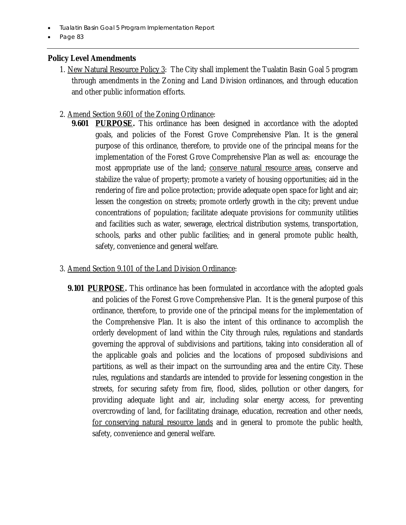- Tualatin Basin Goal 5 Program Implementation Report
- Page 83

### **Policy Level Amendments**

1. New Natural Resource Policy 3: The City shall implement the Tualatin Basin Goal 5 program through amendments in the Zoning and Land Division ordinances, and through education and other public information efforts.

### 2. Amend Section 9.601 of the Zoning Ordinance:

**9.601 PURPOSE.** This ordinance has been designed in accordance with the adopted goals, and policies of the Forest Grove Comprehensive Plan. It is the general purpose of this ordinance, therefore, to provide one of the principal means for the implementation of the Forest Grove Comprehensive Plan as well as: encourage the most appropriate use of the land; conserve natural resource areas, conserve and stabilize the value of property; promote a variety of housing opportunities; aid in the rendering of fire and police protection; provide adequate open space for light and air; lessen the congestion on streets; promote orderly growth in the city; prevent undue concentrations of population; facilitate adequate provisions for community utilities and facilities such as water, sewerage, electrical distribution systems, transportation, schools, parks and other public facilities; and in general promote public health, safety, convenience and general welfare.

#### 3. Amend Section 9.101 of the Land Division Ordinance:

**9.101 PURPOSE.** This ordinance has been formulated in accordance with the adopted goals and policies of the Forest Grove Comprehensive Plan. It is the general purpose of this ordinance, therefore, to provide one of the principal means for the implementation of the Comprehensive Plan. It is also the intent of this ordinance to accomplish the orderly development of land within the City through rules, regulations and standards governing the approval of subdivisions and partitions, taking into consideration all of the applicable goals and policies and the locations of proposed subdivisions and partitions, as well as their impact on the surrounding area and the entire City. These rules, regulations and standards are intended to provide for lessening congestion in the streets, for securing safety from fire, flood, slides, pollution or other dangers, for providing adequate light and air, including solar energy access, for preventing overcrowding of land, for facilitating drainage, education, recreation and other needs, for conserving natural resource lands and in general to promote the public health, safety, convenience and general welfare.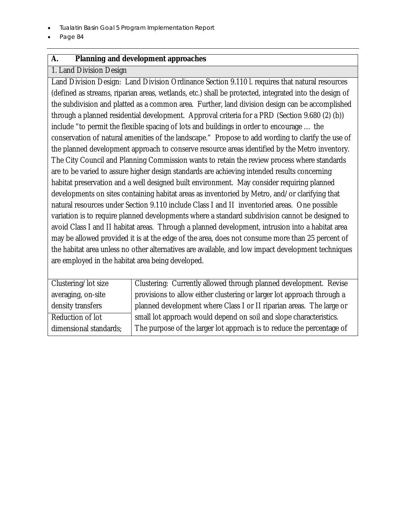- Tualatin Basin Goal 5 Program Implementation Report
- Page 84

### **A. Planning and development approaches**

#### 1. Land Division Design

Land Division Design: Land Division Ordinance Section 9.110 l. requires that natural resources (defined as streams, riparian areas, wetlands, etc.) shall be protected, integrated into the design of the subdivision and platted as a common area. Further, land division design can be accomplished through a planned residential development. Approval criteria for a PRD (Section 9.680 (2) (b)) include "to permit the flexible spacing of lots and buildings in order to encourage … the conservation of natural amenities of the landscape." Propose to add wording to clarify the use of the planned development approach to conserve resource areas identified by the Metro inventory. The City Council and Planning Commission wants to retain the review process where standards are to be varied to assure higher design standards are achieving intended results concerning habitat preservation and a well designed built environment. May consider requiring planned developments on sites containing habitat areas as inventoried by Metro, and/or clarifying that natural resources under Section 9.110 include Class I and II inventoried areas. One possible variation is to require planned developments where a standard subdivision cannot be designed to avoid Class I and II habitat areas. Through a planned development, intrusion into a habitat area may be allowed provided it is at the edge of the area, does not consume more than 25 percent of the habitat area unless no other alternatives are available, and low impact development techniques are employed in the habitat area being developed.

| Clustering/lot size    | Clustering: Currently allowed through planned development. Revise      |
|------------------------|------------------------------------------------------------------------|
| averaging, on-site     | provisions to allow either clustering or larger lot approach through a |
| density transfers      | planned development where Class I or II riparian areas. The large or   |
| Reduction of lot       | small lot approach would depend on soil and slope characteristics.     |
| dimensional standards; | The purpose of the larger lot approach is to reduce the percentage of  |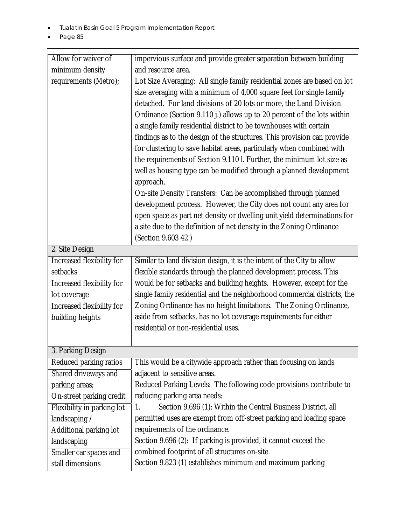- Tualatin Basin Goal 5 Program Implementation Report
- Page 85

| Allow for waiver of                        | impervious surface and provide greater separation between building                                         |  |  |
|--------------------------------------------|------------------------------------------------------------------------------------------------------------|--|--|
| minimum density                            | and resource area.                                                                                         |  |  |
| requirements (Metro);                      | Lot Size Averaging: All single family residential zones are based on lot                                   |  |  |
|                                            | size averaging with a minimum of 4,000 square feet for single family                                       |  |  |
|                                            | detached. For land divisions of 20 lots or more, the Land Division                                         |  |  |
|                                            | Ordinance (Section 9.110 j.) allows up to 20 percent of the lots within                                    |  |  |
|                                            | a single family residential district to be townhouses with certain                                         |  |  |
|                                            | findings as to the design of the structures. This provision can provide                                    |  |  |
|                                            | for clustering to save habitat areas, particularly when combined with                                      |  |  |
|                                            | the requirements of Section 9.110 l. Further, the minimum lot size as                                      |  |  |
|                                            | well as housing type can be modified through a planned development                                         |  |  |
|                                            |                                                                                                            |  |  |
|                                            | approach.                                                                                                  |  |  |
|                                            | On-site Density Transfers: Can be accomplished through planned                                             |  |  |
|                                            | development process. However, the City does not count any area for                                         |  |  |
|                                            | open space as part net density or dwelling unit yield determinations for                                   |  |  |
|                                            | a site due to the definition of net density in the Zoning Ordinance                                        |  |  |
|                                            | (Section 9.603 42.)                                                                                        |  |  |
| 2. Site Design                             |                                                                                                            |  |  |
| Increased flexibility for                  | Similar to land division design, it is the intent of the City to allow                                     |  |  |
| setbacks                                   | flexible standards through the planned development process. This                                           |  |  |
| Increased flexibility for                  | would be for setbacks and building heights. However, except for the                                        |  |  |
| lot coverage                               | single family residential and the neighborhood commercial districts, the                                   |  |  |
| Increased flexibility for                  | Zoning Ordinance has no height limitations. The Zoning Ordinance,                                          |  |  |
| building heights                           | aside from setbacks, has no lot coverage requirements for either                                           |  |  |
|                                            | residential or non-residential uses.                                                                       |  |  |
|                                            |                                                                                                            |  |  |
| 3. Parking Design                          |                                                                                                            |  |  |
| Reduced parking ratios                     |                                                                                                            |  |  |
|                                            | This would be a citywide approach rather than focusing on lands                                            |  |  |
| Shared driveways and                       | adjacent to sensitive areas.                                                                               |  |  |
|                                            | Reduced Parking Levels: The following code provisions contribute to                                        |  |  |
| parking areas;                             |                                                                                                            |  |  |
| On-street parking credit                   | reducing parking area needs:<br>Section 9.696 (1): Within the Central Business District, all<br>1.         |  |  |
| Flexibility in parking lot                 | permitted uses are exempt from off-street parking and loading space                                        |  |  |
| landscaping /                              | requirements of the ordinance.                                                                             |  |  |
| Additional parking lot                     |                                                                                                            |  |  |
| landscaping                                | Section 9.696 (2): If parking is provided, it cannot exceed the                                            |  |  |
| Smaller car spaces and<br>stall dimensions | combined footprint of all structures on-site.<br>Section 9.823 (1) establishes minimum and maximum parking |  |  |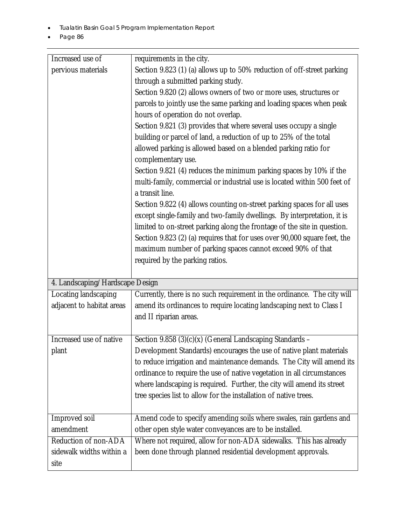- Tualatin Basin Goal 5 Program Implementation Report
- Page 86

| Increased use of                | requirements in the city.                                                 |
|---------------------------------|---------------------------------------------------------------------------|
| pervious materials              | Section 9.823 (1) (a) allows up to 50% reduction of off-street parking    |
|                                 | through a submitted parking study.                                        |
|                                 | Section 9.820 (2) allows owners of two or more uses, structures or        |
|                                 | parcels to jointly use the same parking and loading spaces when peak      |
|                                 | hours of operation do not overlap.                                        |
|                                 | Section 9.821 (3) provides that where several uses occupy a single        |
|                                 | building or parcel of land, a reduction of up to 25% of the total         |
|                                 | allowed parking is allowed based on a blended parking ratio for           |
|                                 | complementary use.                                                        |
|                                 | Section 9.821 (4) reduces the minimum parking spaces by 10% if the        |
|                                 | multi-family, commercial or industrial use is located within 500 feet of  |
|                                 | a transit line.                                                           |
|                                 | Section 9.822 (4) allows counting on-street parking spaces for all uses   |
|                                 | except single-family and two-family dwellings. By interpretation, it is   |
|                                 | limited to on-street parking along the frontage of the site in question.  |
|                                 | Section 9.823 (2) (a) requires that for uses over 90,000 square feet, the |
|                                 | maximum number of parking spaces cannot exceed 90% of that                |
|                                 | required by the parking ratios.                                           |
|                                 |                                                                           |
| 4. Landscaping/Hardscape Design |                                                                           |
| <b>Locating landscaping</b>     | Currently, there is no such requirement in the ordinance. The city will   |
| adjacent to habitat areas       | amend its ordinances to require locating landscaping next to Class I      |
|                                 | and II riparian areas.                                                    |
|                                 |                                                                           |
| Increased use of native         | Section 9.858 (3)(c)(x) (General Landscaping Standards -                  |
| plant                           | Development Standards) encourages the use of native plant materials       |
|                                 | to reduce irrigation and maintenance demands. The City will amend its     |
|                                 | ordinance to require the use of native vegetation in all circumstances    |
|                                 | where landscaping is required. Further, the city will amend its street    |
|                                 | tree species list to allow for the installation of native trees.          |
| Improved soil                   | Amend code to specify amending soils where swales, rain gardens and       |
| amendment                       | other open style water conveyances are to be installed.                   |
| Reduction of non-ADA            | Where not required, allow for non-ADA sidewalks. This has already         |
| sidewalk widths within a        | been done through planned residential development approvals.              |
| site                            |                                                                           |
|                                 |                                                                           |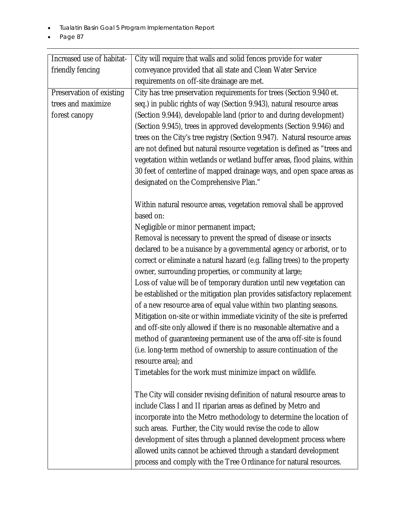- Tualatin Basin Goal 5 Program Implementation Report
- Page 87

| Increased use of habitat- | City will require that walls and solid fences provide for water            |  |  |
|---------------------------|----------------------------------------------------------------------------|--|--|
|                           |                                                                            |  |  |
| friendly fencing          | conveyance provided that all state and Clean Water Service                 |  |  |
|                           | requirements on off-site drainage are met.                                 |  |  |
| Preservation of existing  | City has tree preservation requirements for trees (Section 9.940 et.       |  |  |
| trees and maximize        | seq.) in public rights of way (Section 9.943), natural resource areas      |  |  |
| forest canopy             | (Section 9.944), developable land (prior to and during development)        |  |  |
|                           | (Section 9.945), trees in approved developments (Section 9.946) and        |  |  |
|                           | trees on the City's tree registry (Section 9.947). Natural resource areas  |  |  |
|                           | are not defined but natural resource vegetation is defined as "trees and   |  |  |
|                           | vegetation within wetlands or wetland buffer areas, flood plains, within   |  |  |
|                           | 30 feet of centerline of mapped drainage ways, and open space areas as     |  |  |
|                           | designated on the Comprehensive Plan."                                     |  |  |
|                           |                                                                            |  |  |
|                           | Within natural resource areas, vegetation removal shall be approved        |  |  |
|                           | based on:                                                                  |  |  |
|                           | Negligible or minor permanent impact;                                      |  |  |
|                           | Removal is necessary to prevent the spread of disease or insects           |  |  |
|                           | declared to be a nuisance by a governmental agency or arborist, or to      |  |  |
|                           | correct or eliminate a natural hazard (e.g. falling trees) to the property |  |  |
|                           | owner, surrounding properties, or community at large;                      |  |  |
|                           | Loss of value will be of temporary duration until new vegetation can       |  |  |
|                           | be established or the mitigation plan provides satisfactory replacement    |  |  |
|                           | of a new resource area of equal value within two planting seasons.         |  |  |
|                           | Mitigation on-site or within immediate vicinity of the site is preferred   |  |  |
|                           | and off-site only allowed if there is no reasonable alternative and a      |  |  |
|                           | method of guaranteeing permanent use of the area off-site is found         |  |  |
|                           | (i.e. long-term method of ownership to assure continuation of the          |  |  |
|                           | resource area); and                                                        |  |  |
|                           | Timetables for the work must minimize impact on wildlife.                  |  |  |
|                           |                                                                            |  |  |
|                           | The City will consider revising definition of natural resource areas to    |  |  |
|                           | include Class I and II riparian areas as defined by Metro and              |  |  |
|                           | incorporate into the Metro methodology to determine the location of        |  |  |
|                           | such areas. Further, the City would revise the code to allow               |  |  |
|                           |                                                                            |  |  |
|                           | development of sites through a planned development process where           |  |  |
|                           | allowed units cannot be achieved through a standard development            |  |  |
|                           | process and comply with the Tree Ordinance for natural resources.          |  |  |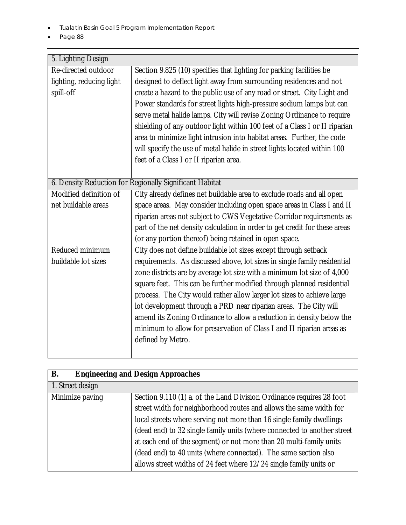- Tualatin Basin Goal 5 Program Implementation Report
- Page 88

| 5. Lighting Design       |                                                                            |
|--------------------------|----------------------------------------------------------------------------|
| Re-directed outdoor      | Section 9.825 (10) specifies that lighting for parking facilities be       |
| lighting, reducing light | designed to deflect light away from surrounding residences and not         |
| spill-off                | create a hazard to the public use of any road or street. City Light and    |
|                          | Power standards for street lights high-pressure sodium lamps but can       |
|                          | serve metal halide lamps. City will revise Zoning Ordinance to require     |
|                          | shielding of any outdoor light within 100 feet of a Class I or II riparian |
|                          | area to minimize light intrusion into habitat areas. Further, the code     |
|                          | will specify the use of metal halide in street lights located within 100   |
|                          | feet of a Class I or II riparian area.                                     |
|                          |                                                                            |
|                          | 6. Density Reduction for Regionally Significant Habitat                    |
| Modified definition of   | City already defines net buildable area to exclude roads and all open      |
| net buildable areas      | space areas. May consider including open space areas in Class I and II     |
|                          | riparian areas not subject to CWS Vegetative Corridor requirements as      |
|                          | part of the net density calculation in order to get credit for these areas |
|                          | (or any portion thereof) being retained in open space.                     |
| Reduced minimum          | City does not define buildable lot sizes except through setback            |
| buildable lot sizes      | requirements. As discussed above, lot sizes in single family residential   |
|                          | zone districts are by average lot size with a minimum lot size of 4,000    |
|                          | square feet. This can be further modified through planned residential      |
|                          | process. The City would rather allow larger lot sizes to achieve large     |
|                          | lot development through a PRD near riparian areas. The City will           |
|                          | amend its Zoning Ordinance to allow a reduction in density below the       |
|                          | minimum to allow for preservation of Class I and II riparian areas as      |
|                          | defined by Metro.                                                          |
|                          |                                                                            |

| <b>Engineering and Design Approaches</b><br><b>B.</b> |                                                                         |  |  |
|-------------------------------------------------------|-------------------------------------------------------------------------|--|--|
| 1. Street design                                      |                                                                         |  |  |
| Minimize paving                                       | Section 9.110 (1) a. of the Land Division Ordinance requires 28 foot    |  |  |
|                                                       | street width for neighborhood routes and allows the same width for      |  |  |
|                                                       | local streets where serving not more than 16 single family dwellings    |  |  |
|                                                       | (dead end) to 32 single family units (where connected to another street |  |  |
|                                                       | at each end of the segment) or not more than 20 multi-family units      |  |  |
|                                                       | (dead end) to 40 units (where connected). The same section also         |  |  |
|                                                       | allows street widths of 24 feet where 12/24 single family units or      |  |  |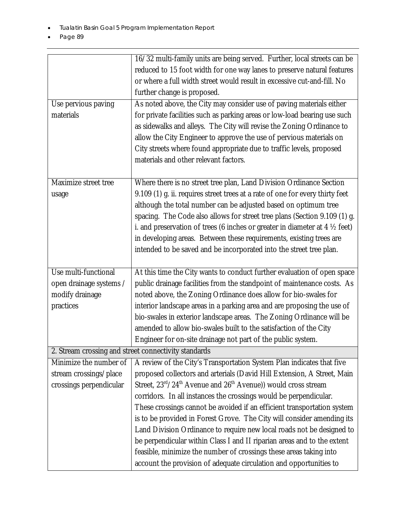- Tualatin Basin Goal 5 Program Implementation Report
- Page 89

|                         | 16/32 multi-family units are being served. Further, local streets can be                           |
|-------------------------|----------------------------------------------------------------------------------------------------|
|                         | reduced to 15 foot width for one way lanes to preserve natural features                            |
|                         | or where a full width street would result in excessive cut-and-fill. No                            |
|                         | further change is proposed.                                                                        |
| Use pervious paving     | As noted above, the City may consider use of paving materials either                               |
| materials               | for private facilities such as parking areas or low-load bearing use such                          |
|                         | as sidewalks and alleys. The City will revise the Zoning Ordinance to                              |
|                         | allow the City Engineer to approve the use of pervious materials on                                |
|                         | City streets where found appropriate due to traffic levels, proposed                               |
|                         | materials and other relevant factors.                                                              |
|                         |                                                                                                    |
| Maximize street tree    | Where there is no street tree plan, Land Division Ordinance Section                                |
| usage                   | 9.109 (1) g. ii. requires street trees at a rate of one for every thirty feet                      |
|                         | although the total number can be adjusted based on optimum tree                                    |
|                         | spacing. The Code also allows for street tree plans (Section 9.109 (1) g.                          |
|                         | i. and preservation of trees (6 inches or greater in diameter at $4\frac{1}{2}$ feet)              |
|                         | in developing areas. Between these requirements, existing trees are                                |
|                         | intended to be saved and be incorporated into the street tree plan.                                |
|                         |                                                                                                    |
| Use multi-functional    | At this time the City wants to conduct further evaluation of open space                            |
| open drainage systems / | public drainage facilities from the standpoint of maintenance costs. As                            |
| modify drainage         | noted above, the Zoning Ordinance does allow for bio-swales for                                    |
| practices               | interior landscape areas in a parking area and are proposing the use of                            |
|                         | bio-swales in exterior landscape areas. The Zoning Ordinance will be                               |
|                         |                                                                                                    |
|                         | amended to allow bio-swales built to the satisfaction of the City                                  |
|                         | Engineer for on-site drainage not part of the public system.                                       |
|                         | 2. Stream crossing and street connectivity standards                                               |
| Minimize the number of  | A review of the City's Transportation System Plan indicates that five                              |
| stream crossings/place  | proposed collectors and arterials (David Hill Extension, A Street, Main                            |
| crossings perpendicular | Street, 23 <sup>rd</sup> /24 <sup>th</sup> Avenue and 26 <sup>th</sup> Avenue)) would cross stream |
|                         | corridors. In all instances the crossings would be perpendicular.                                  |
|                         | These crossings cannot be avoided if an efficient transportation system                            |
|                         | is to be provided in Forest Grove. The City will consider amending its                             |
|                         | Land Division Ordinance to require new local roads not be designed to                              |
|                         | be perpendicular within Class I and II riparian areas and to the extent                            |
|                         | feasible, minimize the number of crossings these areas taking into                                 |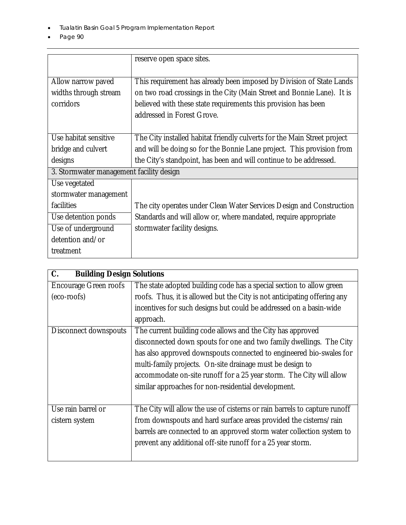- Tualatin Basin Goal 5 Program Implementation Report
- Page 90

|                                          | reserve open space sites.                                                |  |
|------------------------------------------|--------------------------------------------------------------------------|--|
|                                          |                                                                          |  |
| Allow narrow paved                       | This requirement has already been imposed by Division of State Lands     |  |
| widths through stream                    | on two road crossings in the City (Main Street and Bonnie Lane). It is   |  |
| corridors                                | believed with these state requirements this provision has been           |  |
|                                          | addressed in Forest Grove.                                               |  |
|                                          |                                                                          |  |
| Use habitat sensitive                    | The City installed habitat friendly culverts for the Main Street project |  |
| bridge and culvert                       | and will be doing so for the Bonnie Lane project. This provision from    |  |
| designs                                  | the City's standpoint, has been and will continue to be addressed.       |  |
| 3. Stormwater management facility design |                                                                          |  |
| Use vegetated                            |                                                                          |  |
| stormwater management                    |                                                                          |  |
| facilities                               | The city operates under Clean Water Services Design and Construction     |  |
| Use detention ponds                      | Standards and will allow or, where mandated, require appropriate         |  |
| Use of underground                       | stormwater facility designs.                                             |  |
| detention and/or                         |                                                                          |  |
| treatment                                |                                                                          |  |

| <b>Building Design Solutions</b><br>$C_{\cdot}$ |                                                                           |  |
|-------------------------------------------------|---------------------------------------------------------------------------|--|
| <b>Encourage Green roofs</b>                    | The state adopted building code has a special section to allow green      |  |
| (eco-roofs)                                     | roofs. Thus, it is allowed but the City is not anticipating offering any  |  |
|                                                 | incentives for such designs but could be addressed on a basin-wide        |  |
|                                                 | approach.                                                                 |  |
| Disconnect downspouts                           | The current building code allows and the City has approved                |  |
|                                                 | disconnected down spouts for one and two family dwellings. The City       |  |
|                                                 | has also approved downspouts connected to engineered bio-swales for       |  |
|                                                 | multi-family projects. On-site drainage must be design to                 |  |
|                                                 | accommodate on-site runoff for a 25 year storm. The City will allow       |  |
|                                                 | similar approaches for non-residential development.                       |  |
|                                                 |                                                                           |  |
| Use rain barrel or                              | The City will allow the use of cisterns or rain barrels to capture runoff |  |
| cistern system                                  | from downspouts and hard surface areas provided the cisterns/rain         |  |
|                                                 | barrels are connected to an approved storm water collection system to     |  |
|                                                 | prevent any additional off-site runoff for a 25 year storm.               |  |
|                                                 |                                                                           |  |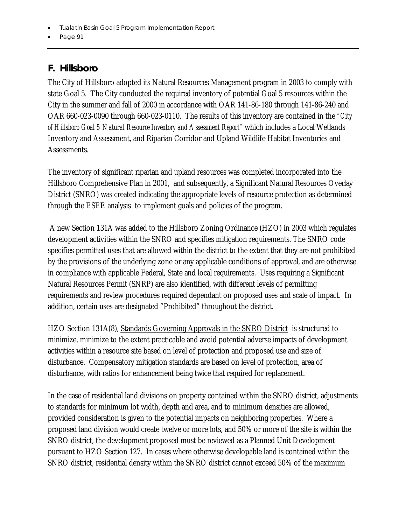- Tualatin Basin Goal 5 Program Implementation Report
- Page 91

# *F. Hillsboro*

The City of Hillsboro adopted its Natural Resources Management program in 2003 to comply with state Goal 5. The City conducted the required inventory of potential Goal 5 resources within the City in the summer and fall of 2000 in accordance with OAR 141-86-180 through 141-86-240 and OAR 660-023-0090 through 660-023-0110. The results of this inventory are contained in the *"City of Hillsboro Goal 5 Natural Resource Inventory and Assessment Report"* which includes a Local Wetlands Inventory and Assessment, and Riparian Corridor and Upland Wildlife Habitat Inventories and Assessments.

The inventory of significant riparian and upland resources was completed incorporated into the Hillsboro Comprehensive Plan in 2001, and subsequently, a Significant Natural Resources Overlay District (SNRO) was created indicating the appropriate levels of resource protection as determined through the ESEE analysis to implement goals and policies of the program.

 A new Section 131A was added to the Hillsboro Zoning Ordinance (HZO) in 2003 which regulates development activities within the SNRO and specifies mitigation requirements. The SNRO code specifies permitted uses that are allowed within the district to the extent that they are not prohibited by the provisions of the underlying zone or any applicable conditions of approval, and are otherwise in compliance with applicable Federal, State and local requirements. Uses requiring a Significant Natural Resources Permit (SNRP) are also identified, with different levels of permitting requirements and review procedures required dependant on proposed uses and scale of impact. In addition, certain uses are designated "Prohibited" throughout the district.

HZO Section 131A(8), Standards Governing Approvals in the SNRO District is structured to minimize, minimize to the extent practicable and avoid potential adverse impacts of development activities within a resource site based on level of protection and proposed use and size of disturbance. Compensatory mitigation standards are based on level of protection, area of disturbance, with ratios for enhancement being twice that required for replacement.

In the case of residential land divisions on property contained within the SNRO district, adjustments to standards for minimum lot width, depth and area, and to minimum densities are allowed, provided consideration is given to the potential impacts on neighboring properties. Where a proposed land division would create twelve or more lots, and 50% or more of the site is within the SNRO district, the development proposed must be reviewed as a Planned Unit Development pursuant to HZO Section 127. In cases where otherwise developable land is contained within the SNRO district, residential density within the SNRO district cannot exceed 50% of the maximum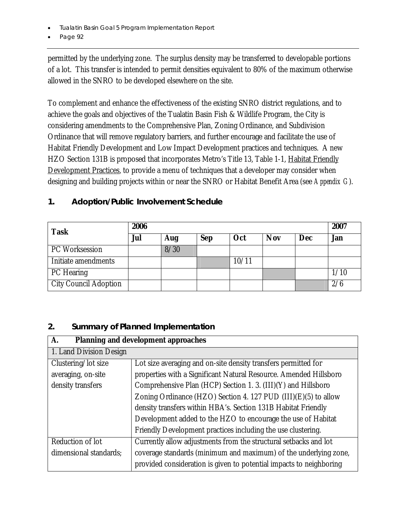- Tualatin Basin Goal 5 Program Implementation Report
- Page 92

permitted by the underlying zone. The surplus density may be transferred to developable portions of a lot. This transfer is intended to permit densities equivalent to 80% of the maximum otherwise allowed in the SNRO to be developed elsewhere on the site.

To complement and enhance the effectiveness of the existing SNRO district regulations, and to achieve the goals and objectives of the Tualatin Basin Fish & Wildlife Program, the City is considering amendments to the Comprehensive Plan, Zoning Ordinance, and Subdivision Ordinance that will remove regulatory barriers, and further encourage and facilitate the use of Habitat Friendly Development and Low Impact Development practices and techniques. A new HZO Section 131B is proposed that incorporates Metro's Title 13, Table 1-1, Habitat Friendly Development Practices, to provide a menu of techniques that a developer may consider when designing and building projects within or near the SNRO or Habitat Benefit Area (see *Appendix G*).

| <b>Task</b>                  | 2006 |            |     |       |            |            | 2007       |
|------------------------------|------|------------|-----|-------|------------|------------|------------|
|                              | Jul  | <b>Aug</b> | Sep | Oct   | <b>Nov</b> | <b>Dec</b> | <b>Jan</b> |
| PC Worksession               |      | 8/30       |     |       |            |            |            |
| Initiate amendments          |      |            |     | 10/11 |            |            |            |
| PC Hearing                   |      |            |     |       |            |            | 1/10       |
| <b>City Council Adoption</b> |      |            |     |       |            |            | 2/6        |

### **1. Adoption/Public Involvement Schedule**

| <b>Planning and development approaches</b><br>A. |                                                                     |  |
|--------------------------------------------------|---------------------------------------------------------------------|--|
| 1. Land Division Design                          |                                                                     |  |
| Clustering/lot size                              | Lot size averaging and on-site density transfers permitted for      |  |
| averaging, on-site                               | properties with a Significant Natural Resource. Amended Hillsboro   |  |
| density transfers                                | Comprehensive Plan (HCP) Section 1. 3. (III)(Y) and Hillsboro       |  |
|                                                  | Zoning Ordinance (HZO) Section 4. 127 PUD (III)(E)(5) to allow      |  |
|                                                  | density transfers within HBA's. Section 131B Habitat Friendly       |  |
|                                                  | Development added to the HZO to encourage the use of Habitat        |  |
|                                                  | Friendly Development practices including the use clustering.        |  |
| Reduction of lot                                 | Currently allow adjustments from the structural setbacks and lot    |  |
| dimensional standards;                           | coverage standards (minimum and maximum) of the underlying zone,    |  |
|                                                  | provided consideration is given to potential impacts to neighboring |  |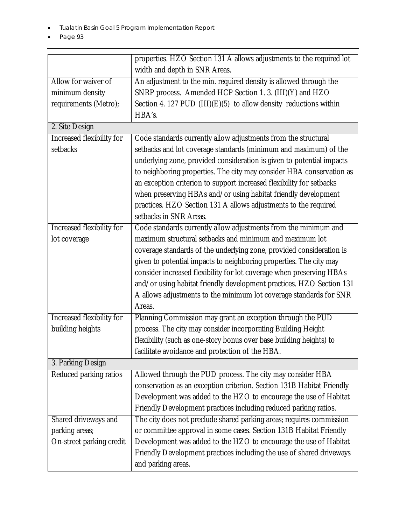- Tualatin Basin Goal 5 Program Implementation Report
- Page 93

|                           | properties. HZO Section 131 A allows adjustments to the required lot  |  |
|---------------------------|-----------------------------------------------------------------------|--|
|                           | width and depth in SNR Areas.                                         |  |
| Allow for waiver of       | An adjustment to the min. required density is allowed through the     |  |
| minimum density           | SNRP process. Amended HCP Section 1. 3. (III)(Y) and HZO              |  |
| requirements (Metro);     | Section 4. 127 PUD $(III)(E)(5)$ to allow density reductions within   |  |
|                           | HBA's.                                                                |  |
| 2. Site Design            |                                                                       |  |
| Increased flexibility for | Code standards currently allow adjustments from the structural        |  |
| setbacks                  | setbacks and lot coverage standards (minimum and maximum) of the      |  |
|                           | underlying zone, provided consideration is given to potential impacts |  |
|                           | to neighboring properties. The city may consider HBA conservation as  |  |
|                           | an exception criterion to support increased flexibility for setbacks  |  |
|                           | when preserving HBAs and/or using habitat friendly development        |  |
|                           | practices. HZO Section 131 A allows adjustments to the required       |  |
|                           | setbacks in SNR Areas.                                                |  |
|                           |                                                                       |  |
| Increased flexibility for | Code standards currently allow adjustments from the minimum and       |  |
| lot coverage              | maximum structural setbacks and minimum and maximum lot               |  |
|                           | coverage standards of the underlying zone, provided consideration is  |  |
|                           | given to potential impacts to neighboring properties. The city may    |  |
|                           | consider increased flexibility for lot coverage when preserving HBAs  |  |
|                           | and/or using habitat friendly development practices. HZO Section 131  |  |
|                           | A allows adjustments to the minimum lot coverage standards for SNR    |  |
|                           | Areas.                                                                |  |
| Increased flexibility for | Planning Commission may grant an exception through the PUD            |  |
| building heights          | process. The city may consider incorporating Building Height          |  |
|                           | flexibility (such as one-story bonus over base building heights) to   |  |
|                           | facilitate avoidance and protection of the HBA.                       |  |
| 3. Parking Design         |                                                                       |  |
| Reduced parking ratios    | Allowed through the PUD process. The city may consider HBA            |  |
|                           | conservation as an exception criterion. Section 131B Habitat Friendly |  |
|                           | Development was added to the HZO to encourage the use of Habitat      |  |
|                           | Friendly Development practices including reduced parking ratios.      |  |
| Shared driveways and      | The city does not preclude shared parking areas; requires commission  |  |
| parking areas;            | or committee approval in some cases. Section 131B Habitat Friendly    |  |
| On-street parking credit  | Development was added to the HZO to encourage the use of Habitat      |  |
|                           |                                                                       |  |
|                           | Friendly Development practices including the use of shared driveways  |  |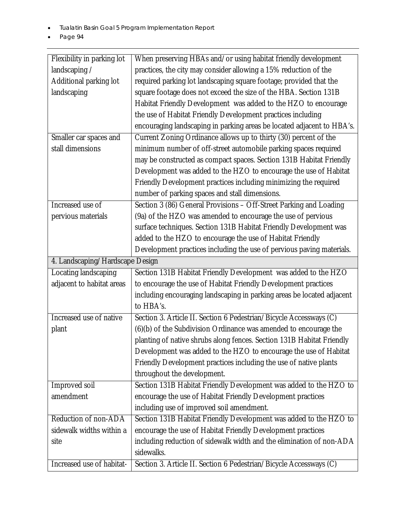- Tualatin Basin Goal 5 Program Implementation Report
- Page 94

| Flexibility in parking lot      | When preserving HBAs and/or using habitat friendly development         |
|---------------------------------|------------------------------------------------------------------------|
| landscaping /                   | practices, the city may consider allowing a 15% reduction of the       |
| Additional parking lot          | required parking lot landscaping square footage; provided that the     |
| landscaping                     | square footage does not exceed the size of the HBA. Section 131B       |
|                                 | Habitat Friendly Development was added to the HZO to encourage         |
|                                 | the use of Habitat Friendly Development practices including            |
|                                 | encouraging landscaping in parking areas be located adjacent to HBA's. |
| Smaller car spaces and          | Current Zoning Ordinance allows up to thirty (30) percent of the       |
| stall dimensions                | minimum number of off-street automobile parking spaces required        |
|                                 | may be constructed as compact spaces. Section 131B Habitat Friendly    |
|                                 | Development was added to the HZO to encourage the use of Habitat       |
|                                 | Friendly Development practices including minimizing the required       |
|                                 | number of parking spaces and stall dimensions.                         |
| Increased use of                | Section 3 (86) General Provisions - Off-Street Parking and Loading     |
| pervious materials              | (9a) of the HZO was amended to encourage the use of pervious           |
|                                 | surface techniques. Section 131B Habitat Friendly Development was      |
|                                 | added to the HZO to encourage the use of Habitat Friendly              |
|                                 | Development practices including the use of pervious paving materials.  |
| 4. Landscaping/Hardscape Design |                                                                        |
| <b>Locating landscaping</b>     | Section 131B Habitat Friendly Development was added to the HZO         |
| adjacent to habitat areas       | to encourage the use of Habitat Friendly Development practices         |
|                                 | including encouraging landscaping in parking areas be located adjacent |
|                                 | to HBA's.                                                              |
| Increased use of native         | Section 3. Article II. Section 6 Pedestrian/Bicycle Accessways (C)     |
| plant                           | (6)(b) of the Subdivision Ordinance was amended to encourage the       |
|                                 | planting of native shrubs along fences. Section 131B Habitat Friendly  |
|                                 | Development was added to the HZO to encourage the use of Habitat       |
|                                 | Friendly Development practices including the use of native plants      |
|                                 | throughout the development.                                            |
| Improved soil                   | Section 131B Habitat Friendly Development was added to the HZO to      |
| amendment                       | encourage the use of Habitat Friendly Development practices            |
|                                 | including use of improved soil amendment.                              |
| Reduction of non-ADA            | Section 131B Habitat Friendly Development was added to the HZO to      |
| sidewalk widths within a        | encourage the use of Habitat Friendly Development practices            |
| site                            | including reduction of sidewalk width and the elimination of non-ADA   |
|                                 | sidewalks.                                                             |
| Increased use of habitat-       | Section 3. Article II. Section 6 Pedestrian/Bicycle Accessways (C)     |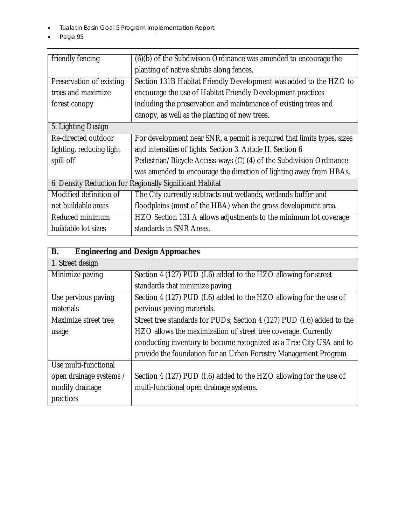- Tualatin Basin Goal 5 Program Implementation Report
- Page 95

| friendly fencing                                        | $(6)(b)$ of the Subdivision Ordinance was amended to encourage the      |  |  |
|---------------------------------------------------------|-------------------------------------------------------------------------|--|--|
|                                                         | planting of native shrubs along fences.                                 |  |  |
| Preservation of existing                                | Section 131B Habitat Friendly Development was added to the HZO to       |  |  |
| trees and maximize                                      | encourage the use of Habitat Friendly Development practices             |  |  |
| forest canopy                                           | including the preservation and maintenance of existing trees and        |  |  |
|                                                         | canopy, as well as the planting of new trees.                           |  |  |
| 5. Lighting Design                                      |                                                                         |  |  |
| Re-directed outdoor                                     | For development near SNR, a permit is required that limits types, sizes |  |  |
| lighting, reducing light                                | and intensities of lights. Section 3. Article II. Section 6             |  |  |
| spill-off                                               | Pedestrian/Bicycle Access-ways (C) (4) of the Subdivision Ordinance     |  |  |
|                                                         | was amended to encourage the direction of lighting away from HBAs.      |  |  |
| 6. Density Reduction for Regionally Significant Habitat |                                                                         |  |  |
| Modified definition of                                  | The City currently subtracts out wetlands, wetlands buffer and          |  |  |
| net buildable areas                                     | floodplains (most of the HBA) when the gross development area.          |  |  |
| Reduced minimum                                         | HZO Section 131 A allows adjustments to the minimum lot coverage        |  |  |
| buildable lot sizes                                     | standards in SNR Areas.                                                 |  |  |

| <b>B.</b><br><b>Engineering and Design Approaches</b> |                                                                        |  |
|-------------------------------------------------------|------------------------------------------------------------------------|--|
| 1. Street design                                      |                                                                        |  |
| Minimize paving                                       | Section 4 (127) PUD (I.6) added to the HZO allowing for street         |  |
|                                                       | standards that minimize paving.                                        |  |
| Use pervious paving                                   | Section 4 (127) PUD (I.6) added to the HZO allowing for the use of     |  |
| materials                                             | pervious paving materials.                                             |  |
| Maximize street tree                                  | Street tree standards for PUDs; Section 4 (127) PUD (I.6) added to the |  |
| usage                                                 | HZO allows the maximization of street tree coverage. Currently         |  |
|                                                       | conducting inventory to become recognized as a Tree City USA and to    |  |
|                                                       | provide the foundation for an Urban Forestry Management Program        |  |
| Use multi-functional                                  |                                                                        |  |
| open drainage systems /                               | Section 4 (127) PUD (I.6) added to the HZO allowing for the use of     |  |
| modify drainage                                       | multi-functional open drainage systems.                                |  |
| practices                                             |                                                                        |  |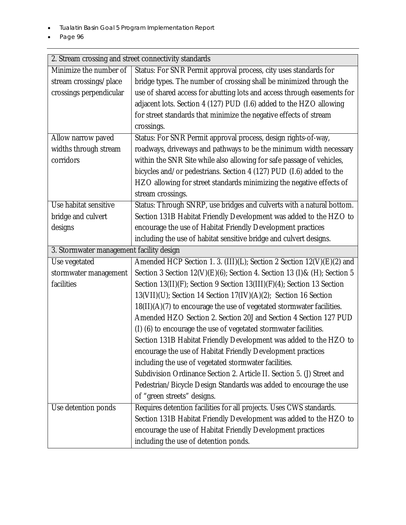- Tualatin Basin Goal 5 Program Implementation Report
- Page 96

| 2. Stream crossing and street connectivity standards |                                                                           |  |
|------------------------------------------------------|---------------------------------------------------------------------------|--|
| Minimize the number of                               | Status: For SNR Permit approval process, city uses standards for          |  |
| stream crossings/place                               | bridge types. The number of crossing shall be minimized through the       |  |
| crossings perpendicular                              | use of shared access for abutting lots and access through easements for   |  |
|                                                      | adjacent lots. Section 4 (127) PUD (I.6) added to the HZO allowing        |  |
|                                                      | for street standards that minimize the negative effects of stream         |  |
|                                                      | crossings.                                                                |  |
| Allow narrow paved                                   | Status: For SNR Permit approval process, design rights-of-way,            |  |
| widths through stream                                | roadways, driveways and pathways to be the minimum width necessary        |  |
| corridors                                            | within the SNR Site while also allowing for safe passage of vehicles,     |  |
|                                                      | bicycles and/or pedestrians. Section 4 (127) PUD (I.6) added to the       |  |
|                                                      | HZO allowing for street standards minimizing the negative effects of      |  |
|                                                      | stream crossings.                                                         |  |
| Use habitat sensitive                                | Status: Through SNRP, use bridges and culverts with a natural bottom.     |  |
| bridge and culvert                                   | Section 131B Habitat Friendly Development was added to the HZO to         |  |
| designs                                              | encourage the use of Habitat Friendly Development practices               |  |
|                                                      | including the use of habitat sensitive bridge and culvert designs.        |  |
| 3. Stormwater management facility design             |                                                                           |  |
| Use vegetated                                        | Amended HCP Section 1. 3. (III)(L); Section 2 Section 12(V)(E)(2) and     |  |
| stormwater management                                | Section 3 Section 12(V)(E)(6); Section 4. Section 13 (I) & (H); Section 5 |  |
| facilities                                           | Section 13(II)(F); Section 9 Section 13(III)(F)(4); Section 13 Section    |  |
|                                                      | 13(VII)(U); Section 14 Section 17(IV)(A)(2); Section 16 Section           |  |
|                                                      | 18(II)(A)(7) to encourage the use of vegetated stormwater facilities.     |  |
|                                                      | Amended HZO Section 2. Section 20J and Section 4 Section 127 PUD          |  |
|                                                      | (I) (6) to encourage the use of vegetated stormwater facilities.          |  |
|                                                      | Section 131B Habitat Friendly Development was added to the HZO to         |  |
|                                                      | encourage the use of Habitat Friendly Development practices               |  |
|                                                      | including the use of vegetated stormwater facilities.                     |  |
|                                                      | Subdivision Ordinance Section 2. Article II. Section 5. (J) Street and    |  |
|                                                      | Pedestrian/Bicycle Design Standards was added to encourage the use        |  |
|                                                      | of "green streets" designs.                                               |  |
| Use detention ponds                                  | Requires detention facilities for all projects. Uses CWS standards.       |  |
|                                                      | Section 131B Habitat Friendly Development was added to the HZO to         |  |
|                                                      | encourage the use of Habitat Friendly Development practices               |  |
|                                                      | including the use of detention ponds.                                     |  |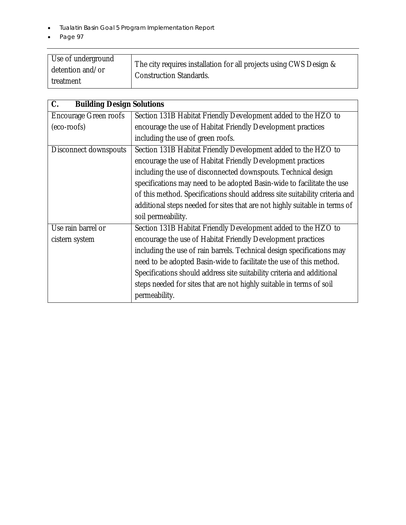- Tualatin Basin Goal 5 Program Implementation Report
- Page 97

| <b>Building Design Solutions</b><br>C. |                                                                             |  |  |
|----------------------------------------|-----------------------------------------------------------------------------|--|--|
| <b>Encourage Green roofs</b>           | Section 131B Habitat Friendly Development added to the HZO to               |  |  |
| (eco-roofs)                            | encourage the use of Habitat Friendly Development practices                 |  |  |
|                                        | including the use of green roofs.                                           |  |  |
| Disconnect downspouts                  | Section 131B Habitat Friendly Development added to the HZO to               |  |  |
|                                        | encourage the use of Habitat Friendly Development practices                 |  |  |
|                                        | including the use of disconnected downspouts. Technical design              |  |  |
|                                        | specifications may need to be adopted Basin-wide to facilitate the use      |  |  |
|                                        | of this method. Specifications should address site suitability criteria and |  |  |
|                                        | additional steps needed for sites that are not highly suitable in terms of  |  |  |
|                                        | soil permeability.                                                          |  |  |
| Use rain barrel or                     | Section 131B Habitat Friendly Development added to the HZO to               |  |  |
| cistern system                         | encourage the use of Habitat Friendly Development practices                 |  |  |
|                                        | including the use of rain barrels. Technical design specifications may      |  |  |
|                                        | need to be adopted Basin-wide to facilitate the use of this method.         |  |  |
|                                        | Specifications should address site suitability criteria and additional      |  |  |
|                                        | steps needed for sites that are not highly suitable in terms of soil        |  |  |
|                                        | permeability.                                                               |  |  |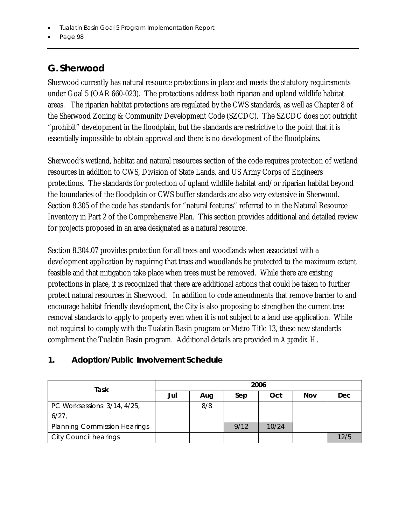- Tualatin Basin Goal 5 Program Implementation Report
- Page 98

# *G. Sherwood*

Sherwood currently has natural resource protections in place and meets the statutory requirements under Goal 5 (OAR 660-023). The protections address both riparian and upland wildlife habitat areas. The riparian habitat protections are regulated by the CWS standards, as well as Chapter 8 of the Sherwood Zoning & Community Development Code (SZCDC). The SZCDC does not outright "prohibit" development in the floodplain, but the standards are restrictive to the point that it is essentially impossible to obtain approval and there is no development of the floodplains.

Sherwood's wetland, habitat and natural resources section of the code requires protection of wetland resources in addition to CWS, Division of State Lands, and US Army Corps of Engineers protections. The standards for protection of upland wildlife habitat and/or riparian habitat beyond the boundaries of the floodplain or CWS buffer standards are also very extensive in Sherwood. Section 8.305 of the code has standards for "natural features" referred to in the Natural Resource Inventory in Part 2 of the Comprehensive Plan. This section provides additional and detailed review for projects proposed in an area designated as a natural resource.

Section 8.304.07 provides protection for all trees and woodlands when associated with a development application by requiring that trees and woodlands be protected to the maximum extent feasible and that mitigation take place when trees must be removed. While there are existing protections in place, it is recognized that there are additional actions that could be taken to further protect natural resources in Sherwood. In addition to code amendments that remove barrier to and encourage habitat friendly development, the City is also proposing to strengthen the current tree removal standards to apply to property even when it is not subject to a land use application. While not required to comply with the Tualatin Basin program or Metro Title 13, these new standards compliment the Tualatin Basin program. Additional details are provided in *Appendix H*.

| Task                                | 2006 |     |      |       |            |            |
|-------------------------------------|------|-----|------|-------|------------|------------|
|                                     | Jul  | Aug | Sep  | Oct   | <b>Nov</b> | <b>Dec</b> |
| PC Worksessions: 3/14, 4/25,        |      | 8/8 |      |       |            |            |
| 6/27                                |      |     |      |       |            |            |
| <b>Planning Commission Hearings</b> |      |     | 9/12 | 10/24 |            |            |
| <b>City Council hearings</b>        |      |     |      |       |            | 12/5       |

## **1. Adoption/Public Involvement Schedule**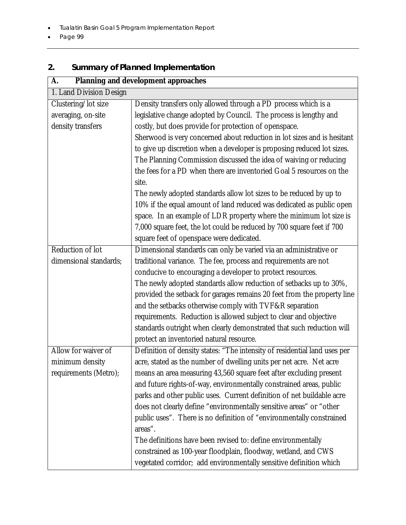- Tualatin Basin Goal 5 Program Implementation Report
- Page 99

| <b>Planning and development approaches</b><br>A. |                                                                           |  |  |  |  |
|--------------------------------------------------|---------------------------------------------------------------------------|--|--|--|--|
| 1. Land Division Design                          |                                                                           |  |  |  |  |
| Clustering/lot size                              | Density transfers only allowed through a PD process which is a            |  |  |  |  |
| averaging, on-site                               | legislative change adopted by Council. The process is lengthy and         |  |  |  |  |
| density transfers                                | costly, but does provide for protection of openspace.                     |  |  |  |  |
|                                                  | Sherwood is very concerned about reduction in lot sizes and is hesitant   |  |  |  |  |
|                                                  | to give up discretion when a developer is proposing reduced lot sizes.    |  |  |  |  |
|                                                  | The Planning Commission discussed the idea of waiving or reducing         |  |  |  |  |
|                                                  | the fees for a PD when there are inventoried Goal 5 resources on the      |  |  |  |  |
|                                                  | site.                                                                     |  |  |  |  |
|                                                  | The newly adopted standards allow lot sizes to be reduced by up to        |  |  |  |  |
|                                                  | 10% if the equal amount of land reduced was dedicated as public open      |  |  |  |  |
|                                                  | space. In an example of LDR property where the minimum lot size is        |  |  |  |  |
|                                                  | 7,000 square feet, the lot could be reduced by 700 square feet if 700     |  |  |  |  |
|                                                  | square feet of openspace were dedicated.                                  |  |  |  |  |
| Reduction of lot                                 | Dimensional standards can only be varied via an administrative or         |  |  |  |  |
| dimensional standards;                           | traditional variance. The fee, process and requirements are not           |  |  |  |  |
|                                                  | conducive to encouraging a developer to protect resources.                |  |  |  |  |
|                                                  | The newly adopted standards allow reduction of setbacks up to 30%,        |  |  |  |  |
|                                                  | provided the setback for garages remains 20 feet from the property line   |  |  |  |  |
|                                                  | and the setbacks otherwise comply with TVF&R separation                   |  |  |  |  |
|                                                  | requirements. Reduction is allowed subject to clear and objective         |  |  |  |  |
|                                                  | standards outright when clearly demonstrated that such reduction will     |  |  |  |  |
|                                                  | protect an inventoried natural resource.                                  |  |  |  |  |
| Allow for waiver of                              | Definition of density states: "The intensity of residential land uses per |  |  |  |  |
| minimum density                                  | acre, stated as the number of dwelling units per net acre. Net acre       |  |  |  |  |
| requirements (Metro);                            | means an area measuring 43,560 square feet after excluding present        |  |  |  |  |
|                                                  | and future rights-of-way, environmentally constrained areas, public       |  |  |  |  |
|                                                  | parks and other public uses. Current definition of net buildable acre     |  |  |  |  |
|                                                  | does not clearly define "environmentally sensitive areas" or "other       |  |  |  |  |
|                                                  | public uses". There is no definition of "environmentally constrained      |  |  |  |  |
|                                                  | areas".                                                                   |  |  |  |  |
|                                                  | The definitions have been revised to: define environmentally              |  |  |  |  |
|                                                  | constrained as 100-year floodplain, floodway, wetland, and CWS            |  |  |  |  |
|                                                  | vegetated corridor; add environmentally sensitive definition which        |  |  |  |  |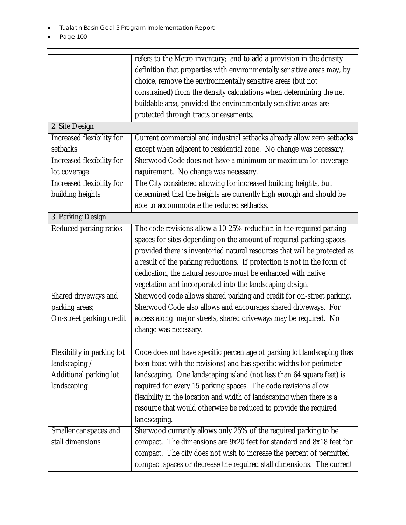- Tualatin Basin Goal 5 Program Implementation Report
- Page 100

|                            | refers to the Metro inventory; and to add a provision in the density      |
|----------------------------|---------------------------------------------------------------------------|
|                            | definition that properties with environmentally sensitive areas may, by   |
|                            | choice, remove the environmentally sensitive areas (but not               |
|                            | constrained) from the density calculations when determining the net       |
|                            | buildable area, provided the environmentally sensitive areas are          |
|                            | protected through tracts or easements.                                    |
| 2. Site Design             |                                                                           |
| Increased flexibility for  | Current commercial and industrial setbacks already allow zero setbacks    |
| setbacks                   | except when adjacent to residential zone. No change was necessary.        |
| Increased flexibility for  | Sherwood Code does not have a minimum or maximum lot coverage             |
| lot coverage               | requirement. No change was necessary.                                     |
| Increased flexibility for  | The City considered allowing for increased building heights, but          |
| building heights           | determined that the heights are currently high enough and should be       |
|                            | able to accommodate the reduced setbacks.                                 |
| 3. Parking Design          |                                                                           |
| Reduced parking ratios     | The code revisions allow a 10-25% reduction in the required parking       |
|                            | spaces for sites depending on the amount of required parking spaces       |
|                            | provided there is inventoried natural resources that will be protected as |
|                            | a result of the parking reductions. If protection is not in the form of   |
|                            | dedication, the natural resource must be enhanced with native             |
|                            | vegetation and incorporated into the landscaping design.                  |
| Shared driveways and       | Sherwood code allows shared parking and credit for on-street parking.     |
| parking areas;             | Sherwood Code also allows and encourages shared driveways. For            |
| On-street parking credit   | access along major streets, shared driveways may be required. No          |
|                            | change was necessary.                                                     |
|                            |                                                                           |
| Flexibility in parking lot | Code does not have specific percentage of parking lot landscaping (has    |
| landscaping /              | been fixed with the revisions) and has specific widths for perimeter      |
| Additional parking lot     | landscaping. One landscaping island (not less than 64 square feet) is     |
| landscaping                | required for every 15 parking spaces. The code revisions allow            |
|                            | flexibility in the location and width of landscaping when there is a      |
|                            | resource that would otherwise be reduced to provide the required          |
|                            | landscaping.                                                              |
| Smaller car spaces and     | Sherwood currently allows only 25% of the required parking to be          |
| stall dimensions           | compact. The dimensions are 9x20 feet for standard and 8x18 feet for      |
|                            | compact. The city does not wish to increase the percent of permitted      |
|                            | compact spaces or decrease the required stall dimensions. The current     |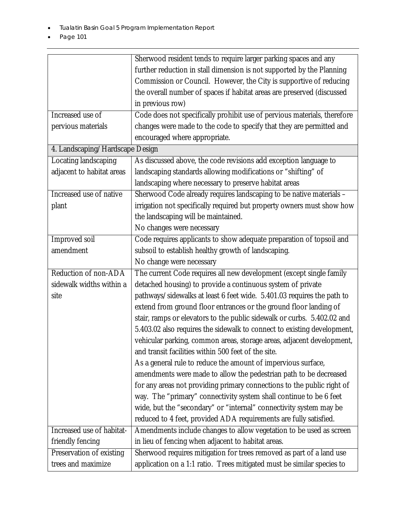- Tualatin Basin Goal 5 Program Implementation Report
- Page 101

|                                 | Sherwood resident tends to require larger parking spaces and any         |
|---------------------------------|--------------------------------------------------------------------------|
|                                 | further reduction in stall dimension is not supported by the Planning    |
|                                 | Commission or Council. However, the City is supportive of reducing       |
|                                 | the overall number of spaces if habitat areas are preserved (discussed   |
|                                 | in previous row)                                                         |
| Increased use of                | Code does not specifically prohibit use of pervious materials, therefore |
| pervious materials              | changes were made to the code to specify that they are permitted and     |
|                                 | encouraged where appropriate.                                            |
| 4. Landscaping/Hardscape Design |                                                                          |
| <b>Locating landscaping</b>     | As discussed above, the code revisions add exception language to         |
| adjacent to habitat areas       | landscaping standards allowing modifications or "shifting" of            |
|                                 | landscaping where necessary to preserve habitat areas                    |
| Increased use of native         | Sherwood Code already requires landscaping to be native materials -      |
| plant                           | irrigation not specifically required but property owners must show how   |
|                                 | the landscaping will be maintained.                                      |
|                                 | No changes were necessary                                                |
| Improved soil                   | Code requires applicants to show adequate preparation of topsoil and     |
| amendment                       | subsoil to establish healthy growth of landscaping.                      |
|                                 | No change were necessary                                                 |
| Reduction of non-ADA            | The current Code requires all new development (except single family      |
| sidewalk widths within a        | detached housing) to provide a continuous system of private              |
| site                            | pathways/sidewalks at least 6 feet wide. 5.401.03 requires the path to   |
|                                 | extend from ground floor entrances or the ground floor landing of        |
|                                 | stair, ramps or elevators to the public sidewalk or curbs. 5.402.02 and  |
|                                 | 5.403.02 also requires the sidewalk to connect to existing development,  |
|                                 | vehicular parking, common areas, storage areas, adjacent development,    |
|                                 | and transit facilities within 500 feet of the site.                      |
|                                 | As a general rule to reduce the amount of impervious surface,            |
|                                 | amendments were made to allow the pedestrian path to be decreased        |
|                                 | for any areas not providing primary connections to the public right of   |
|                                 | way. The "primary" connectivity system shall continue to be 6 feet       |
|                                 | wide, but the "secondary" or "internal" connectivity system may be       |
|                                 | reduced to 4 feet, provided ADA requirements are fully satisfied.        |
| Increased use of habitat-       | Amendments include changes to allow vegetation to be used as screen      |
| friendly fencing                | in lieu of fencing when adjacent to habitat areas.                       |
| Preservation of existing        | Sherwood requires mitigation for trees removed as part of a land use     |
| trees and maximize              | application on a 1:1 ratio. Trees mitigated must be similar species to   |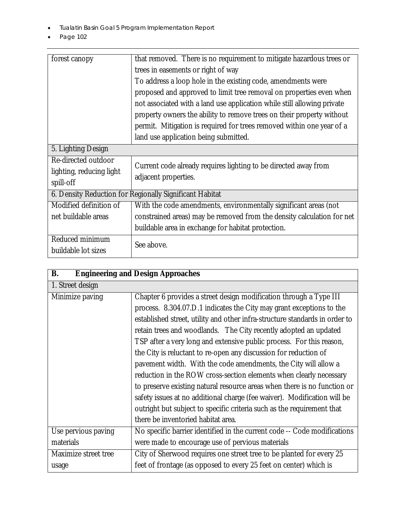- Tualatin Basin Goal 5 Program Implementation Report
- Page 102

| forest canopy            | that removed. There is no requirement to mitigate hazardous trees or    |  |  |  |  |
|--------------------------|-------------------------------------------------------------------------|--|--|--|--|
|                          | trees in easements or right of way                                      |  |  |  |  |
|                          | To address a loop hole in the existing code, amendments were            |  |  |  |  |
|                          | proposed and approved to limit tree removal on properties even when     |  |  |  |  |
|                          | not associated with a land use application while still allowing private |  |  |  |  |
|                          | property owners the ability to remove trees on their property without   |  |  |  |  |
|                          | permit. Mitigation is required for trees removed within one year of a   |  |  |  |  |
|                          | land use application being submitted.                                   |  |  |  |  |
| 5. Lighting Design       |                                                                         |  |  |  |  |
| Re-directed outdoor      | Current code already requires lighting to be directed away from         |  |  |  |  |
| lighting, reducing light | adjacent properties.                                                    |  |  |  |  |
| spill-off                |                                                                         |  |  |  |  |
|                          | 6. Density Reduction for Regionally Significant Habitat                 |  |  |  |  |
| Modified definition of   | With the code amendments, environmentally significant areas (not        |  |  |  |  |
| net buildable areas      | constrained areas) may be removed from the density calculation for net  |  |  |  |  |
|                          | buildable area in exchange for habitat protection.                      |  |  |  |  |
| Reduced minimum          | See above.                                                              |  |  |  |  |
| buildable lot sizes      |                                                                         |  |  |  |  |

| <b>B.</b>            | <b>Engineering and Design Approaches</b>                                    |
|----------------------|-----------------------------------------------------------------------------|
| 1. Street design     |                                                                             |
| Minimize paving      | Chapter 6 provides a street design modification through a Type III          |
|                      | process. 8.304.07.D.1 indicates the City may grant exceptions to the        |
|                      | established street, utility and other infra-structure standards in order to |
|                      | retain trees and woodlands. The City recently adopted an updated            |
|                      | TSP after a very long and extensive public process. For this reason,        |
|                      | the City is reluctant to re-open any discussion for reduction of            |
|                      | pavement width. With the code amendments, the City will allow a             |
|                      | reduction in the ROW cross-section elements when clearly necessary          |
|                      | to preserve existing natural resource areas when there is no function or    |
|                      | safety issues at no additional charge (fee waiver). Modification will be    |
|                      | outright but subject to specific criteria such as the requirement that      |
|                      | there be inventoried habitat area.                                          |
| Use pervious paving  | No specific barrier identified in the current code -- Code modifications    |
| materials            | were made to encourage use of pervious materials                            |
| Maximize street tree | City of Sherwood requires one street tree to be planted for every 25        |
| usage                | feet of frontage (as opposed to every 25 feet on center) which is           |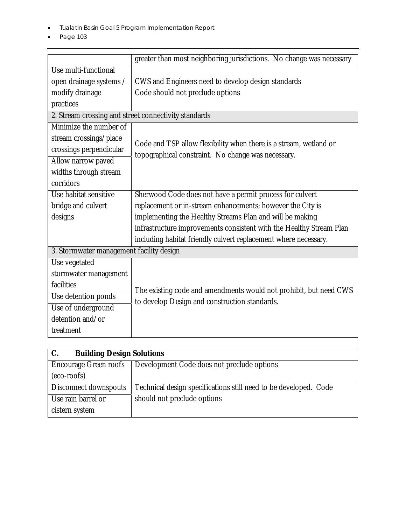- Tualatin Basin Goal 5 Program Implementation Report
- Page 103

|                                          | greater than most neighboring jurisdictions. No change was necessary |  |  |  |
|------------------------------------------|----------------------------------------------------------------------|--|--|--|
| Use multi-functional                     |                                                                      |  |  |  |
| open drainage systems /                  | CWS and Engineers need to develop design standards                   |  |  |  |
| modify drainage                          | Code should not preclude options                                     |  |  |  |
| practices                                |                                                                      |  |  |  |
|                                          | 2. Stream crossing and street connectivity standards                 |  |  |  |
| Minimize the number of                   |                                                                      |  |  |  |
| stream crossings/place                   |                                                                      |  |  |  |
| crossings perpendicular                  | Code and TSP allow flexibility when there is a stream, wetland or    |  |  |  |
| Allow narrow paved                       | topographical constraint. No change was necessary.                   |  |  |  |
| widths through stream                    |                                                                      |  |  |  |
| corridors                                |                                                                      |  |  |  |
| Use habitat sensitive                    | Sherwood Code does not have a permit process for culvert             |  |  |  |
| bridge and culvert                       | replacement or in-stream enhancements; however the City is           |  |  |  |
| designs                                  | implementing the Healthy Streams Plan and will be making             |  |  |  |
|                                          | infrastructure improvements consistent with the Healthy Stream Plan  |  |  |  |
|                                          | including habitat friendly culvert replacement where necessary.      |  |  |  |
| 3. Stormwater management facility design |                                                                      |  |  |  |
| Use vegetated                            |                                                                      |  |  |  |
| stormwater management                    |                                                                      |  |  |  |
| facilities                               |                                                                      |  |  |  |
| Use detention ponds                      | The existing code and amendments would not prohibit, but need CWS    |  |  |  |
| Use of underground                       | to develop Design and construction standards.                        |  |  |  |
| detention and/or                         |                                                                      |  |  |  |
| treatment                                |                                                                      |  |  |  |

| <b>Building Design Solutions</b><br>$\mathbf{C}$ . |                                                                  |  |
|----------------------------------------------------|------------------------------------------------------------------|--|
| Encourage Green roofs                              | Development Code does not preclude options                       |  |
| (eco-roofs)                                        |                                                                  |  |
| Disconnect downspouts                              | Technical design specifications still need to be developed. Code |  |
| Use rain barrel or                                 | should not preclude options                                      |  |
| cistern system                                     |                                                                  |  |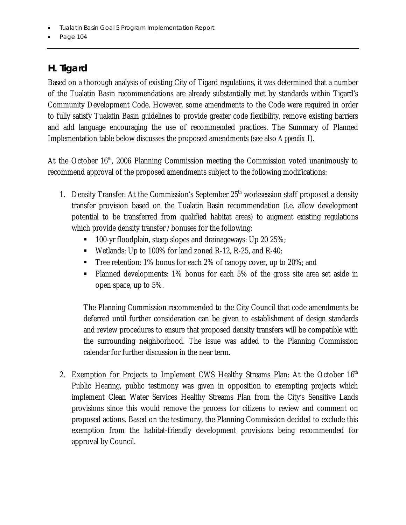- Tualatin Basin Goal 5 Program Implementation Report
- Page 104

# *H. Tigard*

Based on a thorough analysis of existing City of Tigard regulations, it was determined that a number of the Tualatin Basin recommendations are already substantially met by standards within Tigard's Community Development Code. However, some amendments to the Code were required in order to fully satisfy Tualatin Basin guidelines to provide greater code flexibility, remove existing barriers and add language encouraging the use of recommended practices. The Summary of Planned Implementation table below discusses the proposed amendments (see also *Appendix I*).

At the October 16<sup>th</sup>, 2006 Planning Commission meeting the Commission voted unanimously to recommend approval of the proposed amendments subject to the following modifications:

- 1. Density Transfer: At the Commission's September 25<sup>th</sup> worksession staff proposed a density transfer provision based on the Tualatin Basin recommendation (i.e. allow development potential to be transferred from qualified habitat areas) to augment existing regulations which provide density transfer /bonuses for the following:
	- 100-yr floodplain, steep slopes and drainageways: Up 20 25%;
	- Wetlands: Up to 100% for land zoned R-12, R-25, and R-40;
	- Tree retention: 1% bonus for each 2% of canopy cover, up to 20%; and
	- Planned developments: 1% bonus for each 5% of the gross site area set aside in open space, up to 5%.

The Planning Commission recommended to the City Council that code amendments be deferred until further consideration can be given to establishment of design standards and review procedures to ensure that proposed density transfers will be compatible with the surrounding neighborhood. The issue was added to the Planning Commission calendar for further discussion in the near term.

2. Exemption for Projects to Implement CWS Healthy Streams Plan: At the October 16<sup>th</sup> Public Hearing, public testimony was given in opposition to exempting projects which implement Clean Water Services Healthy Streams Plan from the City's Sensitive Lands provisions since this would remove the process for citizens to review and comment on proposed actions. Based on the testimony, the Planning Commission decided to exclude this exemption from the habitat-friendly development provisions being recommended for approval by Council.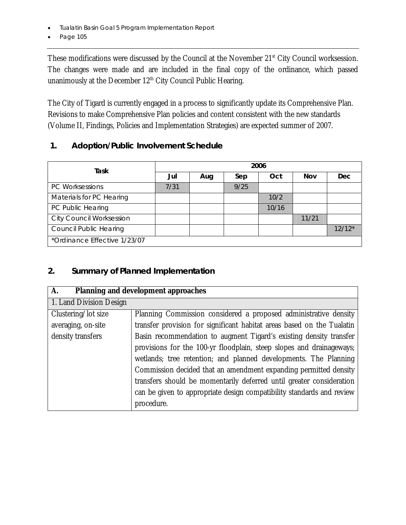- Tualatin Basin Goal 5 Program Implementation Report
- Page 105

These modifications were discussed by the Council at the November 21<sup>st</sup> City Council worksession. The changes were made and are included in the final copy of the ordinance, which passed unanimously at the December 12<sup>th</sup> City Council Public Hearing.

The City of Tigard is currently engaged in a process to significantly update its Comprehensive Plan. Revisions to make Comprehensive Plan policies and content consistent with the new standards (Volume II, Findings, Policies and Implementation Strategies) are expected summer of 2007.

#### **1. Adoption/Public Involvement Schedule**

| Task                            | 2006 |     |      |       |            |            |
|---------------------------------|------|-----|------|-------|------------|------------|
|                                 | Jul  | Aug | Sep  | Oct   | <b>Nov</b> | <b>Dec</b> |
| PC Worksessions                 | 7/31 |     | 9/25 |       |            |            |
| Materials for PC Hearing        |      |     |      | 10/2  |            |            |
| PC Public Hearing               |      |     |      | 10/16 |            |            |
| <b>City Council Worksession</b> |      |     |      |       | 11/21      |            |
| <b>Council Public Hearing</b>   |      |     |      |       |            | $12/12*$   |
| *Ordinance Effective 1/23/07    |      |     |      |       |            |            |

#### **2. Summary of Planned Implementation**

| <b>Planning and development approaches</b><br>A. |                                                                        |  |
|--------------------------------------------------|------------------------------------------------------------------------|--|
| 1. Land Division Design                          |                                                                        |  |
| Clustering/lot size                              | Planning Commission considered a proposed administrative density       |  |
| averaging, on-site                               | transfer provision for significant habitat areas based on the Tualatin |  |
| density transfers                                | Basin recommendation to augment Tigard's existing density transfer     |  |
|                                                  | provisions for the 100-yr floodplain, steep slopes and drainageways;   |  |
|                                                  | wetlands; tree retention; and planned developments. The Planning       |  |
|                                                  | Commission decided that an amendment expanding permitted density       |  |
|                                                  | transfers should be momentarily deferred until greater consideration   |  |
|                                                  | can be given to appropriate design compatibility standards and review  |  |
|                                                  | procedure.                                                             |  |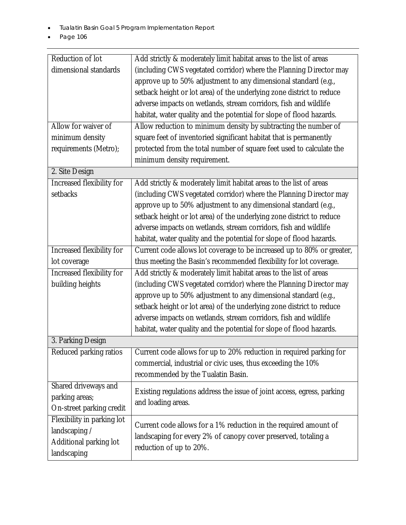- Tualatin Basin Goal 5 Program Implementation Report
- Page 106

| Reduction of lot           | Add strictly & moderately limit habitat areas to the list of areas                            |  |
|----------------------------|-----------------------------------------------------------------------------------------------|--|
| dimensional standards      | (including CWS vegetated corridor) where the Planning Director may                            |  |
|                            | approve up to 50% adjustment to any dimensional standard (e.g.,                               |  |
|                            | setback height or lot area) of the underlying zone district to reduce                         |  |
|                            | adverse impacts on wetlands, stream corridors, fish and wildlife                              |  |
|                            | habitat, water quality and the potential for slope of flood hazards.                          |  |
| Allow for waiver of        | Allow reduction to minimum density by subtracting the number of                               |  |
| minimum density            | square feet of inventoried significant habitat that is permanently                            |  |
| requirements (Metro);      | protected from the total number of square feet used to calculate the                          |  |
|                            | minimum density requirement.                                                                  |  |
| 2. Site Design             |                                                                                               |  |
| Increased flexibility for  | Add strictly & moderately limit habitat areas to the list of areas                            |  |
| setbacks                   | (including CWS vegetated corridor) where the Planning Director may                            |  |
|                            | approve up to 50% adjustment to any dimensional standard (e.g.,                               |  |
|                            | setback height or lot area) of the underlying zone district to reduce                         |  |
|                            | adverse impacts on wetlands, stream corridors, fish and wildlife                              |  |
|                            | habitat, water quality and the potential for slope of flood hazards.                          |  |
| Increased flexibility for  | Current code allows lot coverage to be increased up to 80% or greater,                        |  |
| lot coverage               | thus meeting the Basin's recommended flexibility for lot coverage.                            |  |
| Increased flexibility for  | Add strictly & moderately limit habitat areas to the list of areas                            |  |
| building heights           | (including CWS vegetated corridor) where the Planning Director may                            |  |
|                            | approve up to 50% adjustment to any dimensional standard (e.g.,                               |  |
|                            | setback height or lot area) of the underlying zone district to reduce                         |  |
|                            | adverse impacts on wetlands, stream corridors, fish and wildlife                              |  |
|                            | habitat, water quality and the potential for slope of flood hazards.                          |  |
| 3. Parking Design          |                                                                                               |  |
| Reduced parking ratios     | Current code allows for up to 20% reduction in required parking for                           |  |
|                            | commercial, industrial or civic uses, thus exceeding the 10%                                  |  |
|                            | recommended by the Tualatin Basin.                                                            |  |
| Shared driveways and       |                                                                                               |  |
| parking areas;             | Existing regulations address the issue of joint access, egress, parking<br>and loading areas. |  |
| On-street parking credit   |                                                                                               |  |
| Flexibility in parking lot |                                                                                               |  |
| landscaping /              | Current code allows for a 1% reduction in the required amount of                              |  |
| Additional parking lot     | landscaping for every 2% of canopy cover preserved, totaling a                                |  |
| landscaping                | reduction of up to 20%.                                                                       |  |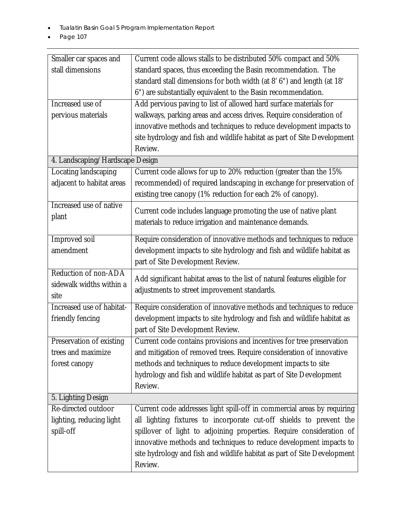- Tualatin Basin Goal 5 Program Implementation Report
- Page 107

| Smaller car spaces and          | Current code allows stalls to be distributed 50% compact and 50%           |
|---------------------------------|----------------------------------------------------------------------------|
| stall dimensions                | standard spaces, thus exceeding the Basin recommendation. The              |
|                                 | standard stall dimensions for both width (at 8' 6") and length (at 18'     |
|                                 | 6") are substantially equivalent to the Basin recommendation.              |
| Increased use of                | Add pervious paving to list of allowed hard surface materials for          |
| pervious materials              | walkways, parking areas and access drives. Require consideration of        |
|                                 | innovative methods and techniques to reduce development impacts to         |
|                                 | site hydrology and fish and wildlife habitat as part of Site Development   |
|                                 | Review.                                                                    |
| 4. Landscaping/Hardscape Design |                                                                            |
| <b>Locating landscaping</b>     | Current code allows for up to 20% reduction (greater than the 15%          |
| adjacent to habitat areas       | recommended) of required landscaping in exchange for preservation of       |
|                                 | existing tree canopy (1% reduction for each 2% of canopy).                 |
| Increased use of native         | Current code includes language promoting the use of native plant           |
| plant                           | materials to reduce irrigation and maintenance demands.                    |
|                                 |                                                                            |
| Improved soil                   | Require consideration of innovative methods and techniques to reduce       |
| amendment                       | development impacts to site hydrology and fish and wildlife habitat as     |
| Reduction of non-ADA            | part of Site Development Review.                                           |
| sidewalk widths within a        | Add significant habitat areas to the list of natural features eligible for |
| site                            | adjustments to street improvement standards.                               |
| Increased use of habitat-       | Require consideration of innovative methods and techniques to reduce       |
| friendly fencing                | development impacts to site hydrology and fish and wildlife habitat as     |
|                                 | part of Site Development Review.                                           |
| Preservation of existing        | Current code contains provisions and incentives for tree preservation      |
| trees and maximize              | and mitigation of removed trees. Require consideration of innovative       |
| forest canopy                   | methods and techniques to reduce development impacts to site               |
|                                 | hydrology and fish and wildlife habitat as part of Site Development        |
|                                 | Review.                                                                    |
| 5. Lighting Design              |                                                                            |
| Re-directed outdoor             | Current code addresses light spill-off in commercial areas by requiring    |
| lighting, reducing light        | all lighting fixtures to incorporate cut-off shields to prevent the        |
| spill-off                       | spillover of light to adjoining properties. Require consideration of       |
|                                 | innovative methods and techniques to reduce development impacts to         |
|                                 | site hydrology and fish and wildlife habitat as part of Site Development   |
|                                 | Review.                                                                    |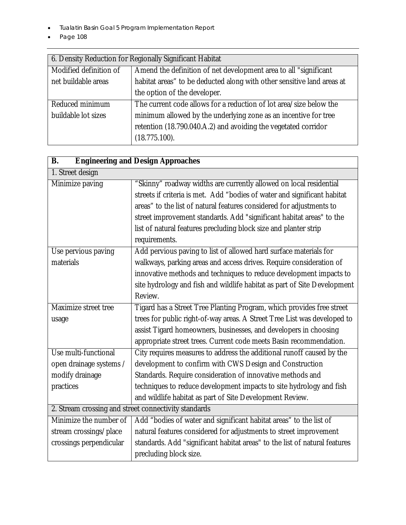- Tualatin Basin Goal 5 Program Implementation Report
- Page 108

| 6. Density Reduction for Regionally Significant Habitat |                                                                        |  |  |
|---------------------------------------------------------|------------------------------------------------------------------------|--|--|
| Modified definition of                                  | Amend the definition of net development area to all "significant"      |  |  |
| net buildable areas                                     | habitat areas" to be deducted along with other sensitive land areas at |  |  |
|                                                         | the option of the developer.                                           |  |  |
| Reduced minimum                                         | The current code allows for a reduction of lot area/size below the     |  |  |
| buildable lot sizes                                     | minimum allowed by the underlying zone as an incentive for tree        |  |  |
|                                                         | retention (18.790.040.A.2) and avoiding the vegetated corridor         |  |  |
|                                                         | (18.775.100).                                                          |  |  |

| <b>Engineering and Design Approaches</b><br><b>B.</b> |                                                                            |  |
|-------------------------------------------------------|----------------------------------------------------------------------------|--|
| 1. Street design                                      |                                                                            |  |
| Minimize paving                                       | "Skinny" roadway widths are currently allowed on local residential         |  |
|                                                       | streets if criteria is met. Add "bodies of water and significant habitat   |  |
|                                                       | areas" to the list of natural features considered for adjustments to       |  |
|                                                       | street improvement standards. Add "significant habitat areas" to the       |  |
|                                                       | list of natural features precluding block size and planter strip           |  |
|                                                       | requirements.                                                              |  |
| Use pervious paving                                   | Add pervious paving to list of allowed hard surface materials for          |  |
| materials                                             | walkways, parking areas and access drives. Require consideration of        |  |
|                                                       | innovative methods and techniques to reduce development impacts to         |  |
|                                                       | site hydrology and fish and wildlife habitat as part of Site Development   |  |
|                                                       | Review.                                                                    |  |
| Maximize street tree                                  | Tigard has a Street Tree Planting Program, which provides free street      |  |
| usage                                                 | trees for public right-of-way areas. A Street Tree List was developed to   |  |
|                                                       | assist Tigard homeowners, businesses, and developers in choosing           |  |
|                                                       | appropriate street trees. Current code meets Basin recommendation.         |  |
| Use multi-functional                                  | City requires measures to address the additional runoff caused by the      |  |
| open drainage systems /                               | development to confirm with CWS Design and Construction                    |  |
| modify drainage                                       | Standards. Require consideration of innovative methods and                 |  |
| practices                                             | techniques to reduce development impacts to site hydrology and fish        |  |
|                                                       | and wildlife habitat as part of Site Development Review.                   |  |
| 2. Stream crossing and street connectivity standards  |                                                                            |  |
| Minimize the number of                                | Add "bodies of water and significant habitat areas" to the list of         |  |
| stream crossings/place                                | natural features considered for adjustments to street improvement          |  |
| crossings perpendicular                               | standards. Add "significant habitat areas" to the list of natural features |  |
|                                                       | precluding block size.                                                     |  |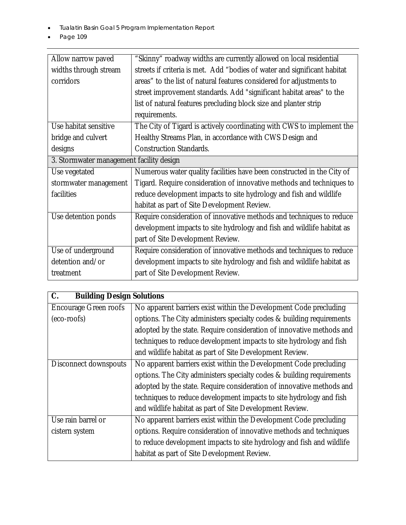- Tualatin Basin Goal 5 Program Implementation Report
- Page 109

| Allow narrow paved                       | "Skinny" roadway widths are currently allowed on local residential       |
|------------------------------------------|--------------------------------------------------------------------------|
| widths through stream                    | streets if criteria is met. Add "bodies of water and significant habitat |
| corridors                                | areas" to the list of natural features considered for adjustments to     |
|                                          | street improvement standards. Add "significant habitat areas" to the     |
|                                          | list of natural features precluding block size and planter strip         |
|                                          | requirements.                                                            |
| Use habitat sensitive                    | The City of Tigard is actively coordinating with CWS to implement the    |
| bridge and culvert                       | Healthy Streams Plan, in accordance with CWS Design and                  |
| designs                                  | <b>Construction Standards.</b>                                           |
| 3. Stormwater management facility design |                                                                          |
| Use vegetated                            | Numerous water quality facilities have been constructed in the City of   |
| stormwater management                    | Tigard. Require consideration of innovative methods and techniques to    |
|                                          |                                                                          |
| facilities                               | reduce development impacts to site hydrology and fish and wildlife       |
|                                          | habitat as part of Site Development Review.                              |
| Use detention ponds                      | Require consideration of innovative methods and techniques to reduce     |
|                                          | development impacts to site hydrology and fish and wildlife habitat as   |
|                                          | part of Site Development Review.                                         |
| Use of underground                       | Require consideration of innovative methods and techniques to reduce     |
| detention and/or                         | development impacts to site hydrology and fish and wildlife habitat as   |

| <b>Building Design Solutions</b><br>$\mathbf{C}$ . |                                                                       |
|----------------------------------------------------|-----------------------------------------------------------------------|
| <b>Encourage Green roofs</b>                       | No apparent barriers exist within the Development Code precluding     |
| (eco-roofs)                                        | options. The City administers specialty codes & building requirements |
|                                                    | adopted by the state. Require consideration of innovative methods and |
|                                                    | techniques to reduce development impacts to site hydrology and fish   |
|                                                    | and wildlife habitat as part of Site Development Review.              |
| Disconnect downspouts                              | No apparent barriers exist within the Development Code precluding     |
|                                                    | options. The City administers specialty codes & building requirements |
|                                                    | adopted by the state. Require consideration of innovative methods and |
|                                                    | techniques to reduce development impacts to site hydrology and fish   |
|                                                    | and wildlife habitat as part of Site Development Review.              |
| Use rain barrel or                                 | No apparent barriers exist within the Development Code precluding     |
| cistern system                                     | options. Require consideration of innovative methods and techniques   |
|                                                    | to reduce development impacts to site hydrology and fish and wildlife |
|                                                    | habitat as part of Site Development Review.                           |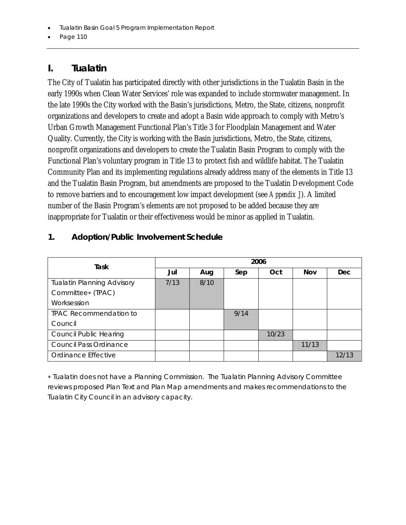- Tualatin Basin Goal 5 Program Implementation Report
- Page 110

# *I. Tualatin*

The City of Tualatin has participated directly with other jurisdictions in the Tualatin Basin in the early 1990s when Clean Water Services' role was expanded to include stormwater management. In the late 1990s the City worked with the Basin's jurisdictions, Metro, the State, citizens, nonprofit organizations and developers to create and adopt a Basin wide approach to comply with Metro's Urban Growth Management Functional Plan's Title 3 for Floodplain Management and Water Quality. Currently, the City is working with the Basin jurisdictions, Metro, the State, citizens, nonprofit organizations and developers to create the Tualatin Basin Program to comply with the Functional Plan's voluntary program in Title 13 to protect fish and wildlife habitat. The Tualatin Community Plan and its implementing regulations already address many of the elements in Title 13 and the Tualatin Basin Program, but amendments are proposed to the Tualatin Development Code to remove barriers and to encouragement low impact development (see *Appendix J*). A limited number of the Basin Program's elements are not proposed to be added because they are inappropriate for Tualatin or their effectiveness would be minor as applied in Tualatin.

| Task                              | 2006 |      |      |       |            |            |
|-----------------------------------|------|------|------|-------|------------|------------|
|                                   | Jul  | Aug  | Sep  | Oct   | <b>Nov</b> | <b>Dec</b> |
| <b>Tualatin Planning Advisory</b> | 7/13 | 8/10 |      |       |            |            |
| Committee* (TPAC)                 |      |      |      |       |            |            |
| Worksession                       |      |      |      |       |            |            |
| <b>TPAC Recommendation to</b>     |      |      | 9/14 |       |            |            |
| Council                           |      |      |      |       |            |            |
| <b>Council Public Hearing</b>     |      |      |      | 10/23 |            |            |
| Council Pass Ordinance            |      |      |      |       | 11/13      |            |
| Ordinance Effective               |      |      |      |       |            | 12/13      |

#### **1. Adoption/Public Involvement Schedule**

∗ Tualatin does not have a Planning Commission. The Tualatin Planning Advisory Committee reviews proposed Plan Text and Plan Map amendments and makes recommendations to the Tualatin City Council in an advisory capacity.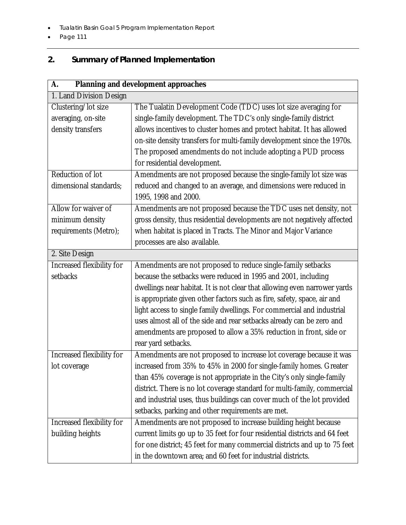- Tualatin Basin Goal 5 Program Implementation Report
- Page 111

### **2. Summary of Planned Implementation**

| A.                        | <b>Planning and development approaches</b>                                 |
|---------------------------|----------------------------------------------------------------------------|
| 1. Land Division Design   |                                                                            |
| Clustering/lot size       | The Tualatin Development Code (TDC) uses lot size averaging for            |
| averaging, on-site        | single-family development. The TDC's only single-family district           |
| density transfers         | allows incentives to cluster homes and protect habitat. It has allowed     |
|                           | on-site density transfers for multi-family development since the 1970s.    |
|                           | The proposed amendments do not include adopting a PUD process              |
|                           | for residential development.                                               |
| Reduction of lot          | Amendments are not proposed because the single-family lot size was         |
| dimensional standards;    | reduced and changed to an average, and dimensions were reduced in          |
|                           | 1995, 1998 and 2000.                                                       |
| Allow for waiver of       | Amendments are not proposed because the TDC uses net density, not          |
| minimum density           | gross density, thus residential developments are not negatively affected   |
| requirements (Metro);     | when habitat is placed in Tracts. The Minor and Major Variance             |
|                           | processes are also available.                                              |
| 2. Site Design            |                                                                            |
| Increased flexibility for | Amendments are not proposed to reduce single-family setbacks               |
| setbacks                  | because the setbacks were reduced in 1995 and 2001, including              |
|                           | dwellings near habitat. It is not clear that allowing even narrower yards  |
|                           | is appropriate given other factors such as fire, safety, space, air and    |
|                           | light access to single family dwellings. For commercial and industrial     |
|                           | uses almost all of the side and rear setbacks already can be zero and      |
|                           | amendments are proposed to allow a 35% reduction in front, side or         |
|                           | rear yard setbacks.                                                        |
| Increased flexibility for | Amendments are not proposed to increase lot coverage because it was        |
| lot coverage              | increased from 35% to 45% in 2000 for single-family homes. Greater         |
|                           | than 45% coverage is not appropriate in the City's only single-family      |
|                           | district. There is no lot coverage standard for multi-family, commercial   |
|                           | and industrial uses, thus buildings can cover much of the lot provided     |
|                           | setbacks, parking and other requirements are met.                          |
| Increased flexibility for | Amendments are not proposed to increase building height because            |
| building heights          | current limits go up to 35 feet for four residential districts and 64 feet |
|                           | for one district; 45 feet for many commercial districts and up to 75 feet  |
|                           | in the downtown area; and 60 feet for industrial districts.                |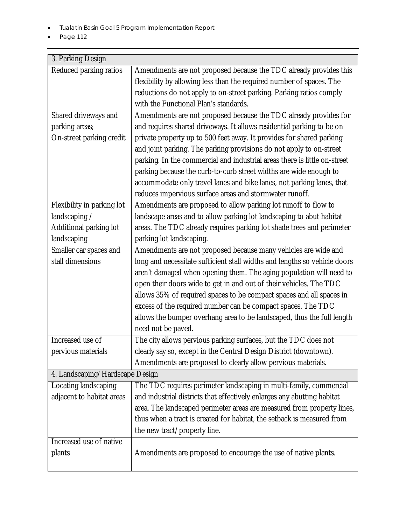- Tualatin Basin Goal 5 Program Implementation Report
- Page 112

| 3. Parking Design               |                                                                           |
|---------------------------------|---------------------------------------------------------------------------|
| Reduced parking ratios          | Amendments are not proposed because the TDC already provides this         |
|                                 | flexibility by allowing less than the required number of spaces. The      |
|                                 | reductions do not apply to on-street parking. Parking ratios comply       |
|                                 | with the Functional Plan's standards.                                     |
| Shared driveways and            | Amendments are not proposed because the TDC already provides for          |
| parking areas;                  | and requires shared driveways. It allows residential parking to be on     |
| On-street parking credit        | private property up to 500 feet away. It provides for shared parking      |
|                                 | and joint parking. The parking provisions do not apply to on-street       |
|                                 | parking. In the commercial and industrial areas there is little on-street |
|                                 | parking because the curb-to-curb street widths are wide enough to         |
|                                 | accommodate only travel lanes and bike lanes, not parking lanes, that     |
|                                 | reduces impervious surface areas and stormwater runoff.                   |
| Flexibility in parking lot      | Amendments are proposed to allow parking lot runoff to flow to            |
| landscaping /                   | landscape areas and to allow parking lot landscaping to abut habitat      |
| Additional parking lot          | areas. The TDC already requires parking lot shade trees and perimeter     |
| landscaping                     | parking lot landscaping.                                                  |
| Smaller car spaces and          | Amendments are not proposed because many vehicles are wide and            |
| stall dimensions                | long and necessitate sufficient stall widths and lengths so vehicle doors |
|                                 | aren't damaged when opening them. The aging population will need to       |
|                                 | open their doors wide to get in and out of their vehicles. The TDC        |
|                                 | allows 35% of required spaces to be compact spaces and all spaces in      |
|                                 | excess of the required number can be compact spaces. The TDC              |
|                                 | allows the bumper overhang area to be landscaped, thus the full length    |
|                                 | need not be paved.                                                        |
| Increased use of                | The city allows pervious parking surfaces, but the TDC does not           |
| pervious materials              | clearly say so, except in the Central Design District (downtown).         |
|                                 | Amendments are proposed to clearly allow pervious materials.              |
| 4. Landscaping/Hardscape Design |                                                                           |
| Locating landscaping            | The TDC requires perimeter landscaping in multi-family, commercial        |
| adjacent to habitat areas       | and industrial districts that effectively enlarges any abutting habitat   |
|                                 | area. The landscaped perimeter areas are measured from property lines,    |
|                                 | thus when a tract is created for habitat, the setback is measured from    |
|                                 | the new tract/property line.                                              |
| Increased use of native         |                                                                           |
| plants                          | Amendments are proposed to encourage the use of native plants.            |
|                                 |                                                                           |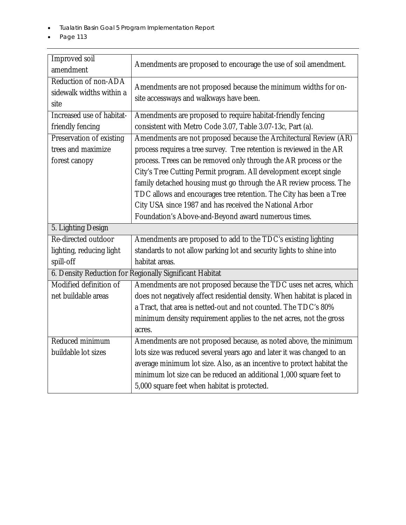- Tualatin Basin Goal 5 Program Implementation Report
- Page 113

| <b>Improved soil</b><br>amendment                        | Amendments are proposed to encourage the use of soil amendment.                                           |
|----------------------------------------------------------|-----------------------------------------------------------------------------------------------------------|
| Reduction of non-ADA<br>sidewalk widths within a<br>site | Amendments are not proposed because the minimum widths for on-<br>site accessways and walkways have been. |
| Increased use of habitat-                                | Amendments are proposed to require habitat-friendly fencing                                               |
| friendly fencing                                         | consistent with Metro Code 3.07, Table 3.07-13c, Part (a).                                                |
| Preservation of existing                                 | Amendments are not proposed because the Architectural Review (AR)                                         |
| trees and maximize                                       | process requires a tree survey. Tree retention is reviewed in the AR                                      |
| forest canopy                                            | process. Trees can be removed only through the AR process or the                                          |
|                                                          | City's Tree Cutting Permit program. All development except single                                         |
|                                                          | family detached housing must go through the AR review process. The                                        |
|                                                          | TDC allows and encourages tree retention. The City has been a Tree                                        |
|                                                          | City USA since 1987 and has received the National Arbor                                                   |
|                                                          | Foundation's Above-and-Beyond award numerous times.                                                       |
|                                                          |                                                                                                           |
| 5. Lighting Design                                       |                                                                                                           |
| Re-directed outdoor                                      | Amendments are proposed to add to the TDC's existing lighting                                             |
| lighting, reducing light                                 | standards to not allow parking lot and security lights to shine into                                      |
| spill-off                                                | habitat areas.                                                                                            |
|                                                          | 6. Density Reduction for Regionally Significant Habitat                                                   |
| Modified definition of                                   | Amendments are not proposed because the TDC uses net acres, which                                         |
| net buildable areas                                      | does not negatively affect residential density. When habitat is placed in                                 |
|                                                          | a Tract, that area is netted-out and not counted. The TDC's 80%                                           |
|                                                          | minimum density requirement applies to the net acres, not the gross                                       |
|                                                          | acres.                                                                                                    |
| Reduced minimum                                          | Amendments are not proposed because, as noted above, the minimum                                          |
| buildable lot sizes                                      | lots size was reduced several years ago and later it was changed to an                                    |
|                                                          | average minimum lot size. Also, as an incentive to protect habitat the                                    |
|                                                          | minimum lot size can be reduced an additional 1,000 square feet to                                        |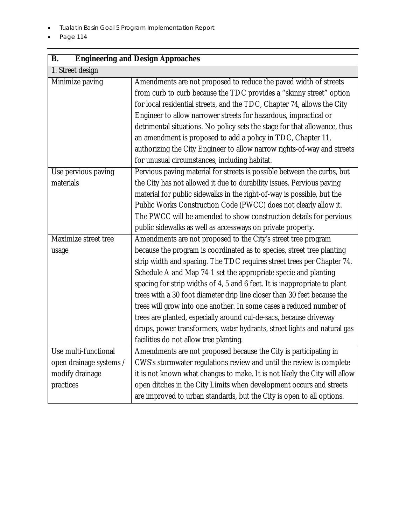- Tualatin Basin Goal 5 Program Implementation Report
- Page 114

| <b>Engineering and Design Approaches</b><br><b>B.</b>                           |                                                                                                                                                                                                                                                                                                                                                                                                                                                                                                                                                                                                                                                                                                                 |  |
|---------------------------------------------------------------------------------|-----------------------------------------------------------------------------------------------------------------------------------------------------------------------------------------------------------------------------------------------------------------------------------------------------------------------------------------------------------------------------------------------------------------------------------------------------------------------------------------------------------------------------------------------------------------------------------------------------------------------------------------------------------------------------------------------------------------|--|
| 1. Street design                                                                |                                                                                                                                                                                                                                                                                                                                                                                                                                                                                                                                                                                                                                                                                                                 |  |
| Minimize paving                                                                 | Amendments are not proposed to reduce the paved width of streets<br>from curb to curb because the TDC provides a "skinny street" option<br>for local residential streets, and the TDC, Chapter 74, allows the City<br>Engineer to allow narrower streets for hazardous, impractical or                                                                                                                                                                                                                                                                                                                                                                                                                          |  |
|                                                                                 | detrimental situations. No policy sets the stage for that allowance, thus<br>an amendment is proposed to add a policy in TDC, Chapter 11,<br>authorizing the City Engineer to allow narrow rights-of-way and streets<br>for unusual circumstances, including habitat.                                                                                                                                                                                                                                                                                                                                                                                                                                           |  |
| Use pervious paving<br>materials                                                | Pervious paving material for streets is possible between the curbs, but<br>the City has not allowed it due to durability issues. Pervious paving<br>material for public sidewalks in the right-of-way is possible, but the<br>Public Works Construction Code (PWCC) does not clearly allow it.<br>The PWCC will be amended to show construction details for pervious<br>public sidewalks as well as accessways on private property.                                                                                                                                                                                                                                                                             |  |
| Maximize street tree<br>usage                                                   | Amendments are not proposed to the City's street tree program<br>because the program is coordinated as to species, street tree planting<br>strip width and spacing. The TDC requires street trees per Chapter 74.<br>Schedule A and Map 74-1 set the appropriate specie and planting<br>spacing for strip widths of 4, 5 and 6 feet. It is inappropriate to plant<br>trees with a 30 foot diameter drip line closer than 30 feet because the<br>trees will grow into one another. In some cases a reduced number of<br>trees are planted, especially around cul-de-sacs, because driveway<br>drops, power transformers, water hydrants, street lights and natural gas<br>facilities do not allow tree planting. |  |
| Use multi-functional<br>open drainage systems /<br>modify drainage<br>practices | Amendments are not proposed because the City is participating in<br>CWS's stormwater regulations review and until the review is complete<br>it is not known what changes to make. It is not likely the City will allow<br>open ditches in the City Limits when development occurs and streets<br>are improved to urban standards, but the City is open to all options.                                                                                                                                                                                                                                                                                                                                          |  |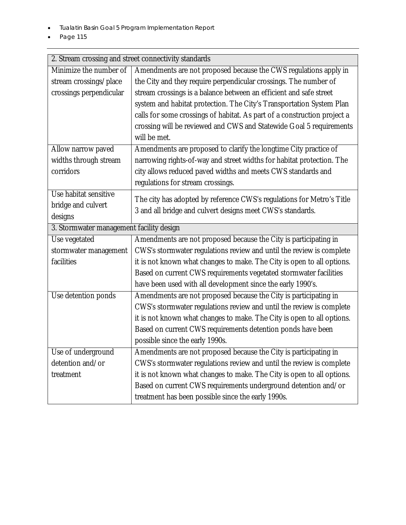- Tualatin Basin Goal 5 Program Implementation Report
- Page 115

|                                          | 2. Stream crossing and street connectivity standards                     |  |  |
|------------------------------------------|--------------------------------------------------------------------------|--|--|
| Minimize the number of                   | Amendments are not proposed because the CWS regulations apply in         |  |  |
| stream crossings/place                   | the City and they require perpendicular crossings. The number of         |  |  |
| crossings perpendicular                  | stream crossings is a balance between an efficient and safe street       |  |  |
|                                          | system and habitat protection. The City's Transportation System Plan     |  |  |
|                                          | calls for some crossings of habitat. As part of a construction project a |  |  |
|                                          | crossing will be reviewed and CWS and Statewide Goal 5 requirements      |  |  |
|                                          | will be met.                                                             |  |  |
| Allow narrow paved                       | Amendments are proposed to clarify the longtime City practice of         |  |  |
| widths through stream                    | narrowing rights-of-way and street widths for habitat protection. The    |  |  |
| corridors                                | city allows reduced paved widths and meets CWS standards and             |  |  |
|                                          | regulations for stream crossings.                                        |  |  |
| Use habitat sensitive                    | The city has adopted by reference CWS's regulations for Metro's Title    |  |  |
| bridge and culvert                       | 3 and all bridge and culvert designs meet CWS's standards.               |  |  |
| designs                                  |                                                                          |  |  |
| 3. Stormwater management facility design |                                                                          |  |  |
| Use vegetated                            | Amendments are not proposed because the City is participating in         |  |  |
| stormwater management                    | CWS's stormwater regulations review and until the review is complete     |  |  |
| facilities                               | it is not known what changes to make. The City is open to all options.   |  |  |
|                                          | Based on current CWS requirements vegetated stormwater facilities        |  |  |
|                                          | have been used with all development since the early 1990's.              |  |  |
| Use detention ponds                      | Amendments are not proposed because the City is participating in         |  |  |
|                                          | CWS's stormwater regulations review and until the review is complete     |  |  |
|                                          | it is not known what changes to make. The City is open to all options.   |  |  |
|                                          | Based on current CWS requirements detention ponds have been              |  |  |
|                                          | possible since the early 1990s.                                          |  |  |
| Use of underground                       | Amendments are not proposed because the City is participating in         |  |  |
| detention and/or                         | CWS's stormwater regulations review and until the review is complete     |  |  |
| treatment                                | it is not known what changes to make. The City is open to all options.   |  |  |
|                                          | Based on current CWS requirements underground detention and/or           |  |  |
|                                          | treatment has been possible since the early 1990s.                       |  |  |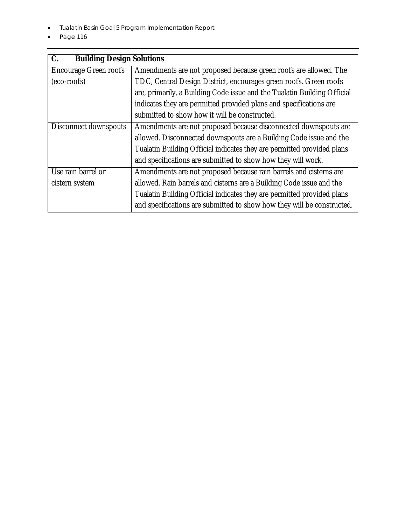- Tualatin Basin Goal 5 Program Implementation Report
- Page 116

| <b>Building Design Solutions</b><br>C. |                                                                          |
|----------------------------------------|--------------------------------------------------------------------------|
| <b>Encourage Green roofs</b>           | Amendments are not proposed because green roofs are allowed. The         |
| (eco-roofs)                            | TDC, Central Design District, encourages green roofs. Green roofs        |
|                                        | are, primarily, a Building Code issue and the Tualatin Building Official |
|                                        | indicates they are permitted provided plans and specifications are       |
|                                        | submitted to show how it will be constructed.                            |
| Disconnect downspouts                  | Amendments are not proposed because disconnected downspouts are          |
|                                        | allowed. Disconnected downspouts are a Building Code issue and the       |
|                                        | Tualatin Building Official indicates they are permitted provided plans   |
|                                        | and specifications are submitted to show how they will work.             |
| Use rain barrel or                     | Amendments are not proposed because rain barrels and cisterns are        |
| cistern system                         | allowed. Rain barrels and cisterns are a Building Code issue and the     |
|                                        | Tualatin Building Official indicates they are permitted provided plans   |
|                                        | and specifications are submitted to show how they will be constructed.   |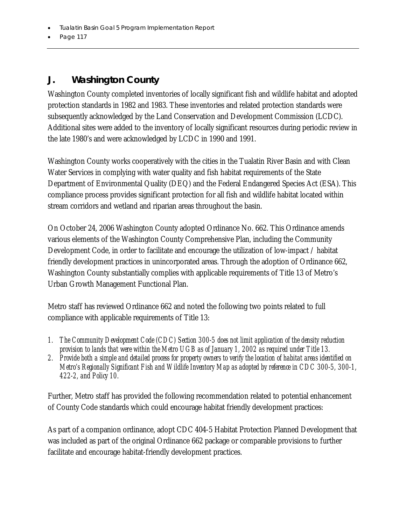- **Tualatin Basin Goal 5 Program Implementation Report**
- Page 117

## *J. Washington County*

Washington County completed inventories of locally significant fish and wildlife habitat and adopted protection standards in 1982 and 1983. These inventories and related protection standards were subsequently acknowledged by the Land Conservation and Development Commission (LCDC). Additional sites were added to the inventory of locally significant resources during periodic review in the late 1980's and were acknowledged by LCDC in 1990 and 1991.

Washington County works cooperatively with the cities in the Tualatin River Basin and with Clean Water Services in complying with water quality and fish habitat requirements of the State Department of Environmental Quality (DEQ) and the Federal Endangered Species Act (ESA). This compliance process provides significant protection for all fish and wildlife habitat located within stream corridors and wetland and riparian areas throughout the basin.

On October 24, 2006 Washington County adopted Ordinance No. 662. This Ordinance amends various elements of the Washington County Comprehensive Plan, including the Community Development Code, in order to facilitate and encourage the utilization of low-impact / habitat friendly development practices in unincorporated areas. Through the adoption of Ordinance 662, Washington County substantially complies with applicable requirements of Title 13 of Metro's Urban Growth Management Functional Plan.

Metro staff has reviewed Ordinance 662 and noted the following two points related to full compliance with applicable requirements of Title 13:

- *1. The Community Development Code (CDC) Section 300-5 does not limit application of the density reduction provision to lands that were within the Metro UGB as of January 1, 2002 as required under Title 13.*
- *2. Provide both a simple and detailed process for property owners to verify the location of habitat areas identified on Metro's Regionally Significant Fish and Wildlife Inventory Map as adopted by reference in CDC 300-5, 300-1, 422-2, and Policy 10.*

Further, Metro staff has provided the following recommendation related to potential enhancement of County Code standards which could encourage habitat friendly development practices:

As part of a companion ordinance, adopt CDC 404-5 Habitat Protection Planned Development that was included as part of the original Ordinance 662 package or comparable provisions to further facilitate and encourage habitat-friendly development practices.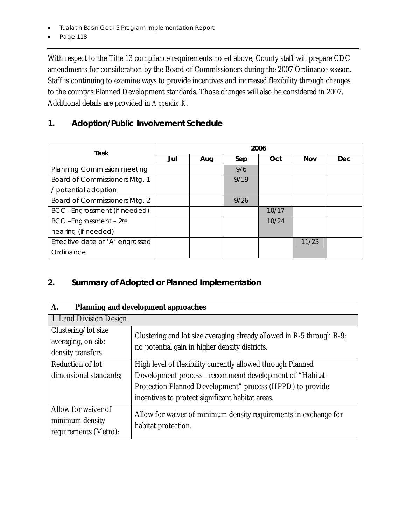- Tualatin Basin Goal 5 Program Implementation Report
- Page 118

With respect to the Title 13 compliance requirements noted above, County staff will prepare CDC amendments for consideration by the Board of Commissioners during the 2007 Ordinance season. Staff is continuing to examine ways to provide incentives and increased flexibility through changes to the county's Planned Development standards. Those changes will also be considered in 2007. Additional details are provided in *Appendix K*.

### **1. Adoption/Public Involvement Schedule**

| Task                                 | 2006 |     |      |       |            |            |
|--------------------------------------|------|-----|------|-------|------------|------------|
|                                      | Jul  | Aug | Sep  | Oct   | <b>Nov</b> | <b>Dec</b> |
| Planning Commission meeting          |      |     | 9/6  |       |            |            |
| <b>Board of Commissioners Mtg.-1</b> |      |     | 9/19 |       |            |            |
| potential adoption                   |      |     |      |       |            |            |
| <b>Board of Commissioners Mtg.-2</b> |      |     | 9/26 |       |            |            |
| BCC-Engrossment (if needed)          |      |     |      | 10/17 |            |            |
| BCC-Engrossment-2nd                  |      |     |      | 10/24 |            |            |
| hearing (if needed)                  |      |     |      |       |            |            |
| Effective date of 'A' engrossed      |      |     |      |       | 11/23      |            |
| Ordinance                            |      |     |      |       |            |            |

### **2. Summary of Adopted or Planned Implementation**

| <b>Planning and development approaches</b><br>A.                |                                                                                                                                                                                                                                         |  |
|-----------------------------------------------------------------|-----------------------------------------------------------------------------------------------------------------------------------------------------------------------------------------------------------------------------------------|--|
| 1. Land Division Design                                         |                                                                                                                                                                                                                                         |  |
| Clustering/lot size<br>averaging, on-site<br>density transfers  | Clustering and lot size averaging already allowed in R-5 through R-9;<br>no potential gain in higher density districts.                                                                                                                 |  |
| Reduction of lot<br>dimensional standards;                      | High level of flexibility currently allowed through Planned<br>Development process - recommend development of "Habitat<br>Protection Planned Development" process (HPPD) to provide<br>incentives to protect significant habitat areas. |  |
| Allow for waiver of<br>minimum density<br>requirements (Metro); | Allow for waiver of minimum density requirements in exchange for<br>habitat protection.                                                                                                                                                 |  |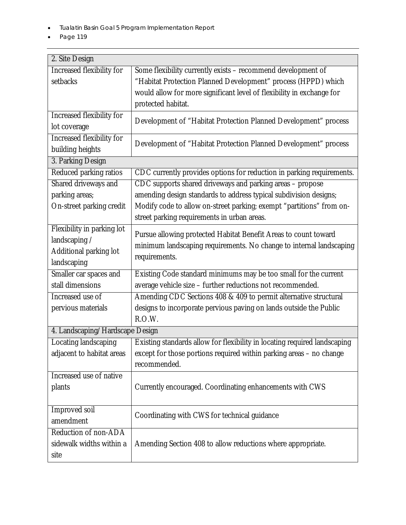- Tualatin Basin Goal 5 Program Implementation Report
- Page 119

| 2. Site Design                                       |                                                                                                                               |
|------------------------------------------------------|-------------------------------------------------------------------------------------------------------------------------------|
| Increased flexibility for<br>setbacks                | Some flexibility currently exists - recommend development of<br>"Habitat Protection Planned Development" process (HPPD) which |
|                                                      | would allow for more significant level of flexibility in exchange for                                                         |
|                                                      | protected habitat.                                                                                                            |
| Increased flexibility for                            |                                                                                                                               |
| lot coverage                                         | Development of "Habitat Protection Planned Development" process                                                               |
| <b>Increased flexibility for</b><br>building heights | Development of "Habitat Protection Planned Development" process                                                               |
| 3. Parking Design                                    |                                                                                                                               |
| Reduced parking ratios                               | CDC currently provides options for reduction in parking requirements.                                                         |
| Shared driveways and                                 | CDC supports shared driveways and parking areas - propose                                                                     |
| parking areas;                                       | amending design standards to address typical subdivision designs;                                                             |
| On-street parking credit                             | Modify code to allow on-street parking; exempt "partitions" from on-                                                          |
|                                                      | street parking requirements in urban areas.                                                                                   |
| Flexibility in parking lot                           | Pursue allowing protected Habitat Benefit Areas to count toward                                                               |
| landscaping /                                        | minimum landscaping requirements. No change to internal landscaping                                                           |
| Additional parking lot                               | requirements.                                                                                                                 |
| landscaping                                          |                                                                                                                               |
| Smaller car spaces and                               | Existing Code standard minimums may be too small for the current                                                              |
| stall dimensions                                     | average vehicle size - further reductions not recommended.                                                                    |
| Increased use of                                     | Amending CDC Sections 408 & 409 to permit alternative structural                                                              |
| pervious materials                                   | designs to incorporate pervious paving on lands outside the Public                                                            |
|                                                      | R.O.W.                                                                                                                        |
| 4. Landscaping/Hardscape Design                      |                                                                                                                               |
| <b>Locating landscaping</b>                          | Existing standards allow for flexibility in locating required landscaping                                                     |
| adjacent to habitat areas                            | except for those portions required within parking areas - no change                                                           |
|                                                      | recommended.                                                                                                                  |
| Increased use of native                              |                                                                                                                               |
| plants                                               | Currently encouraged. Coordinating enhancements with CWS                                                                      |
|                                                      |                                                                                                                               |
| Improved soil                                        | Coordinating with CWS for technical guidance                                                                                  |
| amendment                                            |                                                                                                                               |
| Reduction of non-ADA                                 |                                                                                                                               |
| sidewalk widths within a                             | Amending Section 408 to allow reductions where appropriate.                                                                   |
| site                                                 |                                                                                                                               |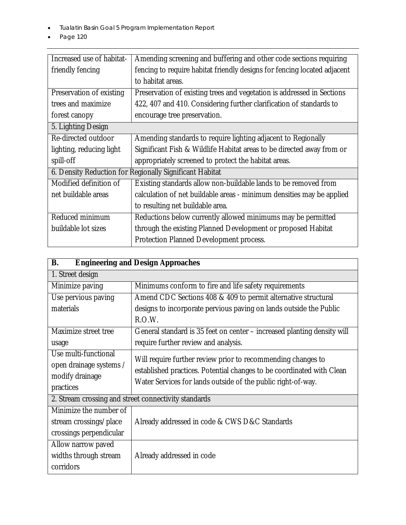- Tualatin Basin Goal 5 Program Implementation Report
- Page 120

| Increased use of habitat- | Amending screening and buffering and other code sections requiring       |
|---------------------------|--------------------------------------------------------------------------|
| friendly fencing          | fencing to require habitat friendly designs for fencing located adjacent |
|                           | to habitat areas.                                                        |
| Preservation of existing  | Preservation of existing trees and vegetation is addressed in Sections   |
| trees and maximize        | 422, 407 and 410. Considering further clarification of standards to      |
| forest canopy             | encourage tree preservation.                                             |
| 5. Lighting Design        |                                                                          |
| Re-directed outdoor       | Amending standards to require lighting adjacent to Regionally            |
| lighting, reducing light  | Significant Fish & Wildlife Habitat areas to be directed away from or    |
| spill-off                 | appropriately screened to protect the habitat areas.                     |
|                           | 6. Density Reduction for Regionally Significant Habitat                  |
| Modified definition of    | Existing standards allow non-buildable lands to be removed from          |
| net buildable areas       | calculation of net buildable areas - minimum densities may be applied    |
|                           | to resulting net buildable area.                                         |
| Reduced minimum           | Reductions below currently allowed minimums may be permitted             |
| buildable lot sizes       | through the existing Planned Development or proposed Habitat             |
|                           | Protection Planned Development process.                                  |
|                           |                                                                          |

| <b>Engineering and Design Approaches</b><br><b>B.</b> |                                                                         |  |
|-------------------------------------------------------|-------------------------------------------------------------------------|--|
| 1. Street design                                      |                                                                         |  |
| Minimize paving                                       | Minimums conform to fire and life safety requirements                   |  |
| Use pervious paving                                   | Amend CDC Sections 408 & 409 to permit alternative structural           |  |
| materials                                             | designs to incorporate pervious paving on lands outside the Public      |  |
|                                                       | R.O.W.                                                                  |  |
| Maximize street tree                                  | General standard is 35 feet on center – increased planting density will |  |
| usage                                                 | require further review and analysis.                                    |  |
| Use multi-functional                                  | Will require further review prior to recommending changes to            |  |
| open drainage systems /                               | established practices. Potential changes to be coordinated with Clean   |  |
| modify drainage                                       | Water Services for lands outside of the public right-of-way.            |  |
| practices                                             |                                                                         |  |
|                                                       | 2. Stream crossing and street connectivity standards                    |  |
| Minimize the number of                                |                                                                         |  |
| stream crossings/place                                | Already addressed in code & CWS D&C Standards                           |  |
| crossings perpendicular                               |                                                                         |  |
| Allow narrow paved                                    |                                                                         |  |
| widths through stream                                 | Already addressed in code                                               |  |
| corridors                                             |                                                                         |  |